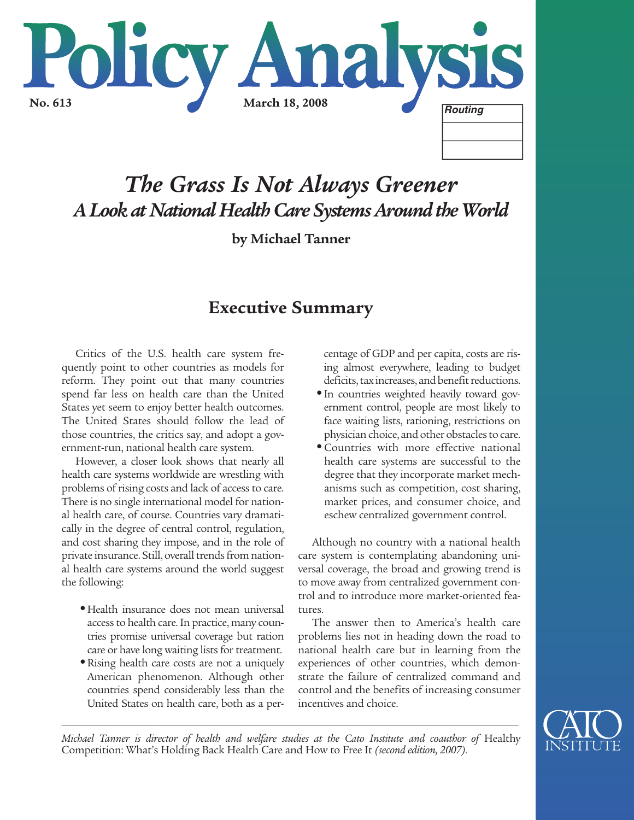

# *The Grass Is Not Always Greener A Look at National Health Care Systems Around the World*

**by Michael Tanner**

## **Executive Summary**

Critics of the U.S. health care system frequently point to other countries as models for reform. They point out that many countries spend far less on health care than the United States yet seem to enjoy better health outcomes. The United States should follow the lead of those countries, the critics say, and adopt a government-run, national health care system.

However, a closer look shows that nearly all health care systems worldwide are wrestling with problems of rising costs and lack of access to care. There is no single international model for national health care, of course. Countries vary dramatically in the degree of central control, regulation, and cost sharing they impose, and in the role of private insurance. Still, overall trends from national health care systems around the world suggest the following:

- **•** Health insurance does not mean universal access to health care. In practice, many countries promise universal coverage but ration care or have long waiting lists for treatment.
- **•** Rising health care costs are not a uniquely American phenomenon. Although other countries spend considerably less than the United States on health care, both as a per-

centage of GDP and per capita, costs are rising almost everywhere, leading to budget deficits, tax increases, and benefit reductions.

- **•**In countries weighted heavily toward government control, people are most likely to face waiting lists, rationing, restrictions on physician choice, and other obstacles to care.
- **•** Countries with more effective national health care systems are successful to the degree that they incorporate market mechanisms such as competition, cost sharing, market prices, and consumer choice, and eschew centralized government control.

Although no country with a national health care system is contemplating abandoning universal coverage, the broad and growing trend is to move away from centralized government control and to introduce more market-oriented features.

The answer then to America's health care problems lies not in heading down the road to national health care but in learning from the experiences of other countries, which demonstrate the failure of centralized command and control and the benefits of increasing consumer incentives and choice.



*Michael Tanner is director of health and welfare studies at the Cato Institute and coauthor of* Healthy Competition: What's Holding Back Health Care and How to Free It *(second edition, 2007).*

*\_\_\_\_\_\_\_\_\_\_\_\_\_\_\_\_\_\_\_\_\_\_\_\_\_\_\_\_\_\_\_\_\_\_\_\_\_\_\_\_\_\_\_\_\_\_\_\_\_\_\_\_\_\_\_\_\_\_\_\_\_\_\_\_\_\_\_\_\_\_\_\_\_\_\_\_\_\_\_\_\_\_\_\_\_\_\_\_\_\_\_\_\_\_\_\_\_\_\_\_\_*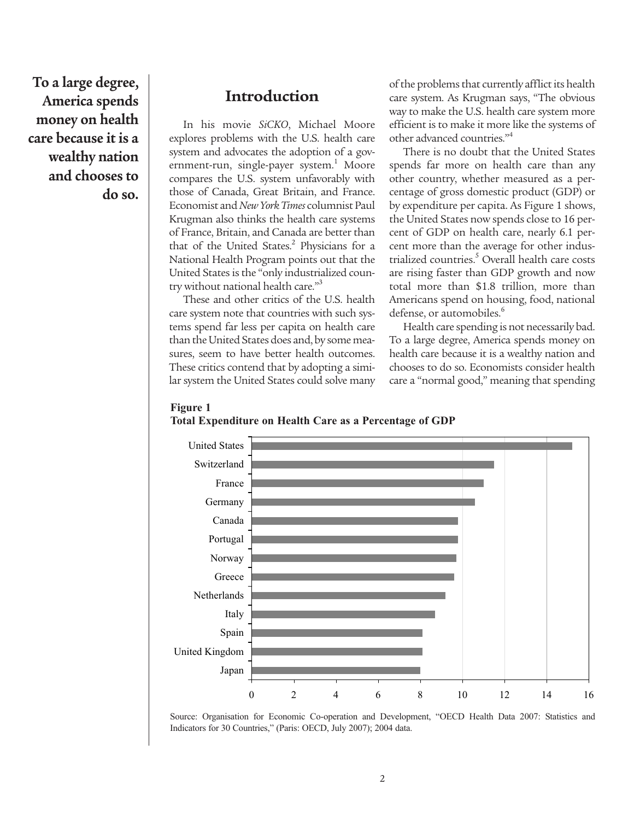**To a large degree, America spends money on health care because it is a wealthy nation and chooses to do so.**

#### **Introduction**

In his movie *SiCKO*, Michael Moore explores problems with the U.S. health care system and advocates the adoption of a government-run, single-payer system.<sup>1</sup> Moore compares the U.S. system unfavorably with those of Canada, Great Britain, and France. Economist and *New York Times* columnist Paul Krugman also thinks the health care systems of France, Britain, and Canada are better than that of the United States. $^{2}$  Physicians for a National Health Program points out that the United States is the "only industrialized country without national health care."<sup>3</sup>

These and other critics of the U.S. health care system note that countries with such systems spend far less per capita on health care than the United States does and, by some measures, seem to have better health outcomes. These critics contend that by adopting a similar system the United States could solve many of the problems that currently afflict its health care system. As Krugman says, "The obvious way to make the U.S. health care system more efficient is to make it more like the systems of other advanced countries."4

There is no doubt that the United States spends far more on health care than any other country, whether measured as a percentage of gross domestic product (GDP) or by expenditure per capita. As Figure 1 shows, the United States now spends close to 16 percent of GDP on health care, nearly 6.1 percent more than the average for other industrialized countries.<sup>5</sup> Overall health care costs are rising faster than GDP growth and now total more than \$1.8 trillion, more than Americans spend on housing, food, national defense, or automobiles.<sup>6</sup>

Health care spending is not necessarily bad. To a large degree, America spends money on health care because it is a wealthy nation and chooses to do so. Economists consider health care a "normal good," meaning that spending



#### **Figure 1 Total Expenditure on Health Care as a Percentage of GDP**

Source: Organisation for Economic Co-operation and Development, "OECD Health Data 2007: Statistics and Indicators for 30 Countries," (Paris: OECD, July 2007); 2004 data.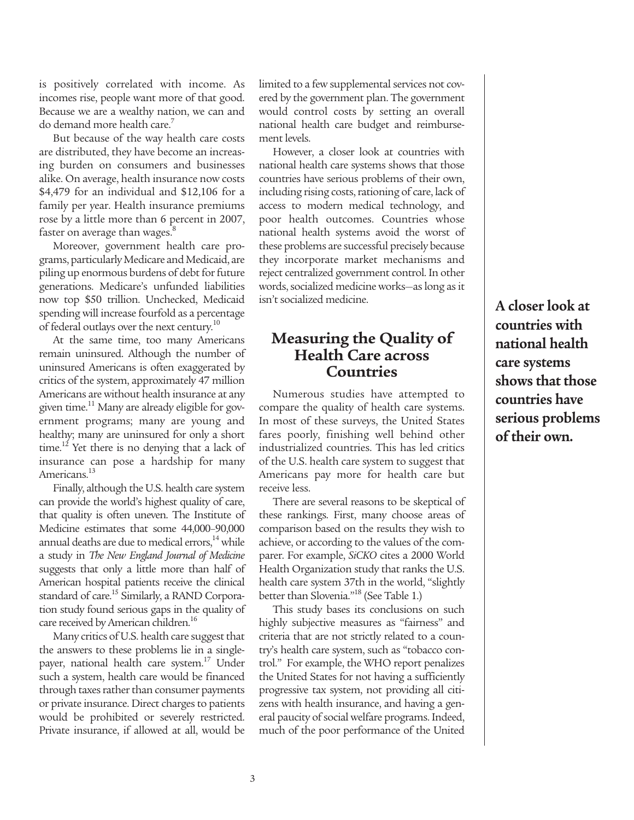is positively correlated with income. As incomes rise, people want more of that good. Because we are a wealthy nation, we can and do demand more health care.<sup>7</sup>

But because of the way health care costs are distributed, they have become an increasing burden on consumers and businesses alike. On average, health insurance now costs \$4,479 for an individual and \$12,106 for a family per year. Health insurance premiums rose by a little more than 6 percent in 2007, faster on average than wages.<sup>8</sup>

Moreover, government health care programs, particularly Medicare and Medicaid, are piling up enormous burdens of debt for future generations. Medicare's unfunded liabilities now top \$50 trillion. Unchecked, Medicaid spending will increase fourfold as a percentage of federal outlays over the next century.<sup>10</sup>

At the same time, too many Americans remain uninsured. Although the number of uninsured Americans is often exaggerated by critics of the system, approximately 47 million Americans are without health insurance at any given time. $^{11}$  Many are already eligible for government programs; many are young and healthy; many are uninsured for only a short time.<sup>12</sup> Yet there is no denying that a lack of insurance can pose a hardship for many Americans.<sup>13</sup>

Finally, although the U.S. health care system can provide the world's highest quality of care, that quality is often uneven. The Institute of Medicine estimates that some 44,000–90,000 annual deaths are due to medical errors, $14$  while a study in *The New England Journal of Medicine* suggests that only a little more than half of American hospital patients receive the clinical standard of care.<sup>15</sup> Similarly, a RAND Corporation study found serious gaps in the quality of care received by American children.<sup>16</sup>

Many critics of U.S. health care suggest that the answers to these problems lie in a singlepayer, national health care system.<sup>17</sup> Under such a system, health care would be financed through taxes rather than consumer payments or private insurance. Direct charges to patients would be prohibited or severely restricted. Private insurance, if allowed at all, would be limited to a few supplemental services not covered by the government plan. The government would control costs by setting an overall national health care budget and reimbursement levels.

However, a closer look at countries with national health care systems shows that those countries have serious problems of their own, including rising costs, rationing of care, lack of access to modern medical technology, and poor health outcomes. Countries whose national health systems avoid the worst of these problems are successful precisely because they incorporate market mechanisms and reject centralized government control. In other words, socialized medicine works—as long as it isn't socialized medicine.

## **Measuring the Quality of Health Care across Countries**

Numerous studies have attempted to compare the quality of health care systems. In most of these surveys, the United States fares poorly, finishing well behind other industrialized countries. This has led critics of the U.S. health care system to suggest that Americans pay more for health care but receive less.

There are several reasons to be skeptical of these rankings. First, many choose areas of comparison based on the results they wish to achieve, or according to the values of the comparer. For example, *SiCKO* cites a 2000 World Health Organization study that ranks the U.S. health care system 37th in the world, "slightly better than Slovenia."<sup>18</sup> (See Table 1.)

This study bases its conclusions on such highly subjective measures as "fairness" and criteria that are not strictly related to a country's health care system, such as "tobacco control." For example, the WHO report penalizes the United States for not having a sufficiently progressive tax system, not providing all citizens with health insurance, and having a general paucity of social welfare programs. Indeed, much of the poor performance of the United

**A closer look at countries with national health care systems shows that those countries have serious problems of their own.**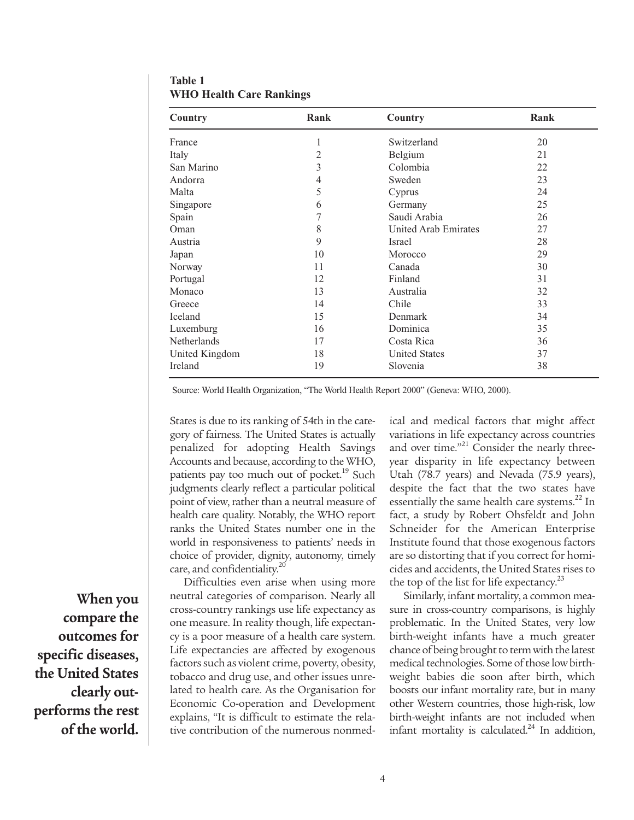| Country            | Rank           | Country                     | Rank |
|--------------------|----------------|-----------------------------|------|
| France             | 1              | Switzerland                 | 20   |
| Italy              | 2              | Belgium                     | 21   |
| San Marino         | 3              | Colombia                    | 22   |
| Andorra            | $\overline{4}$ | Sweden                      | 23   |
| Malta              | 5              | Cyprus                      | 24   |
| Singapore          | 6              | Germany                     | 25   |
| Spain              | 7              | Saudi Arabia                | 26   |
| Oman               | 8              | <b>United Arab Emirates</b> | 27   |
| Austria            | 9              | Israel                      | 28   |
| Japan              | 10             | Morocco                     | 29   |
| Norway             | 11             | Canada                      | 30   |
| Portugal           | 12             | Finland                     | 31   |
| Monaco             | 13             | Australia                   | 32   |
| Greece             | 14             | Chile                       | 33   |
| Iceland            | 15             | Denmark                     | 34   |
| Luxemburg          | 16             | Dominica                    | 35   |
| <b>Netherlands</b> | 17             | Costa Rica                  | 36   |
| United Kingdom     | 18             | <b>United States</b>        | 37   |
| Ireland            | 19             | Slovenia                    | 38   |

**Table 1 WHO Health Care Rankings**

Source: World Health Organization, "The World Health Report 2000" (Geneva: WHO, 2000).

States is due to its ranking of 54th in the category of fairness. The United States is actually penalized for adopting Health Savings Accounts and because, according to the WHO, patients pay too much out of pocket.<sup>19</sup> Such judgments clearly reflect a particular political point of view, rather than a neutral measure of health care quality. Notably, the WHO report ranks the United States number one in the world in responsiveness to patients' needs in choice of provider, dignity, autonomy, timely care, and confidentiality.<sup>20</sup>

Difficulties even arise when using more neutral categories of comparison. Nearly all cross-country rankings use life expectancy as one measure. In reality though, life expectancy is a poor measure of a health care system. Life expectancies are affected by exogenous factors such as violent crime, poverty, obesity, tobacco and drug use, and other issues unrelated to health care. As the Organisation for Economic Co-operation and Development explains, "It is difficult to estimate the relative contribution of the numerous nonmedical and medical factors that might affect variations in life expectancy across countries and over time."<sup>21</sup> Consider the nearly threeyear disparity in life expectancy between Utah (78.7 years) and Nevada (75.9 years), despite the fact that the two states have essentially the same health care systems.<sup>22</sup> In fact, a study by Robert Ohsfeldt and John Schneider for the American Enterprise Institute found that those exogenous factors are so distorting that if you correct for homicides and accidents, the United States rises to the top of the list for life expectancy.<sup>23</sup>

Similarly, infant mortality, a common measure in cross-country comparisons, is highly problematic. In the United States, very low birth-weight infants have a much greater chance of being brought to term with the latest medical technologies. Some of those low birthweight babies die soon after birth, which boosts our infant mortality rate, but in many other Western countries, those high-risk, low birth-weight infants are not included when infant mortality is calculated. $24$  In addition,

**When you compare the outcomes for specific diseases, the United States clearly outperforms the rest of the world.**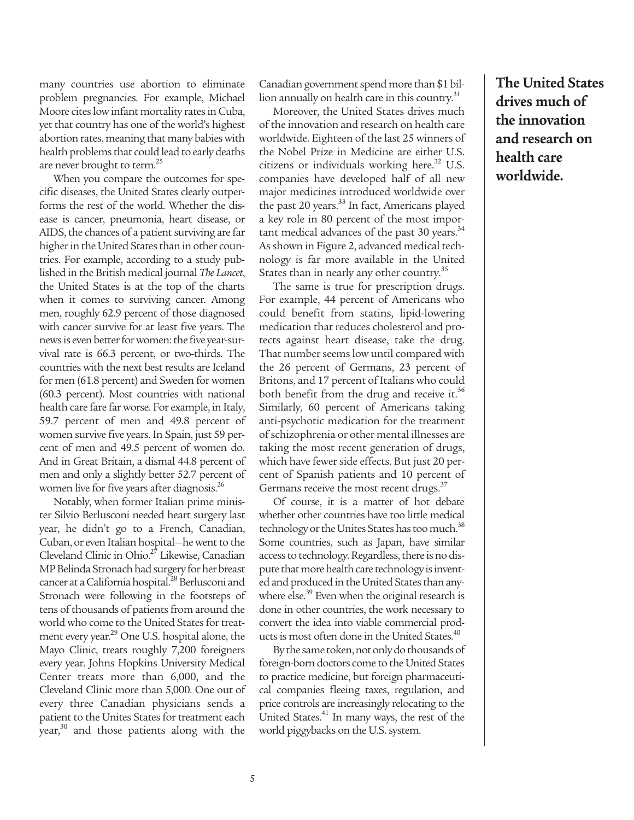many countries use abortion to eliminate problem pregnancies. For example, Michael Moore cites low infant mortality rates in Cuba, yet that country has one of the world's highest abortion rates, meaning that many babies with health problems that could lead to early deaths are never brought to term. $25$ 

When you compare the outcomes for specific diseases, the United States clearly outperforms the rest of the world. Whether the disease is cancer, pneumonia, heart disease, or AIDS, the chances of a patient surviving are far higher in the United States than in other countries. For example, according to a study published in the British medical journal *The Lancet*, the United States is at the top of the charts when it comes to surviving cancer. Among men, roughly 62.9 percent of those diagnosed with cancer survive for at least five years. The news is even better for women: the five year-survival rate is 66.3 percent, or two-thirds. The countries with the next best results are Iceland for men (61.8 percent) and Sweden for women (60.3 percent). Most countries with national health care fare far worse. For example, in Italy, 59.7 percent of men and 49.8 percent of women survive five years. In Spain, just 59 percent of men and 49.5 percent of women do. And in Great Britain, a dismal 44.8 percent of men and only a slightly better 52.7 percent of women live for five years after diagnosis.<sup>26</sup>

Notably, when former Italian prime minister Silvio Berlusconi needed heart surgery last year, he didn't go to a French, Canadian, Cuban, or even Italian hospital—he went to the Cleveland Clinic in Ohio.<sup>27</sup> Likewise, Canadian MP Belinda Stronach had surgery for her breast cancer at a California hospital.<sup>28</sup> Berlusconi and Stronach were following in the footsteps of tens of thousands of patients from around the world who come to the United States for treatment every year.<sup>29</sup> One U.S. hospital alone, the Mayo Clinic, treats roughly 7,200 foreigners every year. Johns Hopkins University Medical Center treats more than 6,000, and the Cleveland Clinic more than 5,000. One out of every three Canadian physicians sends a patient to the Unites States for treatment each year, $30$  and those patients along with the

Canadian government spend more than \$1 billion annually on health care in this country.<sup>31</sup>

Moreover, the United States drives much of the innovation and research on health care worldwide. Eighteen of the last 25 winners of the Nobel Prize in Medicine are either U.S. citizens or individuals working here. $32$  U.S. companies have developed half of all new major medicines introduced worldwide over the past 20 years.<sup>33</sup> In fact, Americans played a key role in 80 percent of the most important medical advances of the past 30 years.<sup>34</sup> As shown in Figure 2, advanced medical technology is far more available in the United States than in nearly any other country.<sup>35</sup>

The same is true for prescription drugs. For example, 44 percent of Americans who could benefit from statins, lipid-lowering medication that reduces cholesterol and protects against heart disease, take the drug. That number seems low until compared with the 26 percent of Germans, 23 percent of Britons, and 17 percent of Italians who could both benefit from the drug and receive it. $36$ Similarly, 60 percent of Americans taking anti-psychotic medication for the treatment of schizophrenia or other mental illnesses are taking the most recent generation of drugs, which have fewer side effects. But just 20 percent of Spanish patients and 10 percent of Germans receive the most recent drugs.<sup>37</sup>

Of course, it is a matter of hot debate whether other countries have too little medical technology or the Unites States has too much.<sup>38</sup> Some countries, such as Japan, have similar access to technology. Regardless, there is no dispute that more health care technology is invented and produced in the United States than anywhere else.<sup>39</sup> Even when the original research is done in other countries, the work necessary to convert the idea into viable commercial products is most often done in the United States.<sup>40</sup>

By the same token, not only do thousands of foreign-born doctors come to the United States to practice medicine, but foreign pharmaceutical companies fleeing taxes, regulation, and price controls are increasingly relocating to the United States. $41$  In many ways, the rest of the world piggybacks on the U.S. system.

**The United States drives much of the innovation and research on health care worldwide.**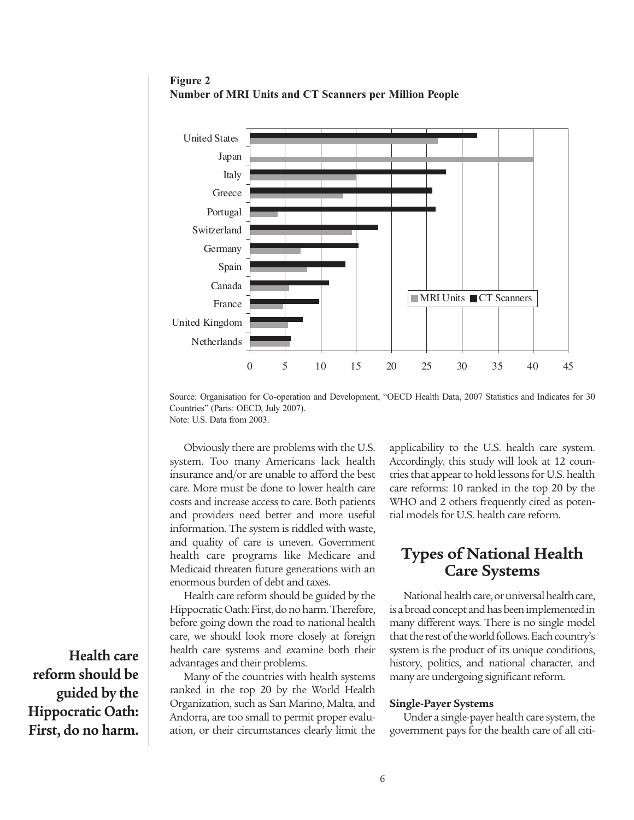

**Figure 2 Number of MRI Units and CT Scanners per Million People**

Source: Organisation for Co-operation and Development, "OECD Health Data, 2007 Statistics and Indicates for 30 Countries" (Paris: OECD, July 2007). Note: U.S. Data from 2003.

Obviously there are problems with the U.S. system. Too many Americans lack health insurance and/or are unable to afford the best care. More must be done to lower health care costs and increase access to care. Both patients and providers need better and more useful information. The system is riddled with waste, and quality of care is uneven. Government health care programs like Medicare and Medicaid threaten future generations with an enormous burden of debt and taxes.

Health care reform should be guided by the Hippocratic Oath: First, do no harm. Therefore, before going down the road to national health care, we should look more closely at foreign health care systems and examine both their advantages and their problems.

Many of the countries with health systems ranked in the top 20 by the World Health Organization, such as San Marino, Malta, and Andorra, are too small to permit proper evaluation, or their circumstances clearly limit the applicability to the U.S. health care system. Accordingly, this study will look at 12 countries that appear to hold lessons for U.S. health care reforms: 10 ranked in the top 20 by the WHO and 2 others frequently cited as potential models for U.S. health care reform.

## **Types of National Health Care Systems**

National health care, or universal health care, is a broad concept and has been implemented in many different ways. There is no single model that the rest of the world follows. Each country's system is the product of its unique conditions, history, politics, and national character, and many are undergoing significant reform.

#### **Single-Payer Systems**

Under a single-payer health care system, the government pays for the health care of all citi-

**Health care reform should be guided by the Hippocratic Oath: First, do no harm.**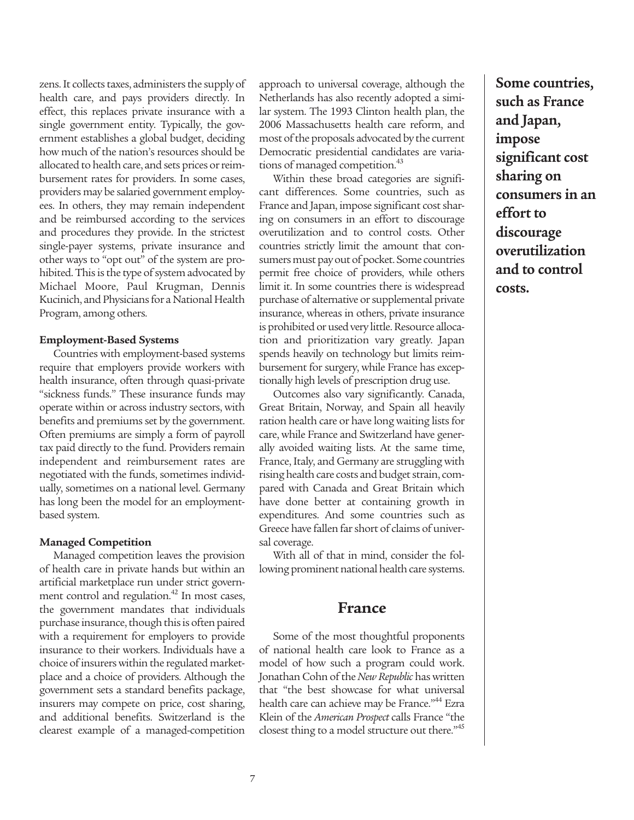zens. It collects taxes, administers the supply of health care, and pays providers directly. In effect, this replaces private insurance with a single government entity. Typically, the government establishes a global budget, deciding how much of the nation's resources should be allocated to health care, and sets prices or reimbursement rates for providers. In some cases, providers may be salaried government employees. In others, they may remain independent and be reimbursed according to the services and procedures they provide. In the strictest single-payer systems, private insurance and other ways to "opt out" of the system are prohibited. This is the type of system advocated by Michael Moore, Paul Krugman, Dennis Kucinich, and Physicians for a National Health Program, among others.

#### **Employment-Based Systems**

Countries with employment-based systems require that employers provide workers with health insurance, often through quasi-private "sickness funds." These insurance funds may operate within or across industry sectors, with benefits and premiums set by the government. Often premiums are simply a form of payroll tax paid directly to the fund. Providers remain independent and reimbursement rates are negotiated with the funds, sometimes individually, sometimes on a national level. Germany has long been the model for an employmentbased system.

#### **Managed Competition**

Managed competition leaves the provision of health care in private hands but within an artificial marketplace run under strict government control and regulation.<sup>42</sup> In most cases, the government mandates that individuals purchase insurance, though this is often paired with a requirement for employers to provide insurance to their workers. Individuals have a choice of insurers within the regulated marketplace and a choice of providers. Although the government sets a standard benefits package, insurers may compete on price, cost sharing, and additional benefits. Switzerland is the clearest example of a managed-competition approach to universal coverage, although the Netherlands has also recently adopted a similar system. The 1993 Clinton health plan, the 2006 Massachusetts health care reform, and most of the proposals advocated by the current Democratic presidential candidates are variations of managed competition.<sup>43</sup>

Within these broad categories are significant differences. Some countries, such as France and Japan, impose significant cost sharing on consumers in an effort to discourage overutilization and to control costs. Other countries strictly limit the amount that consumers must pay out of pocket. Some countries permit free choice of providers, while others limit it. In some countries there is widespread purchase of alternative or supplemental private insurance, whereas in others, private insurance is prohibited or used very little. Resource allocation and prioritization vary greatly. Japan spends heavily on technology but limits reimbursement for surgery, while France has exceptionally high levels of prescription drug use.

Outcomes also vary significantly. Canada, Great Britain, Norway, and Spain all heavily ration health care or have long waiting lists for care, while France and Switzerland have generally avoided waiting lists. At the same time, France, Italy, and Germany are struggling with rising health care costs and budget strain, compared with Canada and Great Britain which have done better at containing growth in expenditures. And some countries such as Greece have fallen far short of claims of universal coverage.

With all of that in mind, consider the following prominent national health care systems.

#### **France**

Some of the most thoughtful proponents of national health care look to France as a model of how such a program could work. Jonathan Cohn of the*New Republic* has written that "the best showcase for what universal health care can achieve may be France."<sup>44</sup> Ezra Klein of the *American Prospect* calls France "the closest thing to a model structure out there."<sup>45</sup>

**Some countries, such as France and Japan, impose significant cost sharing on consumers in an effort to discourage overutilization and to control costs.**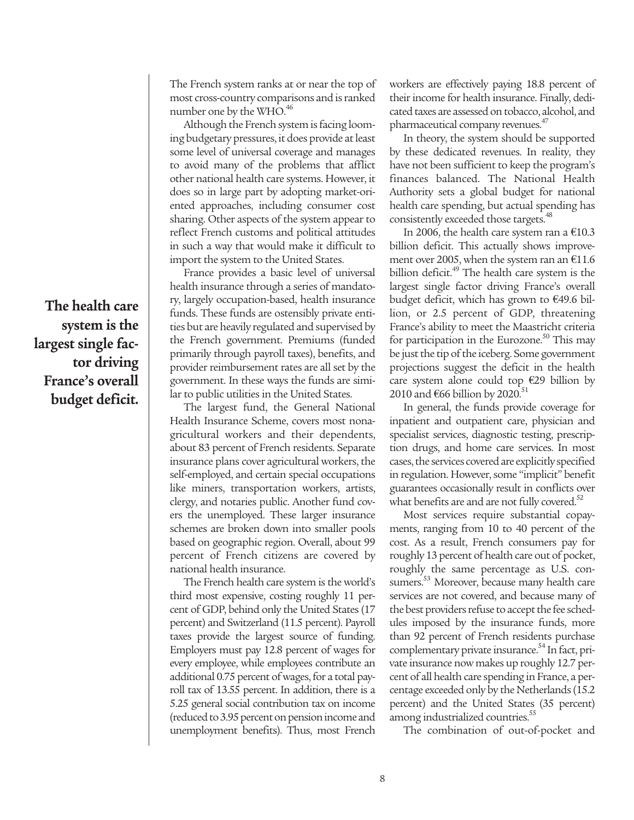The French system ranks at or near the top of most cross-country comparisons and is ranked number one by the WHO.<sup>46</sup>

Although the French system is facing looming budgetary pressures, it does provide at least some level of universal coverage and manages to avoid many of the problems that afflict other national health care systems. However, it does so in large part by adopting market-oriented approaches, including consumer cost sharing. Other aspects of the system appear to reflect French customs and political attitudes in such a way that would make it difficult to import the system to the United States.

France provides a basic level of universal health insurance through a series of mandatory, largely occupation-based, health insurance funds. These funds are ostensibly private entities but are heavily regulated and supervised by the French government. Premiums (funded primarily through payroll taxes), benefits, and provider reimbursement rates are all set by the government. In these ways the funds are similar to public utilities in the United States.

The largest fund, the General National Health Insurance Scheme, covers most nonagricultural workers and their dependents, about 83 percent of French residents. Separate insurance plans cover agricultural workers, the self-employed, and certain special occupations like miners, transportation workers, artists, clergy, and notaries public. Another fund covers the unemployed. These larger insurance schemes are broken down into smaller pools based on geographic region. Overall, about 99 percent of French citizens are covered by national health insurance.

The French health care system is the world's third most expensive, costing roughly 11 percent of GDP, behind only the United States (17 percent) and Switzerland (11.5 percent). Payroll taxes provide the largest source of funding. Employers must pay 12.8 percent of wages for every employee, while employees contribute an additional 0.75 percent of wages, for a total payroll tax of 13.55 percent. In addition, there is a 5.25 general social contribution tax on income (reduced to 3.95 percent on pension income and unemployment benefits). Thus, most French workers are effectively paying 18.8 percent of their income for health insurance. Finally, dedicated taxes are assessed on tobacco, alcohol, and pharmaceutical company revenues.<sup>47</sup>

In theory, the system should be supported by these dedicated revenues. In reality, they have not been sufficient to keep the program's finances balanced. The National Health Authority sets a global budget for national health care spending, but actual spending has consistently exceeded those targets.<sup>48</sup>

In 2006, the health care system ran a  $€10.3$ billion deficit. This actually shows improvement over 2005, when the system ran an  $€11.6$ billion deficit.<sup>49</sup> The health care system is the largest single factor driving France's overall budget deficit, which has grown to €49.6 billion, or 2.5 percent of GDP, threatening France's ability to meet the Maastricht criteria for participation in the Eurozone.<sup>50</sup> This may be just the tip of the iceberg. Some government projections suggest the deficit in the health care system alone could top  $E29$  billion by 2010 and  $\epsilon$ 66 billion by 2020.<sup>51</sup>

In general, the funds provide coverage for inpatient and outpatient care, physician and specialist services, diagnostic testing, prescription drugs, and home care services. In most cases, the services covered are explicitly specified in regulation. However, some "implicit" benefit guarantees occasionally result in conflicts over what benefits are and are not fully covered.<sup>52</sup>

Most services require substantial copayments, ranging from 10 to 40 percent of the cost. As a result, French consumers pay for roughly 13 percent of health care out of pocket, roughly the same percentage as U.S. consumers.<sup>53</sup> Moreover, because many health care services are not covered, and because many of the best providers refuse to accept the fee schedules imposed by the insurance funds, more than 92 percent of French residents purchase complementary private insurance.<sup>54</sup> In fact, private insurance now makes up roughly 12.7 percent of all health care spending in France, a percentage exceeded only by the Netherlands (15.2 percent) and the United States (35 percent) among industrialized countries.<sup>55</sup>

The combination of out-of-pocket and

**The health care system is the largest single factor driving France's overall budget deficit.**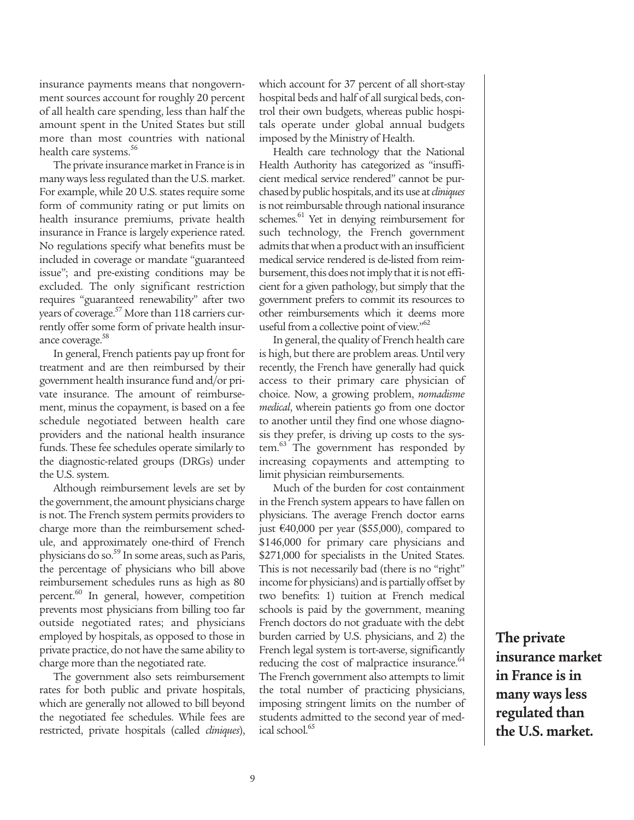insurance payments means that nongovernment sources account for roughly 20 percent of all health care spending, less than half the amount spent in the United States but still more than most countries with national health care systems.<sup>56</sup>

The private insurance market in France is in many ways less regulated than the U.S. market. For example, while 20 U.S. states require some form of community rating or put limits on health insurance premiums, private health insurance in France is largely experience rated. No regulations specify what benefits must be included in coverage or mandate "guaranteed issue"; and pre-existing conditions may be excluded. The only significant restriction requires "guaranteed renewability" after two years of coverage.<sup>57</sup> More than 118 carriers currently offer some form of private health insurance coverage. 58

In general, French patients pay up front for treatment and are then reimbursed by their government health insurance fund and/or private insurance. The amount of reimbursement, minus the copayment, is based on a fee schedule negotiated between health care providers and the national health insurance funds. These fee schedules operate similarly to the diagnostic-related groups (DRGs) under the U.S. system.

Although reimbursement levels are set by the government, the amount physicians charge is not. The French system permits providers to charge more than the reimbursement schedule, and approximately one-third of French physicians do so.59 In some areas, such as Paris, the percentage of physicians who bill above reimbursement schedules runs as high as 80 percent.<sup>60</sup> In general, however, competition prevents most physicians from billing too far outside negotiated rates; and physicians employed by hospitals, as opposed to those in private practice, do not have the same ability to charge more than the negotiated rate.

The government also sets reimbursement rates for both public and private hospitals, which are generally not allowed to bill beyond the negotiated fee schedules. While fees are restricted, private hospitals (called *cliniques*), which account for 37 percent of all short-stay hospital beds and half of all surgical beds, control their own budgets, whereas public hospitals operate under global annual budgets imposed by the Ministry of Health.

Health care technology that the National Health Authority has categorized as "insufficient medical service rendered" cannot be purchased by public hospitals, and its use at *cliniques* is not reimbursable through national insurance schemes.<sup>61</sup> Yet in denying reimbursement for such technology, the French government admits that when a product with an insufficient medical service rendered is de-listed from reimbursement, this does not imply that it is not efficient for a given pathology, but simply that the government prefers to commit its resources to other reimbursements which it deems more useful from a collective point of view."<sup>62</sup>

In general, the quality of French health care is high, but there are problem areas. Until very recently, the French have generally had quick access to their primary care physician of choice. Now, a growing problem, *nomadisme medical*, wherein patients go from one doctor to another until they find one whose diagnosis they prefer, is driving up costs to the system.<sup>63</sup> The government has responded by increasing copayments and attempting to limit physician reimbursements.

Much of the burden for cost containment in the French system appears to have fallen on physicians. The average French doctor earns just €40,000 per year (\$55,000), compared to \$146,000 for primary care physicians and \$271,000 for specialists in the United States. This is not necessarily bad (there is no "right" income for physicians) and is partially offset by two benefits: 1) tuition at French medical schools is paid by the government, meaning French doctors do not graduate with the debt burden carried by U.S. physicians, and 2) the French legal system is tort-averse, significantly reducing the cost of malpractice insurance.<sup>64</sup> The French government also attempts to limit the total number of practicing physicians, imposing stringent limits on the number of students admitted to the second year of medical school.<sup>65</sup>

**The private insurance market in France is in many ways less regulated than the U.S. market.**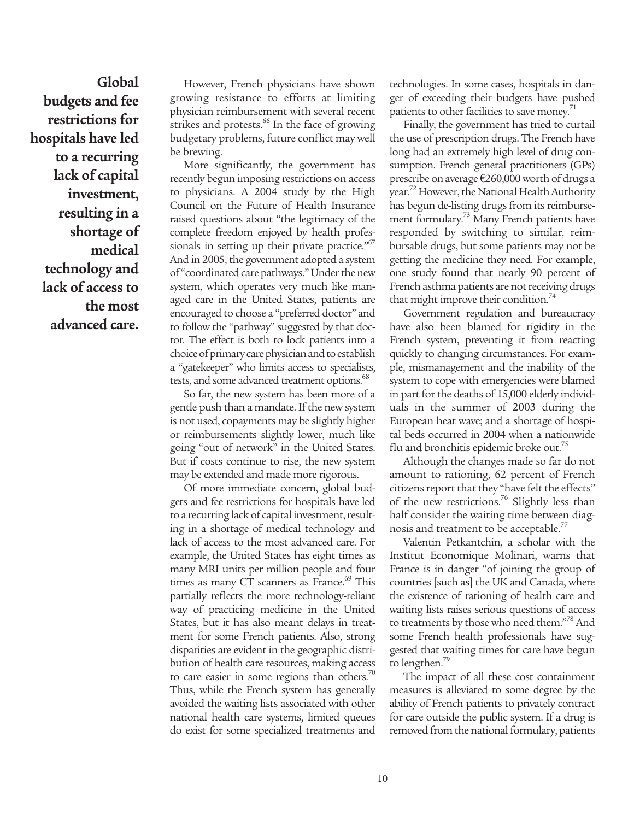**Global budgets and fee restrictions for hospitals have led to a recurring lack of capital investment, resulting in a shortage of medical technology and lack of access to the most advanced care.**

However, French physicians have shown growing resistance to efforts at limiting physician reimbursement with several recent strikes and protests.<sup>66</sup> In the face of growing budgetary problems, future conflict may well be brewing.

More significantly, the government has recently begun imposing restrictions on access to physicians. A 2004 study by the High Council on the Future of Health Insurance raised questions about "the legitimacy of the complete freedom enjoyed by health professionals in setting up their private practice."<sup>67</sup> And in 2005, the government adopted a system of "coordinated care pathways." Under the new system, which operates very much like managed care in the United States, patients are encouraged to choose a "preferred doctor" and to follow the "pathway" suggested by that doctor. The effect is both to lock patients into a choice of primary care physician and to establish a "gatekeeper" who limits access to specialists, tests, and some advanced treatment options.<sup>68</sup>

So far, the new system has been more of a gentle push than a mandate. If the new system is not used, copayments may be slightly higher or reimbursements slightly lower, much like going "out of network" in the United States. But if costs continue to rise, the new system may be extended and made more rigorous.

Of more immediate concern, global budgets and fee restrictions for hospitals have led to a recurring lack of capital investment, resulting in a shortage of medical technology and lack of access to the most advanced care. For example, the United States has eight times as many MRI units per million people and four times as many CT scanners as France.<sup>69</sup> This partially reflects the more technology-reliant way of practicing medicine in the United States, but it has also meant delays in treatment for some French patients. Also, strong disparities are evident in the geographic distribution of health care resources, making access to care easier in some regions than others. $70$ Thus, while the French system has generally avoided the waiting lists associated with other national health care systems, limited queues do exist for some specialized treatments and

technologies. In some cases, hospitals in danger of exceeding their budgets have pushed patients to other facilities to save money.<sup>71</sup>

Finally, the government has tried to curtail the use of prescription drugs. The French have long had an extremely high level of drug consumption. French general practitioners (GPs) prescribe on average €260,000 worth of drugs a year.<sup>72</sup> However, the National Health Authority has begun de-listing drugs from its reimbursement formulary.<sup>73</sup> Many French patients have responded by switching to similar, reimbursable drugs, but some patients may not be getting the medicine they need. For example, one study found that nearly 90 percent of French asthma patients are not receiving drugs that might improve their condition.<sup>74</sup>

Government regulation and bureaucracy have also been blamed for rigidity in the French system, preventing it from reacting quickly to changing circumstances. For example, mismanagement and the inability of the system to cope with emergencies were blamed in part for the deaths of 15,000 elderly individuals in the summer of 2003 during the European heat wave; and a shortage of hospital beds occurred in 2004 when a nationwide flu and bronchitis epidemic broke out.<sup>75</sup>

Although the changes made so far do not amount to rationing, 62 percent of French citizens report that they "have felt the effects" of the new restrictions.<sup>76</sup> Slightly less than half consider the waiting time between diagnosis and treatment to be acceptable.<sup>77</sup>

Valentin Petkantchin, a scholar with the Institut Economique Molinari, warns that France is in danger "of joining the group of countries [such as] the UK and Canada, where the existence of rationing of health care and waiting lists raises serious questions of access to treatments by those who need them."<sup>78</sup> And some French health professionals have suggested that waiting times for care have begun to lengthen. $79$ 

The impact of all these cost containment measures is alleviated to some degree by the ability of French patients to privately contract for care outside the public system. If a drug is removed from the national formulary, patients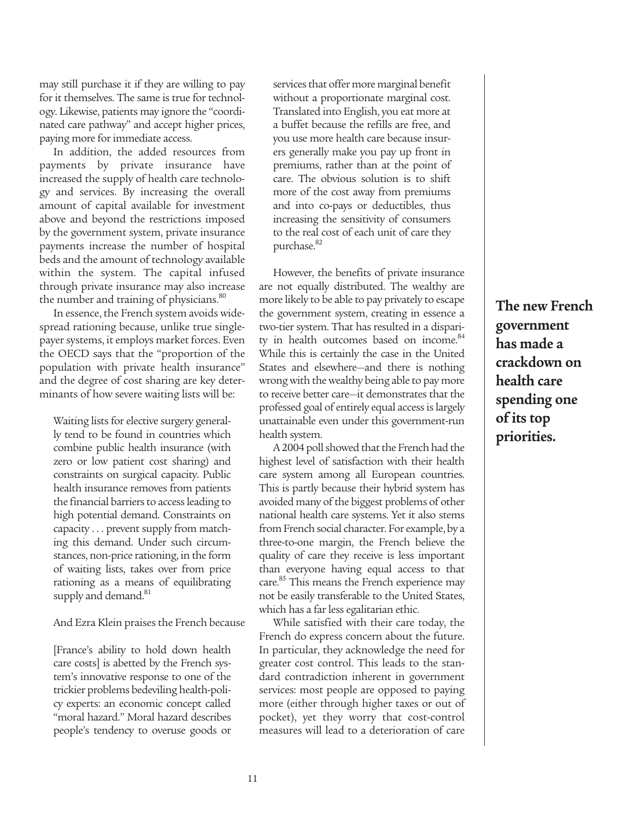may still purchase it if they are willing to pay for it themselves. The same is true for technology. Likewise, patients may ignore the "coordinated care pathway" and accept higher prices, paying more for immediate access.

In addition, the added resources from payments by private insurance have increased the supply of health care technology and services. By increasing the overall amount of capital available for investment above and beyond the restrictions imposed by the government system, private insurance payments increase the number of hospital beds and the amount of technology available within the system. The capital infused through private insurance may also increase the number and training of physicians.<sup>80</sup>

In essence, the French system avoids widespread rationing because, unlike true singlepayer systems, it employs market forces. Even the OECD says that the "proportion of the population with private health insurance" and the degree of cost sharing are key determinants of how severe waiting lists will be:

Waiting lists for elective surgery generally tend to be found in countries which combine public health insurance (with zero or low patient cost sharing) and constraints on surgical capacity. Public health insurance removes from patients the financial barriers to access leading to high potential demand. Constraints on capacity . . . prevent supply from matching this demand. Under such circumstances, non-price rationing, in the form of waiting lists, takes over from price rationing as a means of equilibrating supply and demand.<sup>81</sup>

And Ezra Klein praises the French because

[France's ability to hold down health care costs] is abetted by the French system's innovative response to one of the trickier problems bedeviling health-policy experts: an economic concept called "moral hazard." Moral hazard describes people's tendency to overuse goods or services that offer more marginal benefit without a proportionate marginal cost. Translated into English, you eat more at a buffet because the refills are free, and you use more health care because insurers generally make you pay up front in premiums, rather than at the point of care. The obvious solution is to shift more of the cost away from premiums and into co-pays or deductibles, thus increasing the sensitivity of consumers to the real cost of each unit of care they purchase.<sup>82</sup>

However, the benefits of private insurance are not equally distributed. The wealthy are more likely to be able to pay privately to escape the government system, creating in essence a two-tier system. That has resulted in a disparity in health outcomes based on income.<sup>84</sup> While this is certainly the case in the United States and elsewhere—and there is nothing wrong with the wealthy being able to pay more to receive better care—it demonstrates that the professed goal of entirely equal access is largely unattainable even under this government-run health system.

A 2004 poll showed that the French had the highest level of satisfaction with their health care system among all European countries. This is partly because their hybrid system has avoided many of the biggest problems of other national health care systems. Yet it also stems from French social character. For example, by a three-to-one margin, the French believe the quality of care they receive is less important than everyone having equal access to that care.<sup>85</sup> This means the French experience may not be easily transferable to the United States, which has a far less egalitarian ethic.

While satisfied with their care today, the French do express concern about the future. In particular, they acknowledge the need for greater cost control. This leads to the standard contradiction inherent in government services: most people are opposed to paying more (either through higher taxes or out of pocket), yet they worry that cost-control measures will lead to a deterioration of care

**The new French government has made a crackdown on health care spending one of its top priorities.**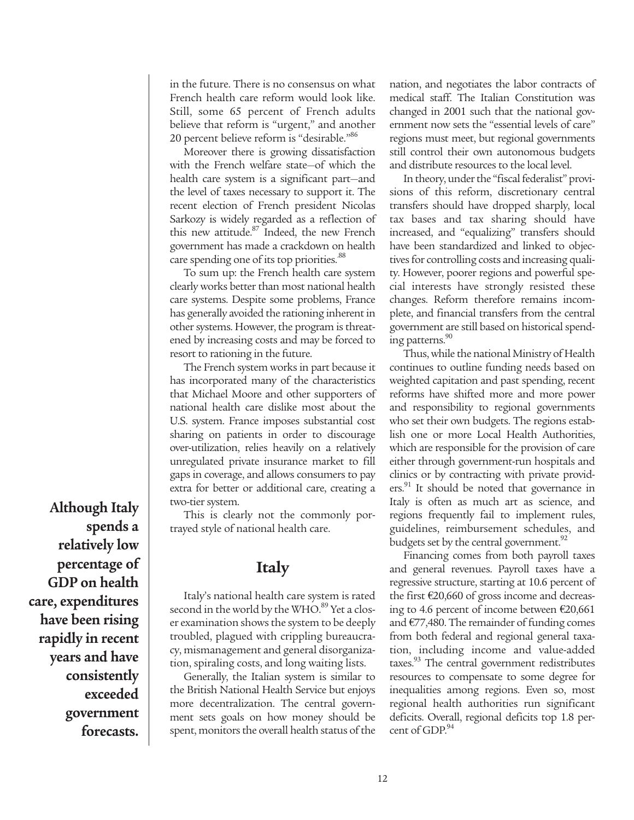in the future. There is no consensus on what French health care reform would look like. Still, some 65 percent of French adults believe that reform is "urgent," and another 20 percent believe reform is "desirable."<sup>86</sup>

Moreover there is growing dissatisfaction with the French welfare state—of which the health care system is a significant part—and the level of taxes necessary to support it. The recent election of French president Nicolas Sarkozy is widely regarded as a reflection of this new attitude. $87$  Indeed, the new French government has made a crackdown on health care spending one of its top priorities.<sup>88</sup>

To sum up: the French health care system clearly works better than most national health care systems. Despite some problems, France has generally avoided the rationing inherent in other systems. However, the program is threatened by increasing costs and may be forced to resort to rationing in the future.

The French system works in part because it has incorporated many of the characteristics that Michael Moore and other supporters of national health care dislike most about the U.S. system. France imposes substantial cost sharing on patients in order to discourage over-utilization, relies heavily on a relatively unregulated private insurance market to fill gaps in coverage, and allows consumers to pay extra for better or additional care, creating a two-tier system.

This is clearly not the commonly portrayed style of national health care.

## **Italy**

Italy's national health care system is rated second in the world by the WHO.<sup>89</sup> Yet a closer examination shows the system to be deeply troubled, plagued with crippling bureaucracy, mismanagement and general disorganization, spiraling costs, and long waiting lists.

Generally, the Italian system is similar to the British National Health Service but enjoys more decentralization. The central government sets goals on how money should be spent, monitors the overall health status of the nation, and negotiates the labor contracts of medical staff. The Italian Constitution was changed in 2001 such that the national government now sets the "essential levels of care" regions must meet, but regional governments still control their own autonomous budgets and distribute resources to the local level.

In theory, under the "fiscal federalist" provisions of this reform, discretionary central transfers should have dropped sharply, local tax bases and tax sharing should have increased, and "equalizing" transfers should have been standardized and linked to objectives for controlling costs and increasing quality. However, poorer regions and powerful special interests have strongly resisted these changes. Reform therefore remains incomplete, and financial transfers from the central government are still based on historical spending patterns.<sup>90</sup>

Thus, while the national Ministry of Health continues to outline funding needs based on weighted capitation and past spending, recent reforms have shifted more and more power and responsibility to regional governments who set their own budgets. The regions establish one or more Local Health Authorities, which are responsible for the provision of care either through government-run hospitals and clinics or by contracting with private providers.<sup>91</sup> It should be noted that governance in Italy is often as much art as science, and regions frequently fail to implement rules, guidelines, reimbursement schedules, and budgets set by the central government.<sup>92</sup>

Financing comes from both payroll taxes and general revenues. Payroll taxes have a regressive structure, starting at 10.6 percent of the first €20,660 of gross income and decreasing to 4.6 percent of income between €20,661 and €77,480. The remainder of funding comes from both federal and regional general taxation, including income and value-added taxes.<sup>93</sup> The central government redistributes resources to compensate to some degree for inequalities among regions. Even so, most regional health authorities run significant deficits. Overall, regional deficits top 1.8 percent of GDP. $94$ 

**Although Italy spends a relatively low percentage of GDP on health care, expenditures have been rising rapidly in recent years and have consistently exceeded government forecasts.**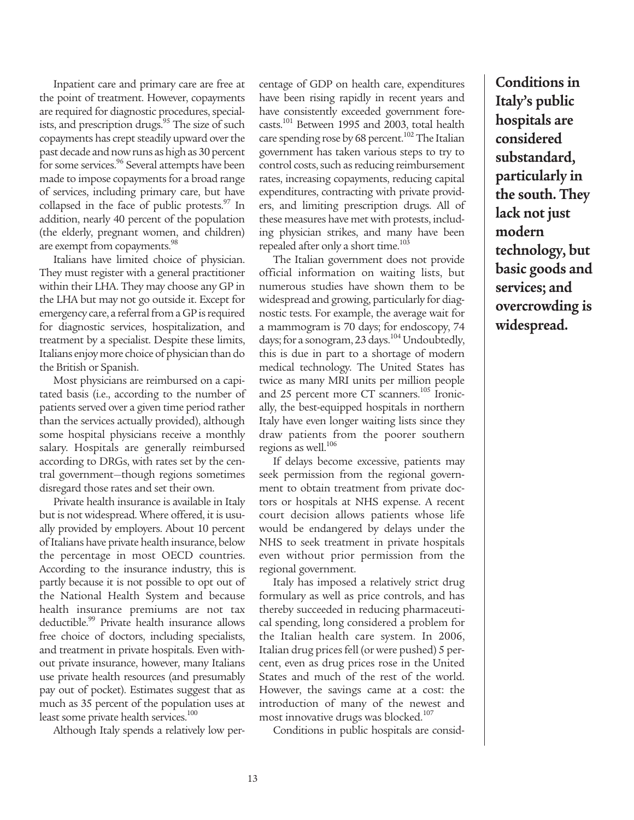Inpatient care and primary care are free at the point of treatment. However, copayments are required for diagnostic procedures, specialists, and prescription drugs.<sup>95</sup> The size of such copayments has crept steadily upward over the past decade and now runs as high as 30 percent for some services.<sup>96</sup> Several attempts have been made to impose copayments for a broad range of services, including primary care, but have collapsed in the face of public protests. $97$  In addition, nearly 40 percent of the population (the elderly, pregnant women, and children) are exempt from copayments.<sup>98</sup>

Italians have limited choice of physician. They must register with a general practitioner within their LHA. They may choose any GP in the LHA but may not go outside it. Except for emergency care, a referral from a GP is required for diagnostic services, hospitalization, and treatment by a specialist. Despite these limits, Italians enjoy more choice of physician than do the British or Spanish.

Most physicians are reimbursed on a capitated basis (i.e., according to the number of patients served over a given time period rather than the services actually provided), although some hospital physicians receive a monthly salary. Hospitals are generally reimbursed according to DRGs, with rates set by the central government—though regions sometimes disregard those rates and set their own.

Private health insurance is available in Italy but is not widespread. Where offered, it is usually provided by employers. About 10 percent of Italians have private health insurance, below the percentage in most OECD countries. According to the insurance industry, this is partly because it is not possible to opt out of the National Health System and because health insurance premiums are not tax deductible.<sup>99</sup> Private health insurance allows free choice of doctors, including specialists, and treatment in private hospitals. Even without private insurance, however, many Italians use private health resources (and presumably pay out of pocket). Estimates suggest that as much as 35 percent of the population uses at least some private health services.<sup>100</sup>

Although Italy spends a relatively low per-

centage of GDP on health care, expenditures have been rising rapidly in recent years and have consistently exceeded government forecasts.<sup>101</sup> Between 1995 and 2003, total health care spending rose by 68 percent.<sup>102</sup> The Italian government has taken various steps to try to control costs, such as reducing reimbursement rates, increasing copayments, reducing capital expenditures, contracting with private providers, and limiting prescription drugs. All of these measures have met with protests, including physician strikes, and many have been repealed after only a short time.<sup>103</sup>

The Italian government does not provide official information on waiting lists, but numerous studies have shown them to be widespread and growing, particularly for diagnostic tests. For example, the average wait for a mammogram is 70 days; for endoscopy, 74 days; for a sonogram, 23 days.<sup>104</sup> Undoubtedly, this is due in part to a shortage of modern medical technology. The United States has twice as many MRI units per million people and 25 percent more CT scanners.<sup>105</sup> Ironically, the best-equipped hospitals in northern Italy have even longer waiting lists since they draw patients from the poorer southern regions as well.<sup>106</sup>

If delays become excessive, patients may seek permission from the regional government to obtain treatment from private doctors or hospitals at NHS expense. A recent court decision allows patients whose life would be endangered by delays under the NHS to seek treatment in private hospitals even without prior permission from the regional government.

Italy has imposed a relatively strict drug formulary as well as price controls, and has thereby succeeded in reducing pharmaceutical spending, long considered a problem for the Italian health care system. In 2006, Italian drug prices fell (or were pushed) 5 percent, even as drug prices rose in the United States and much of the rest of the world. However, the savings came at a cost: the introduction of many of the newest and most innovative drugs was blocked.<sup>107</sup>

Conditions in public hospitals are consid-

**Conditions in Italy's public hospitals are considered substandard, particularly in the south. They lack not just modern technology, but basic goods and services; and overcrowding is widespread.**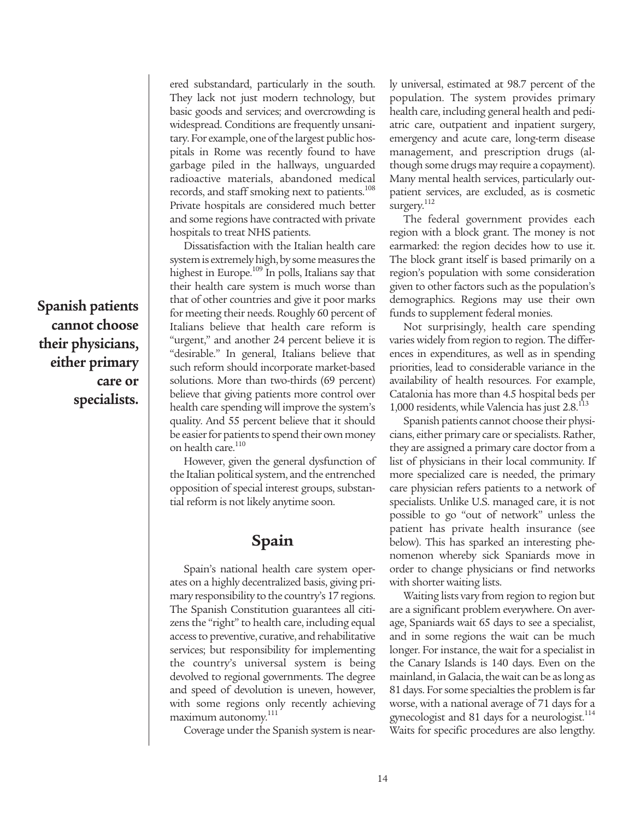ered substandard, particularly in the south. They lack not just modern technology, but basic goods and services; and overcrowding is widespread. Conditions are frequently unsanitary. For example, one of the largest public hospitals in Rome was recently found to have garbage piled in the hallways, unguarded radioactive materials, abandoned medical records, and staff smoking next to patients.<sup>108</sup> Private hospitals are considered much better and some regions have contracted with private hospitals to treat NHS patients.

Dissatisfaction with the Italian health care system is extremely high, by some measures the highest in Europe.<sup>109</sup> In polls, Italians say that their health care system is much worse than that of other countries and give it poor marks for meeting their needs. Roughly 60 percent of Italians believe that health care reform is "urgent," and another 24 percent believe it is "desirable." In general, Italians believe that such reform should incorporate market-based solutions. More than two-thirds (69 percent) believe that giving patients more control over health care spending will improve the system's quality. And 55 percent believe that it should be easier for patients to spend their own money on health care.<sup>110</sup>

However, given the general dysfunction of the Italian political system, and the entrenched opposition of special interest groups, substantial reform is not likely anytime soon.

## **Spain**

Spain's national health care system operates on a highly decentralized basis, giving primary responsibility to the country's 17 regions. The Spanish Constitution guarantees all citizens the "right" to health care, including equal access to preventive, curative, and rehabilitative services; but responsibility for implementing the country's universal system is being devolved to regional governments. The degree and speed of devolution is uneven, however, with some regions only recently achieving maximum autonomy.<sup>111</sup>

Coverage under the Spanish system is near-

ly universal, estimated at 98.7 percent of the population. The system provides primary health care, including general health and pediatric care, outpatient and inpatient surgery, emergency and acute care, long-term disease management, and prescription drugs (although some drugs may require a copayment). Many mental health services, particularly outpatient services, are excluded, as is cosmetic -<br>surgery.<sup>112</sup>

The federal government provides each region with a block grant. The money is not earmarked: the region decides how to use it. The block grant itself is based primarily on a region's population with some consideration given to other factors such as the population's demographics. Regions may use their own funds to supplement federal monies.

Not surprisingly, health care spending varies widely from region to region. The differences in expenditures, as well as in spending priorities, lead to considerable variance in the availability of health resources. For example, Catalonia has more than 4.5 hospital beds per 1,000 residents, while Valencia has just  $2.8<sup>113</sup>$ 

Spanish patients cannot choose their physicians, either primary care or specialists. Rather, they are assigned a primary care doctor from a list of physicians in their local community. If more specialized care is needed, the primary care physician refers patients to a network of specialists. Unlike U.S. managed care, it is not possible to go "out of network" unless the patient has private health insurance (see below). This has sparked an interesting phenomenon whereby sick Spaniards move in order to change physicians or find networks with shorter waiting lists.

Waiting lists vary from region to region but are a significant problem everywhere. On average, Spaniards wait 65 days to see a specialist, and in some regions the wait can be much longer. For instance, the wait for a specialist in the Canary Islands is 140 days. Even on the mainland, in Galacia, the wait can be as long as 81 days. For some specialties the problem is far worse, with a national average of 71 days for a gynecologist and 81 days for a neurologist.<sup>114</sup> Waits for specific procedures are also lengthy.

**Spanish patients cannot choose their physicians, either primary care or specialists.**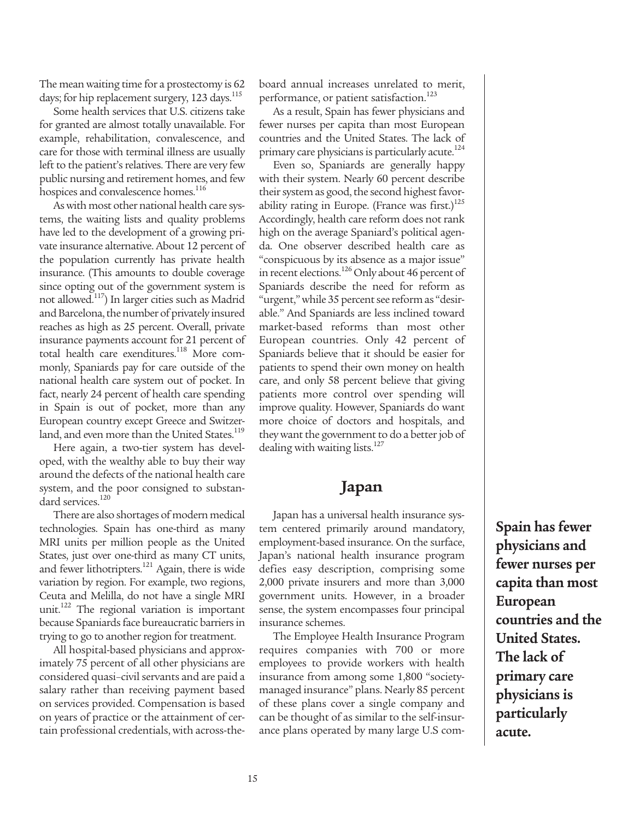The mean waiting time for a prostectomy is 62 days; for hip replacement surgery, 123 days.<sup>115</sup>

Some health services that U.S. citizens take for granted are almost totally unavailable. For example, rehabilitation, convalescence, and care for those with terminal illness are usually left to the patient's relatives. There are very few public nursing and retirement homes, and few hospices and convalescence homes.<sup>116</sup>

As with most other national health care systems, the waiting lists and quality problems have led to the development of a growing private insurance alternative. About 12 percent of the population currently has private health insurance. (This amounts to double coverage since opting out of the government system is not allowed.117) In larger cities such as Madrid and Barcelona, the number of privately insured reaches as high as 25 percent. Overall, private insurance payments account for 21 percent of total health care exenditures.<sup>118</sup> More commonly, Spaniards pay for care outside of the national health care system out of pocket. In fact, nearly 24 percent of health care spending in Spain is out of pocket, more than any European country except Greece and Switzerland, and even more than the United States.<sup>119</sup>

Here again, a two-tier system has developed, with the wealthy able to buy their way around the defects of the national health care system, and the poor consigned to substandard services.<sup>120</sup>

There are also shortages of modern medical technologies. Spain has one-third as many MRI units per million people as the United States, just over one-third as many CT units, and fewer lithotripters.<sup>121</sup> Again, there is wide variation by region. For example, two regions, Ceuta and Melilla, do not have a single MRI unit.<sup>122</sup> The regional variation is important because Spaniards face bureaucratic barriers in trying to go to another region for treatment.

All hospital-based physicians and approximately 75 percent of all other physicians are considered quasi–civil servants and are paid a salary rather than receiving payment based on services provided. Compensation is based on years of practice or the attainment of certain professional credentials, with across-theboard annual increases unrelated to merit, performance, or patient satisfaction.<sup>123</sup>

As a result, Spain has fewer physicians and fewer nurses per capita than most European countries and the United States. The lack of primary care physicians is particularly acute.<sup>124</sup>

Even so, Spaniards are generally happy with their system. Nearly 60 percent describe their system as good, the second highest favorability rating in Europe. (France was first.)<sup>125</sup> Accordingly, health care reform does not rank high on the average Spaniard's political agenda. One observer described health care as "conspicuous by its absence as a major issue" in recent elections.<sup>126</sup> Only about 46 percent of Spaniards describe the need for reform as "urgent," while 35 percent see reform as "desirable." And Spaniards are less inclined toward market-based reforms than most other European countries. Only 42 percent of Spaniards believe that it should be easier for patients to spend their own money on health care, and only 58 percent believe that giving patients more control over spending will improve quality. However, Spaniards do want more choice of doctors and hospitals, and they want the government to do a better job of dealing with waiting lists.<sup>127</sup>

#### **Japan**

Japan has a universal health insurance system centered primarily around mandatory, employment-based insurance. On the surface, Japan's national health insurance program defies easy description, comprising some 2,000 private insurers and more than 3,000 government units. However, in a broader sense, the system encompasses four principal insurance schemes.

The Employee Health Insurance Program requires companies with 700 or more employees to provide workers with health insurance from among some 1,800 "societymanaged insurance" plans. Nearly 85 percent of these plans cover a single company and can be thought of as similar to the self-insurance plans operated by many large U.S com**Spain has fewer physicians and fewer nurses per capita than most European countries and the United States. The lack of primary care physicians is particularly acute.**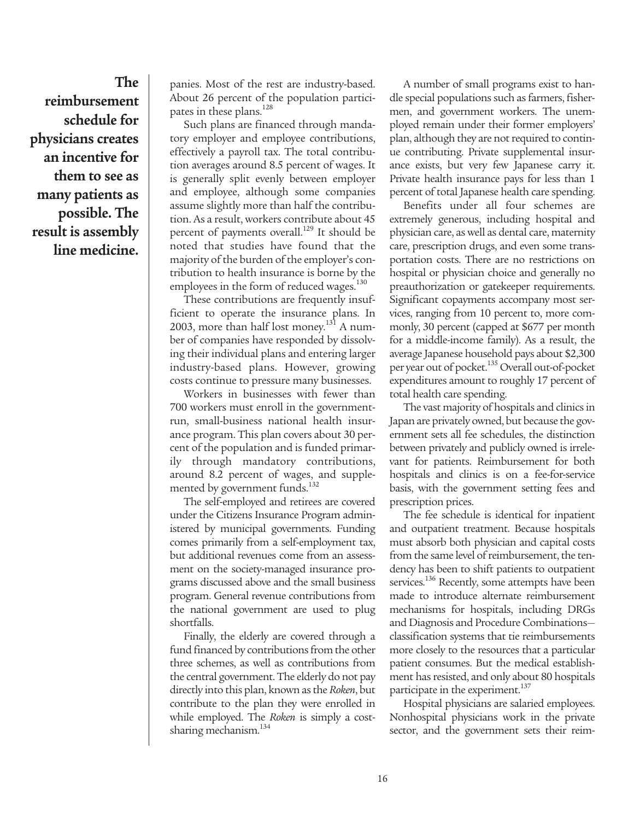**The reimbursement schedule for physicians creates an incentive for them to see as many patients as possible. The result is assembly line medicine.**

panies. Most of the rest are industry-based. About 26 percent of the population participates in these plans.<sup>128</sup>

Such plans are financed through mandatory employer and employee contributions, effectively a payroll tax. The total contribution averages around 8.5 percent of wages. It is generally split evenly between employer and employee, although some companies assume slightly more than half the contribution. As a result, workers contribute about 45 percent of payments overall.<sup>129</sup> It should be noted that studies have found that the majority of the burden of the employer's contribution to health insurance is borne by the employees in the form of reduced wages.<sup>130</sup>

These contributions are frequently insufficient to operate the insurance plans. In 2003, more than half lost money.<sup>131</sup> A number of companies have responded by dissolving their individual plans and entering larger industry-based plans. However, growing costs continue to pressure many businesses.

Workers in businesses with fewer than 700 workers must enroll in the governmentrun, small-business national health insurance program. This plan covers about 30 percent of the population and is funded primarily through mandatory contributions, around 8.2 percent of wages, and supplemented by government funds.<sup>132</sup>

The self-employed and retirees are covered under the Citizens Insurance Program administered by municipal governments. Funding comes primarily from a self-employment tax, but additional revenues come from an assessment on the society-managed insurance programs discussed above and the small business program. General revenue contributions from the national government are used to plug shortfalls.

Finally, the elderly are covered through a fund financed by contributions from the other three schemes, as well as contributions from the central government. The elderly do not pay directly into this plan, known as the *Roken*, but contribute to the plan they were enrolled in while employed. The *Roken* is simply a costsharing mechanism.<sup>134</sup>

A number of small programs exist to handle special populations such as farmers, fishermen, and government workers. The unemployed remain under their former employers' plan, although they are not required to continue contributing. Private supplemental insurance exists, but very few Japanese carry it. Private health insurance pays for less than 1 percent of total Japanese health care spending.

Benefits under all four schemes are extremely generous, including hospital and physician care, as well as dental care, maternity care, prescription drugs, and even some transportation costs. There are no restrictions on hospital or physician choice and generally no preauthorization or gatekeeper requirements. Significant copayments accompany most services, ranging from 10 percent to, more commonly, 30 percent (capped at \$677 per month for a middle-income family). As a result, the average Japanese household pays about \$2,300 per year out of pocket.<sup>135</sup> Overall out-of-pocket expenditures amount to roughly 17 percent of total health care spending.

The vast majority of hospitals and clinics in Japan are privately owned, but because the government sets all fee schedules, the distinction between privately and publicly owned is irrelevant for patients. Reimbursement for both hospitals and clinics is on a fee-for-service basis, with the government setting fees and prescription prices.

The fee schedule is identical for inpatient and outpatient treatment. Because hospitals must absorb both physician and capital costs from the same level of reimbursement, the tendency has been to shift patients to outpatient services.<sup>136</sup> Recently, some attempts have been made to introduce alternate reimbursement mechanisms for hospitals, including DRGs and Diagnosis and Procedure Combinations classification systems that tie reimbursements more closely to the resources that a particular patient consumes. But the medical establishment has resisted, and only about 80 hospitals participate in the experiment.<sup>137</sup>

Hospital physicians are salaried employees. Nonhospital physicians work in the private sector, and the government sets their reim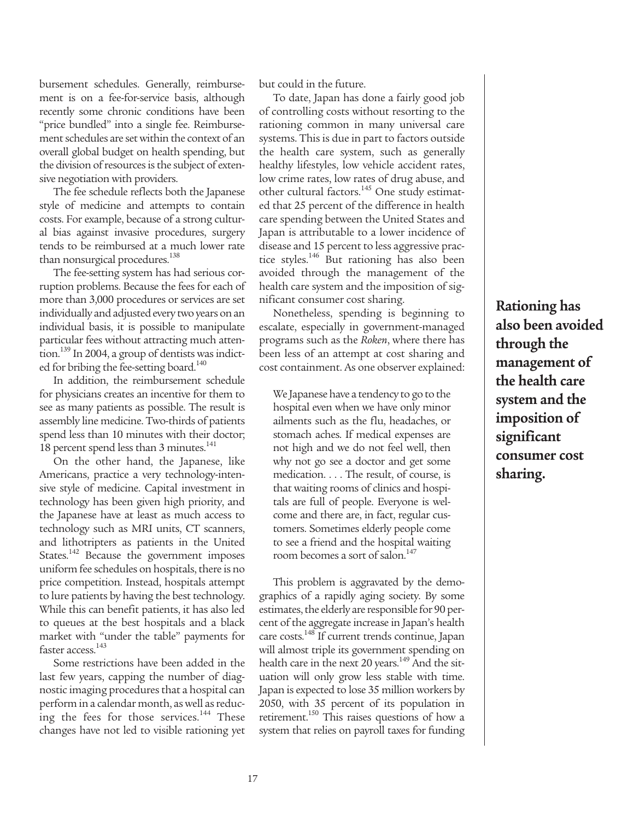bursement schedules. Generally, reimbursement is on a fee-for-service basis, although recently some chronic conditions have been "price bundled" into a single fee. Reimbursement schedules are set within the context of an overall global budget on health spending, but the division of resources is the subject of extensive negotiation with providers.

The fee schedule reflects both the Japanese style of medicine and attempts to contain costs. For example, because of a strong cultural bias against invasive procedures, surgery tends to be reimbursed at a much lower rate than nonsurgical procedures.<sup>138</sup>

The fee-setting system has had serious corruption problems. Because the fees for each of more than 3,000 procedures or services are set individually and adjusted every two years on an individual basis, it is possible to manipulate particular fees without attracting much attention.<sup>139</sup> In 2004, a group of dentists was indicted for bribing the fee-setting board.<sup>140</sup>

In addition, the reimbursement schedule for physicians creates an incentive for them to see as many patients as possible. The result is assembly line medicine. Two-thirds of patients spend less than 10 minutes with their doctor; 18 percent spend less than 3 minutes.<sup>141</sup>

On the other hand, the Japanese, like Americans, practice a very technology-intensive style of medicine. Capital investment in technology has been given high priority, and the Japanese have at least as much access to technology such as MRI units, CT scanners, and lithotripters as patients in the United States.<sup>142</sup> Because the government imposes uniform fee schedules on hospitals, there is no price competition. Instead, hospitals attempt to lure patients by having the best technology. While this can benefit patients, it has also led to queues at the best hospitals and a black market with "under the table" payments for faster access.<sup>143</sup>

Some restrictions have been added in the last few years, capping the number of diagnostic imaging procedures that a hospital can perform in a calendar month, as well as reducing the fees for those services.<sup>144</sup> These changes have not led to visible rationing yet but could in the future.

To date, Japan has done a fairly good job of controlling costs without resorting to the rationing common in many universal care systems. This is due in part to factors outside the health care system, such as generally healthy lifestyles, low vehicle accident rates, low crime rates, low rates of drug abuse, and other cultural factors.<sup>145</sup> One study estimated that 25 percent of the difference in health care spending between the United States and Japan is attributable to a lower incidence of disease and 15 percent to less aggressive practice styles.<sup>146</sup> But rationing has also been avoided through the management of the health care system and the imposition of significant consumer cost sharing.

Nonetheless, spending is beginning to escalate, especially in government-managed programs such as the *Roken*, where there has been less of an attempt at cost sharing and cost containment. As one observer explained:

We Japanese have a tendency to go to the hospital even when we have only minor ailments such as the flu, headaches, or stomach aches. If medical expenses are not high and we do not feel well, then why not go see a doctor and get some medication. . . . The result, of course, is that waiting rooms of clinics and hospitals are full of people. Everyone is welcome and there are, in fact, regular customers. Sometimes elderly people come to see a friend and the hospital waiting room becomes a sort of salon.<sup>147</sup>

This problem is aggravated by the demographics of a rapidly aging society. By some estimates, the elderly are responsible for 90 percent of the aggregate increase in Japan's health care costs.<sup>148</sup> If current trends continue, Japan will almost triple its government spending on health care in the next 20 years.<sup>149</sup> And the situation will only grow less stable with time. Japan is expected to lose 35 million workers by 2050, with 35 percent of its population in retirement.<sup>150</sup> This raises questions of how a system that relies on payroll taxes for funding **Rationing has also been avoided through the management of the health care system and the imposition of significant consumer cost sharing.**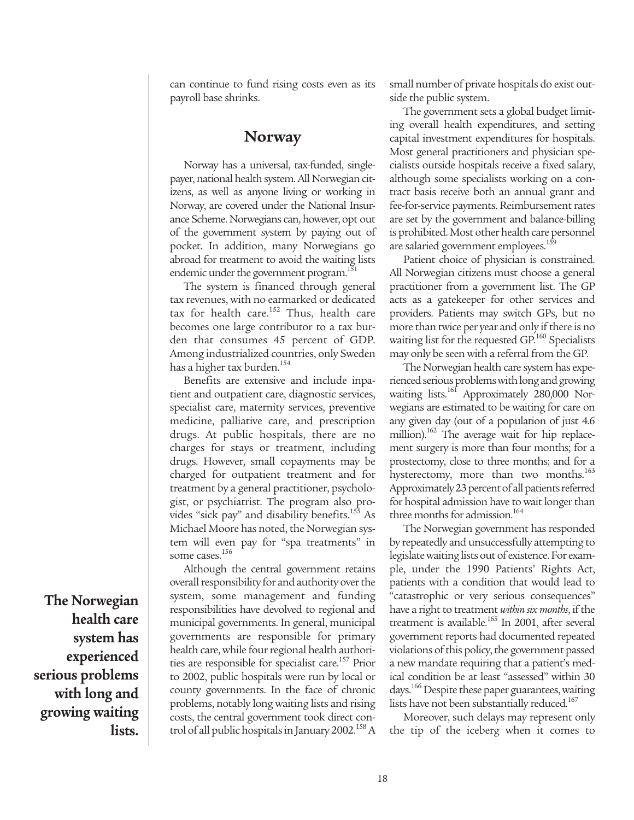can continue to fund rising costs even as its payroll base shrinks.

#### **Norway**

Norway has a universal, tax-funded, singlepayer, national health system. All Norwegian citizens, as well as anyone living or working in Norway, are covered under the National Insurance Scheme. Norwegians can, however, opt out of the government system by paying out of pocket. In addition, many Norwegians go abroad for treatment to avoid the waiting lists endemic under the government program.<sup>1</sup>

The system is financed through general tax revenues, with no earmarked or dedicated tax for health care.<sup>152</sup> Thus, health care becomes one large contributor to a tax burden that consumes 45 percent of GDP. Among industrialized countries, only Sweden has a higher tax burden.<sup>154</sup>

Benefits are extensive and include inpatient and outpatient care, diagnostic services, specialist care, maternity services, preventive medicine, palliative care, and prescription drugs. At public hospitals, there are no charges for stays or treatment, including drugs. However, small copayments may be charged for outpatient treatment and for treatment by a general practitioner, psychologist, or psychiatrist. The program also provides "sick pay" and disability benefits.<sup>155</sup> As Michael Moore has noted, the Norwegian system will even pay for "spa treatments" in some cases. 156

Although the central government retains overall responsibility for and authority over the system, some management and funding responsibilities have devolved to regional and municipal governments. In general, municipal governments are responsible for primary health care, while four regional health authorities are responsible for specialist care.<sup>157</sup> Prior to 2002, public hospitals were run by local or county governments. In the face of chronic problems, notably long waiting lists and rising costs, the central government took direct control of all public hospitals in January 2002.<sup>158</sup> A

small number of private hospitals do exist outside the public system.

The government sets a global budget limiting overall health expenditures, and setting capital investment expenditures for hospitals. Most general practitioners and physician specialists outside hospitals receive a fixed salary, although some specialists working on a contract basis receive both an annual grant and fee-for-service payments. Reimbursement rates are set by the government and balance-billing is prohibited. Most other health care personnel are salaried government employees.<sup>159</sup>

Patient choice of physician is constrained. All Norwegian citizens must choose a general practitioner from a government list. The GP acts as a gatekeeper for other services and providers. Patients may switch GPs, but no more than twice per year and only if there is no waiting list for the requested  $GP<sup>160</sup>$  Specialists may only be seen with a referral from the GP.

The Norwegian health care system has experienced serious problems with long and growing waiting lists.<sup>161</sup> Approximately 280,000 Norwegians are estimated to be waiting for care on any given day (out of a population of just 4.6 million).<sup>162</sup> The average wait for hip replacement surgery is more than four months; for a prostectomy, close to three months; and for a hysterectomy, more than two months.<sup>163</sup> Approximately 23 percent of all patients referred for hospital admission have to wait longer than three months for admission.<sup>164</sup>

The Norwegian government has responded by repeatedly and unsuccessfully attempting to legislate waiting lists out of existence. For example, under the 1990 Patients' Rights Act, patients with a condition that would lead to "catastrophic or very serious consequences" have a right to treatment *within six months*, if the treatment is available.<sup>165</sup> In 2001, after several government reports had documented repeated violations of this policy, the government passed a new mandate requiring that a patient's medical condition be at least "assessed" within 30 days.<sup>166</sup> Despite these paper guarantees, waiting lists have not been substantially reduced.<sup>167</sup>

Moreover, such delays may represent only the tip of the iceberg when it comes to

**The Norwegian health care system has experienced serious problems with long and growing waiting lists.**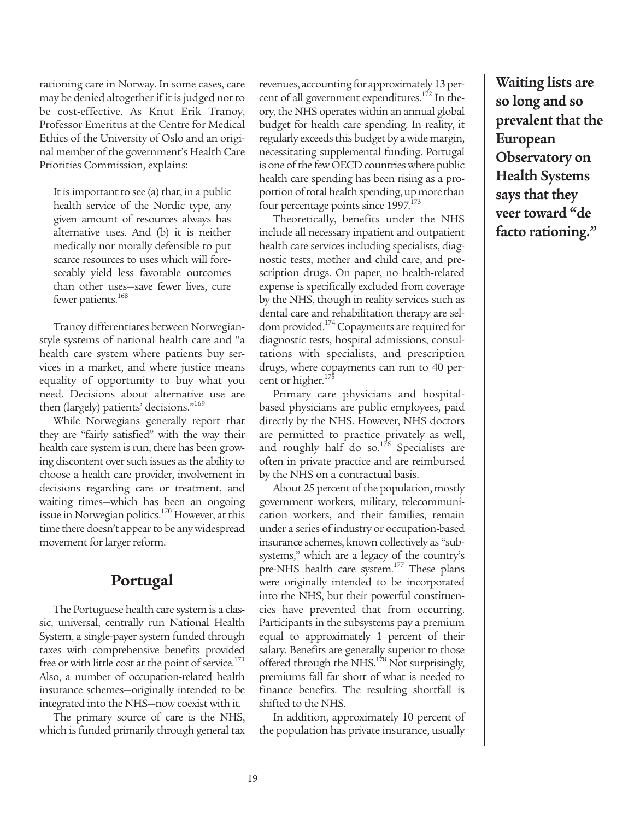rationing care in Norway. In some cases, care may be denied altogether if it is judged not to be cost-effective. As Knut Erik Tranoy, Professor Emeritus at the Centre for Medical Ethics of the University of Oslo and an original member of the government's Health Care Priorities Commission, explains:

It is important to see (a) that, in a public health service of the Nordic type, any given amount of resources always has alternative uses. And (b) it is neither medically nor morally defensible to put scarce resources to uses which will foreseeably yield less favorable outcomes than other uses—save fewer lives, cure fewer patients.<sup>168</sup>

Tranoy differentiates between Norwegianstyle systems of national health care and "a health care system where patients buy services in a market, and where justice means equality of opportunity to buy what you need. Decisions about alternative use are then (largely) patients' decisions."<sup>169</sup>

While Norwegians generally report that they are "fairly satisfied" with the way their health care system is run, there has been growing discontent over such issues as the ability to choose a health care provider, involvement in decisions regarding care or treatment, and waiting times—which has been an ongoing issue in Norwegian politics.170 However, at this time there doesn't appear to be any widespread movement for larger reform.

## **Portugal**

The Portuguese health care system is a classic, universal, centrally run National Health System, a single-payer system funded through taxes with comprehensive benefits provided free or with little cost at the point of service. $171$ Also, a number of occupation-related health insurance schemes—originally intended to be integrated into the NHS—now coexist with it.

The primary source of care is the NHS, which is funded primarily through general tax

revenues, accounting for approximately 13 percent of all government expenditures.<sup>172</sup> In theory, the NHS operates within an annual global budget for health care spending. In reality, it regularly exceeds this budget by a wide margin, necessitating supplemental funding. Portugal is one of the few OECD countries where public health care spending has been rising as a proportion of total health spending, up more than four percentage points since  $1997$ <sup>173</sup>

Theoretically, benefits under the NHS include all necessary inpatient and outpatient health care services including specialists, diagnostic tests, mother and child care, and prescription drugs. On paper, no health-related expense is specifically excluded from coverage by the NHS, though in reality services such as dental care and rehabilitation therapy are seldom provided.<sup>174</sup> Copayments are required for diagnostic tests, hospital admissions, consultations with specialists, and prescription drugs, where copayments can run to 40 percent or higher.<sup>175</sup>

Primary care physicians and hospitalbased physicians are public employees, paid directly by the NHS. However, NHS doctors are permitted to practice privately as well, and roughly half do so. $176$  Specialists are often in private practice and are reimbursed by the NHS on a contractual basis.

About 25 percent of the population, mostly government workers, military, telecommunication workers, and their families, remain under a series of industry or occupation-based insurance schemes, known collectively as "subsystems," which are a legacy of the country's pre-NHS health care system.<sup>177</sup> These plans were originally intended to be incorporated into the NHS, but their powerful constituencies have prevented that from occurring. Participants in the subsystems pay a premium equal to approximately 1 percent of their salary. Benefits are generally superior to those offered through the NHS.<sup>178</sup> Not surprisingly, premiums fall far short of what is needed to finance benefits. The resulting shortfall is shifted to the NHS.

In addition, approximately 10 percent of the population has private insurance, usually

**Waiting lists are so long and so prevalent that the European Observatory on Health Systems says that they veer toward "de facto rationing."**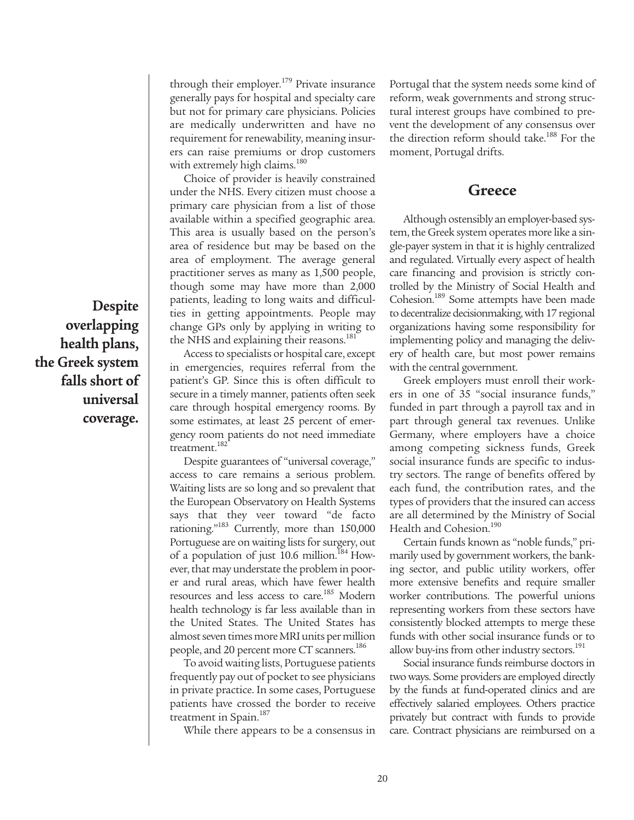**Despite overlapping health plans, the Greek system falls short of universal coverage.**

through their employer.<sup>179</sup> Private insurance generally pays for hospital and specialty care but not for primary care physicians. Policies are medically underwritten and have no requirement for renewability, meaning insurers can raise premiums or drop customers with extremely high claims.<sup>180</sup>

Choice of provider is heavily constrained under the NHS. Every citizen must choose a primary care physician from a list of those available within a specified geographic area. This area is usually based on the person's area of residence but may be based on the area of employment. The average general practitioner serves as many as 1,500 people, though some may have more than 2,000 patients, leading to long waits and difficulties in getting appointments. People may change GPs only by applying in writing to the NHS and explaining their reasons.<sup>181</sup>

Access to specialists or hospital care, except in emergencies, requires referral from the patient's GP. Since this is often difficult to secure in a timely manner, patients often seek care through hospital emergency rooms. By some estimates, at least 25 percent of emergency room patients do not need immediate treatment.182

Despite guarantees of "universal coverage," access to care remains a serious problem. Waiting lists are so long and so prevalent that the European Observatory on Health Systems says that they veer toward "de facto rationing."<sup>183</sup> Currently, more than 150,000 Portuguese are on waiting lists for surgery, out of a population of just 10.6 million.<sup>184</sup> However, that may understate the problem in poorer and rural areas, which have fewer health resources and less access to care.<sup>185</sup> Modern health technology is far less available than in the United States. The United States has almost seven times more MRI units per million people, and 20 percent more CT scanners.<sup>186</sup>

To avoid waiting lists, Portuguese patients frequently pay out of pocket to see physicians in private practice. In some cases, Portuguese patients have crossed the border to receive treatment in Spain.<sup>187</sup>

While there appears to be a consensus in

Portugal that the system needs some kind of reform, weak governments and strong structural interest groups have combined to prevent the development of any consensus over the direction reform should take.<sup>188</sup> For the moment, Portugal drifts.

#### **Greece**

Although ostensibly an employer-based system, the Greek system operates more like a single-payer system in that it is highly centralized and regulated. Virtually every aspect of health care financing and provision is strictly controlled by the Ministry of Social Health and Cohesion.<sup>189</sup> Some attempts have been made to decentralize decisionmaking, with 17 regional organizations having some responsibility for implementing policy and managing the delivery of health care, but most power remains with the central government.

Greek employers must enroll their workers in one of 35 "social insurance funds," funded in part through a payroll tax and in part through general tax revenues. Unlike Germany, where employers have a choice among competing sickness funds, Greek social insurance funds are specific to industry sectors. The range of benefits offered by each fund, the contribution rates, and the types of providers that the insured can access are all determined by the Ministry of Social Health and Cohesion.<sup>190</sup>

Certain funds known as "noble funds," primarily used by government workers, the banking sector, and public utility workers, offer more extensive benefits and require smaller worker contributions. The powerful unions representing workers from these sectors have consistently blocked attempts to merge these funds with other social insurance funds or to allow buy-ins from other industry sectors.<sup>191</sup>

Social insurance funds reimburse doctors in two ways. Some providers are employed directly by the funds at fund-operated clinics and are effectively salaried employees. Others practice privately but contract with funds to provide care. Contract physicians are reimbursed on a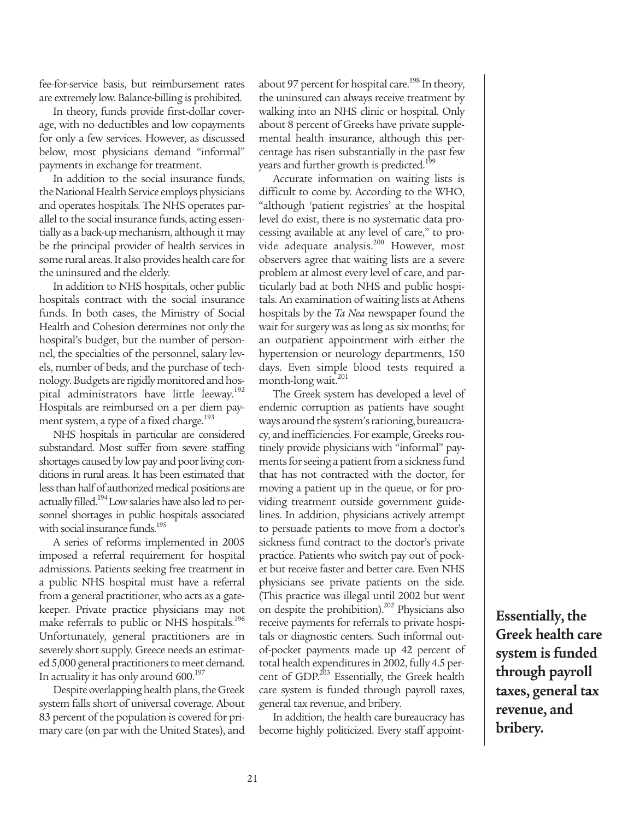fee-for-service basis, but reimbursement rates are extremely low. Balance-billing is prohibited.

In theory, funds provide first-dollar coverage, with no deductibles and low copayments for only a few services. However, as discussed below, most physicians demand "informal" payments in exchange for treatment.

In addition to the social insurance funds, the National Health Service employs physicians and operates hospitals. The NHS operates parallel to the social insurance funds, acting essentially as a back-up mechanism, although it may be the principal provider of health services in some rural areas. It also provides health care for the uninsured and the elderly.

In addition to NHS hospitals, other public hospitals contract with the social insurance funds. In both cases, the Ministry of Social Health and Cohesion determines not only the hospital's budget, but the number of personnel, the specialties of the personnel, salary levels, number of beds, and the purchase of technology. Budgets are rigidly monitored and hospital administrators have little leeway.<sup>192</sup> Hospitals are reimbursed on a per diem payment system, a type of a fixed charge.<sup>193</sup>

NHS hospitals in particular are considered substandard. Most suffer from severe staffing shortages caused by low pay and poor living conditions in rural areas. It has been estimated that less than half of authorized medical positions are actually filled.<sup>194</sup> Low salaries have also led to personnel shortages in public hospitals associated with social insurance funds.<sup>195</sup>

A series of reforms implemented in 2005 imposed a referral requirement for hospital admissions. Patients seeking free treatment in a public NHS hospital must have a referral from a general practitioner, who acts as a gatekeeper. Private practice physicians may not make referrals to public or NHS hospitals.<sup>196</sup> Unfortunately, general practitioners are in severely short supply. Greece needs an estimated 5,000 general practitioners to meet demand. In actuality it has only around  $600.^{197}$ 

Despite overlapping health plans, the Greek system falls short of universal coverage. About 83 percent of the population is covered for primary care (on par with the United States), and about 97 percent for hospital care.<sup>198</sup> In theory, the uninsured can always receive treatment by walking into an NHS clinic or hospital. Only about 8 percent of Greeks have private supplemental health insurance, although this percentage has risen substantially in the past few years and further growth is predicted.<sup>199</sup>

Accurate information on waiting lists is difficult to come by. According to the WHO, "although 'patient registries' at the hospital level do exist, there is no systematic data processing available at any level of care," to provide adequate analysis.<sup>200</sup> However, most observers agree that waiting lists are a severe problem at almost every level of care, and particularly bad at both NHS and public hospitals. An examination of waiting lists at Athens hospitals by the *Ta Nea* newspaper found the wait for surgery was as long as six months; for an outpatient appointment with either the hypertension or neurology departments, 150 days. Even simple blood tests required a month-long wait.<sup>201</sup>

The Greek system has developed a level of endemic corruption as patients have sought ways around the system's rationing, bureaucracy, and inefficiencies. For example, Greeks routinely provide physicians with "informal" payments for seeing a patient from a sickness fund that has not contracted with the doctor, for moving a patient up in the queue, or for providing treatment outside government guidelines. In addition, physicians actively attempt to persuade patients to move from a doctor's sickness fund contract to the doctor's private practice. Patients who switch pay out of pocket but receive faster and better care. Even NHS physicians see private patients on the side. (This practice was illegal until 2002 but went on despite the prohibition).<sup>202</sup> Physicians also receive payments for referrals to private hospitals or diagnostic centers. Such informal outof-pocket payments made up 42 percent of total health expenditures in 2002, fully 4.5 percent of GDP.<sup>203</sup> Essentially, the Greek health care system is funded through payroll taxes, general tax revenue, and bribery.

In addition, the health care bureaucracy has become highly politicized. Every staff appoint**Essentially, the Greek health care system is funded through payroll taxes, general tax revenue, and bribery.**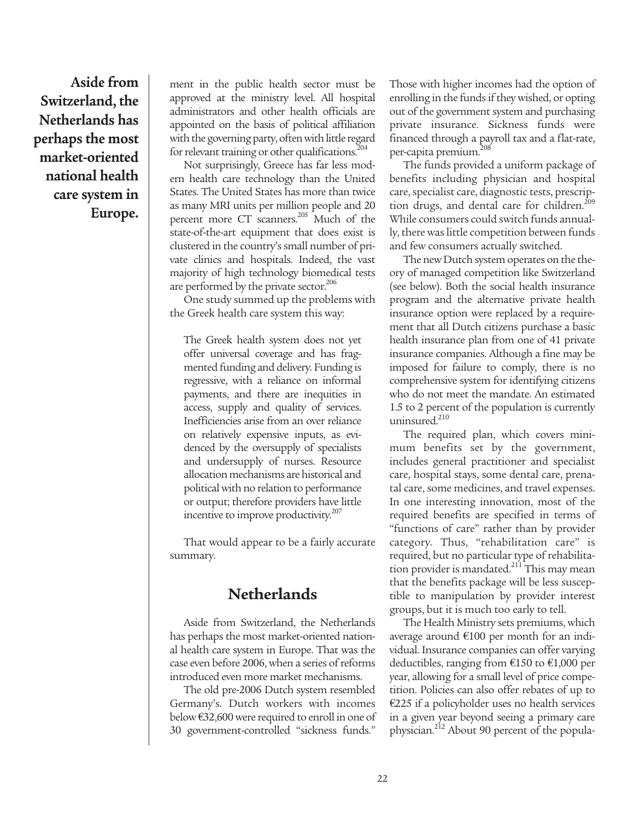**Aside from Switzerland, the Netherlands has perhaps the most market-oriented national health care system in Europe.**

ment in the public health sector must be approved at the ministry level. All hospital administrators and other health officials are appointed on the basis of political affiliation with the governing party, often with little regard for relevant training or other qualifications.<sup>204</sup>

Not surprisingly, Greece has far less modern health care technology than the United States. The United States has more than twice as many MRI units per million people and 20 percent more CT scanners.<sup>205</sup> Much of the state-of-the-art equipment that does exist is clustered in the country's small number of private clinics and hospitals. Indeed, the vast majority of high technology biomedical tests are performed by the private sector. $206$ 

One study summed up the problems with the Greek health care system this way:

The Greek health system does not yet offer universal coverage and has fragmented funding and delivery. Funding is regressive, with a reliance on informal payments, and there are inequities in access, supply and quality of services. Inefficiencies arise from an over reliance on relatively expensive inputs, as evidenced by the oversupply of specialists and undersupply of nurses. Resource allocation mechanisms are historical and political with no relation to performance or output; therefore providers have little incentive to improve productivity.<sup>207</sup>

That would appear to be a fairly accurate summary.

## **Netherlands**

Aside from Switzerland, the Netherlands has perhaps the most market-oriented national health care system in Europe. That was the case even before 2006, when a series of reforms introduced even more market mechanisms.

The old pre-2006 Dutch system resembled Germany's. Dutch workers with incomes below €32,600 were required to enroll in one of 30 government-controlled "sickness funds."

Those with higher incomes had the option of enrolling in the funds if they wished, or opting out of the government system and purchasing private insurance. Sickness funds were financed through a payroll tax and a flat-rate, per-capita premium.<sup>208</sup>

The funds provided a uniform package of benefits including physician and hospital care, specialist care, diagnostic tests, prescription drugs, and dental care for children.<sup>209</sup> While consumers could switch funds annually, there was little competition between funds and few consumers actually switched.

The new Dutch system operates on the theory of managed competition like Switzerland (see below). Both the social health insurance program and the alternative private health insurance option were replaced by a requirement that all Dutch citizens purchase a basic health insurance plan from one of 41 private insurance companies. Although a fine may be imposed for failure to comply, there is no comprehensive system for identifying citizens who do not meet the mandate. An estimated 1.5 to 2 percent of the population is currently uninsured.<sup>210</sup>

The required plan, which covers minimum benefits set by the government, includes general practitioner and specialist care, hospital stays, some dental care, prenatal care, some medicines, and travel expenses. In one interesting innovation, most of the required benefits are specified in terms of "functions of care" rather than by provider category. Thus, "rehabilitation care" is required, but no particular type of rehabilitation provider is mandated.<sup>211</sup> This may mean that the benefits package will be less susceptible to manipulation by provider interest groups, but it is much too early to tell.

The Health Ministry sets premiums, which average around €100 per month for an individual. Insurance companies can offer varying deductibles, ranging from  $\epsilon$ 150 to  $\epsilon$ 1,000 per year, allowing for a small level of price competition. Policies can also offer rebates of up to €225 if a policyholder uses no health services in a given year beyond seeing a primary care physician.212 About 90 percent of the popula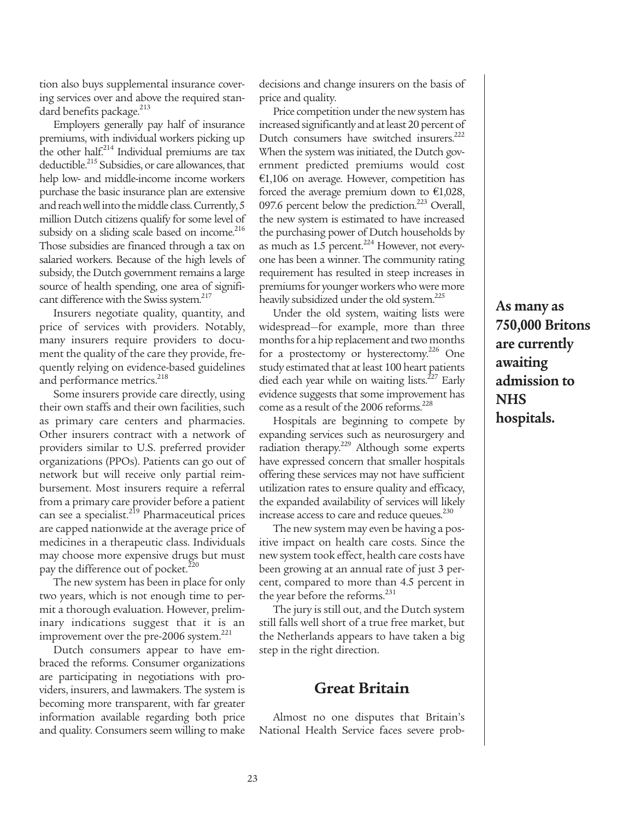tion also buys supplemental insurance covering services over and above the required standard benefits package.<sup>213</sup>

Employers generally pay half of insurance premiums, with individual workers picking up the other half. $2^{14}$  Individual premiums are tax deductible.<sup>215</sup> Subsidies, or care allowances, that help low- and middle-income income workers purchase the basic insurance plan are extensive and reach well into the middle class. Currently, 5 million Dutch citizens qualify for some level of subsidy on a sliding scale based on income.<sup>216</sup> Those subsidies are financed through a tax on salaried workers. Because of the high levels of subsidy, the Dutch government remains a large source of health spending, one area of significant difference with the Swiss system.<sup>217</sup>

Insurers negotiate quality, quantity, and price of services with providers. Notably, many insurers require providers to document the quality of the care they provide, frequently relying on evidence-based guidelines and performance metrics.<sup>218</sup>

Some insurers provide care directly, using their own staffs and their own facilities, such as primary care centers and pharmacies. Other insurers contract with a network of providers similar to U.S. preferred provider organizations (PPOs). Patients can go out of network but will receive only partial reimbursement. Most insurers require a referral from a primary care provider before a patient can see a specialist.<sup>219</sup> Pharmaceutical prices are capped nationwide at the average price of medicines in a therapeutic class. Individuals may choose more expensive drugs but must pay the difference out of pocket.<sup>220</sup>

The new system has been in place for only two years, which is not enough time to permit a thorough evaluation. However, preliminary indications suggest that it is an improvement over the pre-2006 system.<sup>221</sup>

Dutch consumers appear to have embraced the reforms. Consumer organizations are participating in negotiations with providers, insurers, and lawmakers. The system is becoming more transparent, with far greater information available regarding both price and quality. Consumers seem willing to make decisions and change insurers on the basis of price and quality.

Price competition under the new system has increased significantly and at least 20 percent of Dutch consumers have switched insurers.<sup>222</sup> When the system was initiated, the Dutch government predicted premiums would cost  $€1,106$  on average. However, competition has forced the average premium down to €1,028, 097.6 percent below the prediction. $^{223}$  Overall, the new system is estimated to have increased the purchasing power of Dutch households by as much as  $1.5$  percent.<sup>224</sup> However, not everyone has been a winner. The community rating requirement has resulted in steep increases in premiums for younger workers who were more heavily subsidized under the old system.<sup>225</sup>

Under the old system, waiting lists were widespread—for example, more than three months for a hip replacement and two months for a prostectomy or hysterectomy.<sup>226</sup> One study estimated that at least 100 heart patients died each year while on waiting lists.<sup>227</sup> Early evidence suggests that some improvement has come as a result of the 2006 reforms.<sup>228</sup>

Hospitals are beginning to compete by expanding services such as neurosurgery and radiation therapy.229 Although some experts have expressed concern that smaller hospitals offering these services may not have sufficient utilization rates to ensure quality and efficacy, the expanded availability of services will likely increase access to care and reduce queues.<sup>230</sup>

The new system may even be having a positive impact on health care costs. Since the new system took effect, health care costs have been growing at an annual rate of just 3 percent, compared to more than 4.5 percent in the year before the reforms.<sup>231</sup>

The jury is still out, and the Dutch system still falls well short of a true free market, but the Netherlands appears to have taken a big step in the right direction.

#### **Great Britain**

Almost no one disputes that Britain's National Health Service faces severe prob**As many as 750,000 Britons are currently awaiting admission to NHS hospitals.**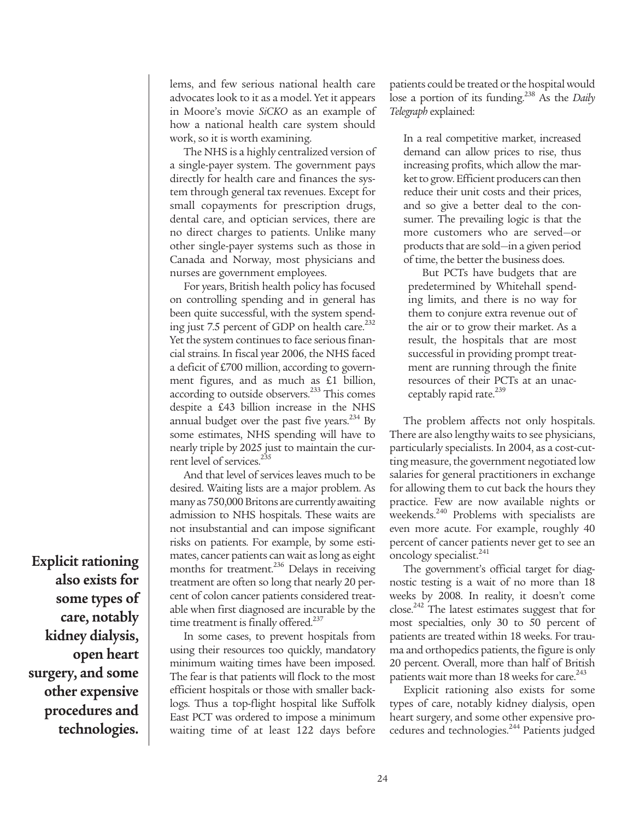lems, and few serious national health care advocates look to it as a model. Yet it appears in Moore's movie *SiCKO* as an example of how a national health care system should work, so it is worth examining.

The NHS is a highly centralized version of a single-payer system. The government pays directly for health care and finances the system through general tax revenues. Except for small copayments for prescription drugs, dental care, and optician services, there are no direct charges to patients. Unlike many other single-payer systems such as those in Canada and Norway, most physicians and nurses are government employees.

For years, British health policy has focused on controlling spending and in general has been quite successful, with the system spending just 7.5 percent of GDP on health care. $232$ Yet the system continues to face serious financial strains. In fiscal year 2006, the NHS faced a deficit of £700 million, according to government figures, and as much as £1 billion, according to outside observers.<sup>233</sup> This comes despite a £43 billion increase in the NHS annual budget over the past five years. $234$  By some estimates, NHS spending will have to nearly triple by 2025 just to maintain the current level of services.<sup>235</sup>

And that level of services leaves much to be desired. Waiting lists are a major problem. As many as 750,000 Britons are currently awaiting admission to NHS hospitals. These waits are not insubstantial and can impose significant risks on patients. For example, by some estimates, cancer patients can wait as long as eight months for treatment.<sup>236</sup> Delays in receiving treatment are often so long that nearly 20 percent of colon cancer patients considered treatable when first diagnosed are incurable by the time treatment is finally offered. $237$ 

In some cases, to prevent hospitals from using their resources too quickly, mandatory minimum waiting times have been imposed. The fear is that patients will flock to the most efficient hospitals or those with smaller backlogs. Thus a top-flight hospital like Suffolk East PCT was ordered to impose a minimum waiting time of at least 122 days before patients could be treated or the hospital would lose a portion of its funding.238 As the *Daily Telegraph* explained:

In a real competitive market, increased demand can allow prices to rise, thus increasing profits, which allow the market to grow. Efficient producers can then reduce their unit costs and their prices, and so give a better deal to the consumer. The prevailing logic is that the more customers who are served—or products that are sold—in a given period of time, the better the business does.

But PCTs have budgets that are predetermined by Whitehall spending limits, and there is no way for them to conjure extra revenue out of the air or to grow their market. As a result, the hospitals that are most successful in providing prompt treatment are running through the finite resources of their PCTs at an unacceptably rapid rate.<sup>239</sup>

The problem affects not only hospitals. There are also lengthy waits to see physicians, particularly specialists. In 2004, as a cost-cutting measure, the government negotiated low salaries for general practitioners in exchange for allowing them to cut back the hours they practice. Few are now available nights or weekends.<sup>240</sup> Problems with specialists are even more acute. For example, roughly 40 percent of cancer patients never get to see an oncology specialist.<sup>241</sup>

The government's official target for diagnostic testing is a wait of no more than 18 weeks by 2008. In reality, it doesn't come close.<sup>242</sup> The latest estimates suggest that for most specialties, only 30 to 50 percent of patients are treated within 18 weeks. For trauma and orthopedics patients, the figure is only 20 percent. Overall, more than half of British patients wait more than 18 weeks for care.<sup>243</sup>

Explicit rationing also exists for some types of care, notably kidney dialysis, open heart surgery, and some other expensive procedures and technologies.244 Patients judged

**Explicit rationing also exists for some types of care, notably kidney dialysis, open heart surgery, and some other expensive procedures and technologies.**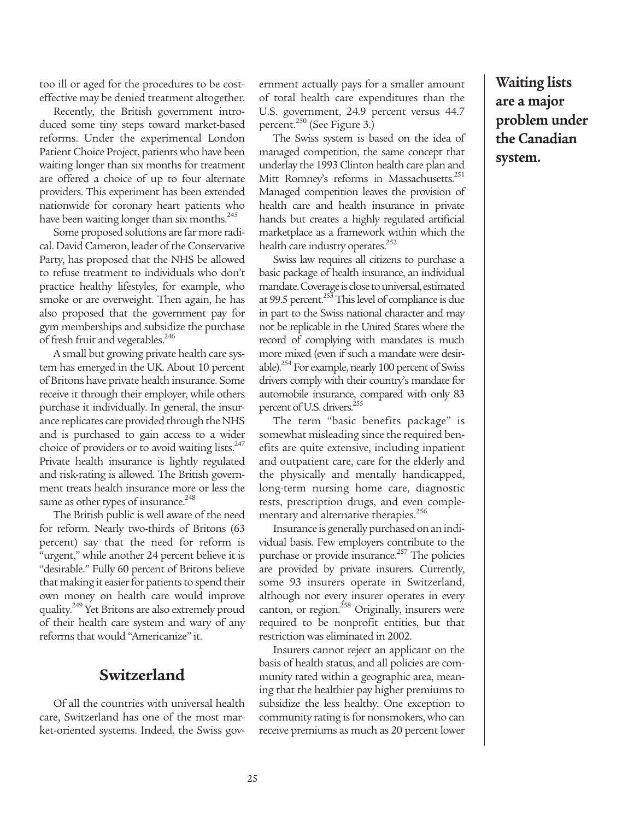too ill or aged for the procedures to be costeffective may be denied treatment altogether.

Recently, the British government introduced some tiny steps toward market-based reforms. Under the experimental London Patient Choice Project, patients who have been waiting longer than six months for treatment are offered a choice of up to four alternate providers. This experiment has been extended nationwide for coronary heart patients who have been waiting longer than six months.<sup>245</sup>

Some proposed solutions are far more radical. David Cameron, leader of the Conservative Party, has proposed that the NHS be allowed to refuse treatment to individuals who don't practice healthy lifestyles, for example, who smoke or are overweight. Then again, he has also proposed that the government pay for gym memberships and subsidize the purchase of fresh fruit and vegetables.<sup>246</sup>

A small but growing private health care system has emerged in the UK. About 10 percent of Britons have private health insurance. Some receive it through their employer, while others purchase it individually. In general, the insurance replicates care provided through the NHS and is purchased to gain access to a wider choice of providers or to avoid waiting lists.<sup>247</sup> Private health insurance is lightly regulated and risk-rating is allowed. The British government treats health insurance more or less the same as other types of insurance.<sup>248</sup>

The British public is well aware of the need for reform. Nearly two-thirds of Britons (63 percent) say that the need for reform is "urgent," while another 24 percent believe it is "desirable." Fully 60 percent of Britons believe that making it easier for patients to spend their own money on health care would improve quality.<sup>249</sup> Yet Britons are also extremely proud of their health care system and wary of any reforms that would "Americanize" it.

#### **Switzerland**

Of all the countries with universal health care, Switzerland has one of the most market-oriented systems. Indeed, the Swiss government actually pays for a smaller amount of total health care expenditures than the U.S. government, 24.9 percent versus 44.7 percent. $^{250}$  (See Figure 3.)

The Swiss system is based on the idea of managed competition, the same concept that underlay the 1993 Clinton health care plan and Mitt Romney's reforms in Massachusetts.<sup>251</sup> Managed competition leaves the provision of health care and health insurance in private hands but creates a highly regulated artificial marketplace as a framework within which the health care industry operates.<sup>252</sup>

Swiss law requires all citizens to purchase a basic package of health insurance, an individual mandate. Coverage is close to universal, estimated at 99.5 percent.<sup>253</sup> This level of compliance is due in part to the Swiss national character and may not be replicable in the United States where the record of complying with mandates is much more mixed (even if such a mandate were desirable).<sup>254</sup> For example, nearly 100 percent of Swiss drivers comply with their country's mandate for automobile insurance, compared with only 83 percent of U.S. drivers.<sup>255</sup>

The term "basic benefits package" is somewhat misleading since the required benefits are quite extensive, including inpatient and outpatient care, care for the elderly and the physically and mentally handicapped, long-term nursing home care, diagnostic tests, prescription drugs, and even complementary and alternative therapies.<sup>256</sup>

Insurance is generally purchased on an individual basis. Few employers contribute to the purchase or provide insurance.<sup>257</sup> The policies are provided by private insurers. Currently, some 93 insurers operate in Switzerland, although not every insurer operates in every canton, or region. $^{258}$  Originally, insurers were required to be nonprofit entities, but that restriction was eliminated in 2002.

Insurers cannot reject an applicant on the basis of health status, and all policies are community rated within a geographic area, meaning that the healthier pay higher premiums to subsidize the less healthy. One exception to community rating is for nonsmokers, who can receive premiums as much as 20 percent lower

**Waiting lists are a major problem under the Canadian system.**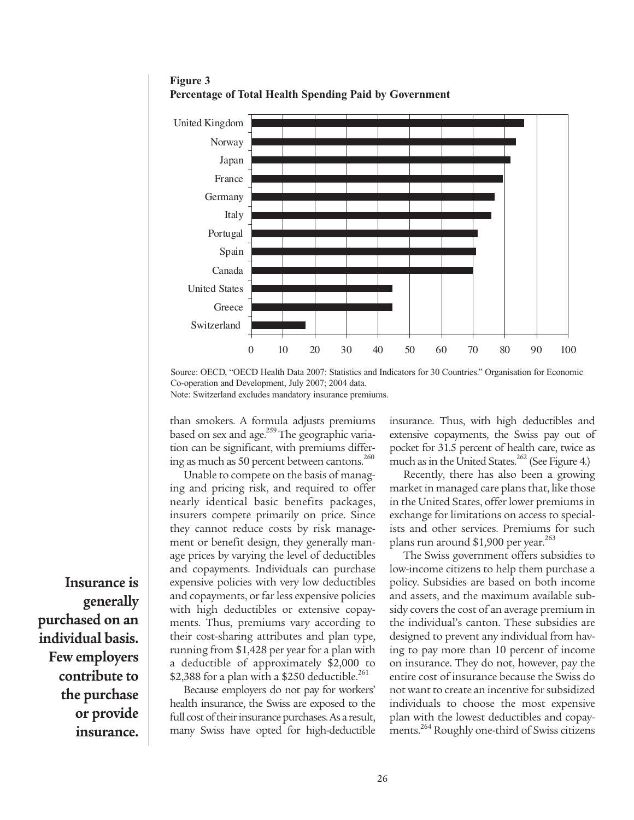

**Figure 3 Percentage of Total Health Spending Paid by Government**

Source: OECD, "OECD Health Data 2007: Statistics and Indicators for 30 Countries." Organisation for Economic Co-operation and Development, July 2007; 2004 data. Note: Switzerland excludes mandatory insurance premiums.

than smokers. A formula adjusts premiums

based on sex and age.<sup>259</sup> The geographic variation can be significant, with premiums differing as much as 50 percent between cantons.<sup>260</sup>

Unable to compete on the basis of managing and pricing risk, and required to offer nearly identical basic benefits packages, insurers compete primarily on price. Since they cannot reduce costs by risk management or benefit design, they generally manage prices by varying the level of deductibles and copayments. Individuals can purchase expensive policies with very low deductibles and copayments, or far less expensive policies with high deductibles or extensive copayments. Thus, premiums vary according to their cost-sharing attributes and plan type, running from \$1,428 per year for a plan with a deductible of approximately \$2,000 to \$2,388 for a plan with a \$250 deductible.<sup>261</sup>

Because employers do not pay for workers' health insurance, the Swiss are exposed to the full cost of their insurance purchases. As a result, many Swiss have opted for high-deductible insurance. Thus, with high deductibles and extensive copayments, the Swiss pay out of pocket for 31.5 percent of health care, twice as much as in the United States.<sup>262</sup> (See Figure 4.)

Recently, there has also been a growing market in managed care plans that, like those in the United States, offer lower premiums in exchange for limitations on access to specialists and other services. Premiums for such plans run around \$1,900 per year.<sup>263</sup>

The Swiss government offers subsidies to low-income citizens to help them purchase a policy. Subsidies are based on both income and assets, and the maximum available subsidy covers the cost of an average premium in the individual's canton. These subsidies are designed to prevent any individual from having to pay more than 10 percent of income on insurance. They do not, however, pay the entire cost of insurance because the Swiss do not want to create an incentive for subsidized individuals to choose the most expensive plan with the lowest deductibles and copayments.264 Roughly one-third of Swiss citizens

**Insurance is generally purchased on an individual basis. Few employers contribute to the purchase or provide insurance.**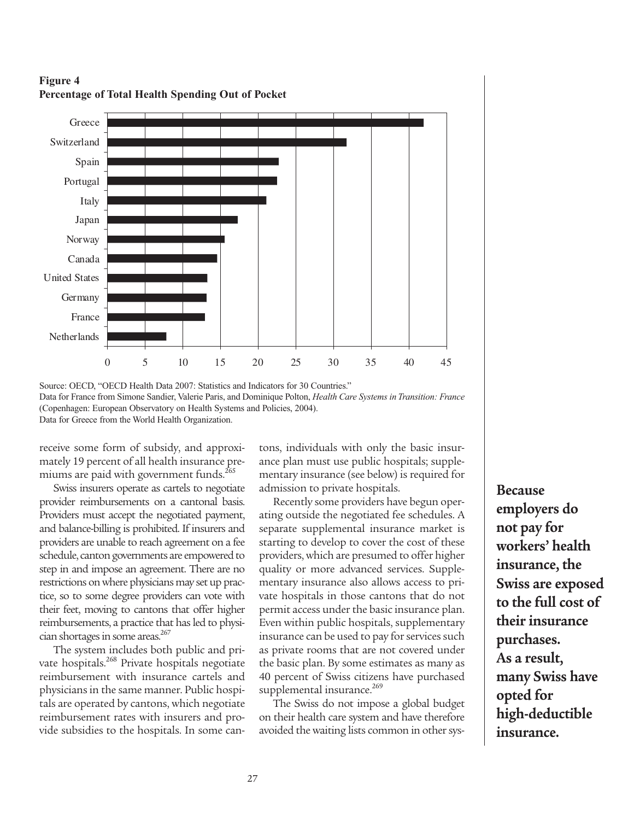

**Figure 4 Percentage of Total Health Spending Out of Pocket**

Source: OECD, "OECD Health Data 2007: Statistics and Indicators for 30 Countries." Data for France from Simone Sandier, Valerie Paris, and Dominique Polton, *Health Care Systems in Transition: France* (Copenhagen: European Observatory on Health Systems and Policies, 2004). Data for Greece from the World Health Organization.

receive some form of subsidy, and approximately 19 percent of all health insurance premiums are paid with government funds.<sup>265</sup>

Swiss insurers operate as cartels to negotiate provider reimbursements on a cantonal basis. Providers must accept the negotiated payment, and balance-billing is prohibited. If insurers and providers are unable to reach agreement on a fee schedule, canton governments are empowered to step in and impose an agreement. There are no restrictions on where physicians may set up practice, so to some degree providers can vote with their feet, moving to cantons that offer higher reimbursements, a practice that has led to physician shortages in some areas.<sup>267</sup>

The system includes both public and private hospitals.<sup>268</sup> Private hospitals negotiate reimbursement with insurance cartels and physicians in the same manner. Public hospitals are operated by cantons, which negotiate reimbursement rates with insurers and provide subsidies to the hospitals. In some cantons, individuals with only the basic insurance plan must use public hospitals; supplementary insurance (see below) is required for admission to private hospitals.

Recently some providers have begun operating outside the negotiated fee schedules. A separate supplemental insurance market is starting to develop to cover the cost of these providers, which are presumed to offer higher quality or more advanced services. Supplementary insurance also allows access to private hospitals in those cantons that do not permit access under the basic insurance plan. Even within public hospitals, supplementary insurance can be used to pay for services such as private rooms that are not covered under the basic plan. By some estimates as many as 40 percent of Swiss citizens have purchased supplemental insurance.<sup>269</sup>

The Swiss do not impose a global budget on their health care system and have therefore avoided the waiting lists common in other sys**Because employers do not pay for workers' health insurance, the Swiss are exposed to the full cost of their insurance purchases. As a result, many Swiss have opted for high-deductible insurance.**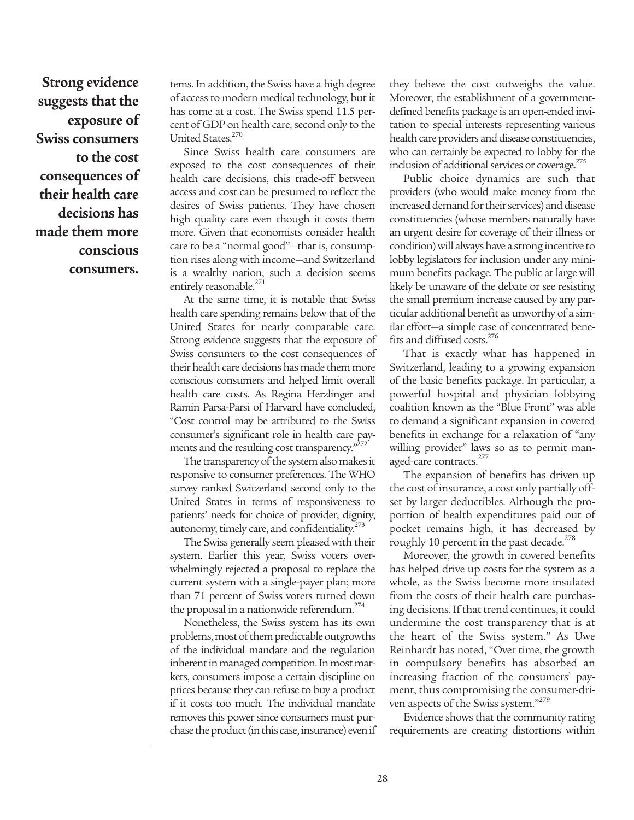**Strong evidence suggests that the exposure of Swiss consumers to the cost consequences of their health care decisions has made them more conscious consumers.**

tems. In addition, the Swiss have a high degree of access to modern medical technology, but it has come at a cost. The Swiss spend 11.5 percent of GDP on health care, second only to the United States.<sup>270</sup>

Since Swiss health care consumers are exposed to the cost consequences of their health care decisions, this trade-off between access and cost can be presumed to reflect the desires of Swiss patients. They have chosen high quality care even though it costs them more. Given that economists consider health care to be a "normal good"—that is, consumption rises along with income—and Switzerland is a wealthy nation, such a decision seems entirely reasonable.<sup>271</sup>

At the same time, it is notable that Swiss health care spending remains below that of the United States for nearly comparable care. Strong evidence suggests that the exposure of Swiss consumers to the cost consequences of their health care decisions has made them more conscious consumers and helped limit overall health care costs. As Regina Herzlinger and Ramin Parsa-Parsi of Harvard have concluded, "Cost control may be attributed to the Swiss consumer's significant role in health care payments and the resulting cost transparency." $272$ 

The transparency of the system also makes it responsive to consumer preferences. The WHO survey ranked Switzerland second only to the United States in terms of responsiveness to patients' needs for choice of provider, dignity, autonomy, timely care, and confidentiality. $273$ 

The Swiss generally seem pleased with their system. Earlier this year, Swiss voters overwhelmingly rejected a proposal to replace the current system with a single-payer plan; more than 71 percent of Swiss voters turned down the proposal in a nationwide referendum.<sup>274</sup>

Nonetheless, the Swiss system has its own problems, most of them predictable outgrowths of the individual mandate and the regulation inherent in managed competition. In most markets, consumers impose a certain discipline on prices because they can refuse to buy a product if it costs too much. The individual mandate removes this power since consumers must purchase the product (in this case, insurance) even if

they believe the cost outweighs the value. Moreover, the establishment of a governmentdefined benefits package is an open-ended invitation to special interests representing various health care providers and disease constituencies, who can certainly be expected to lobby for the inclusion of additional services or coverage.<sup>275</sup>

Public choice dynamics are such that providers (who would make money from the increased demand for their services) and disease constituencies (whose members naturally have an urgent desire for coverage of their illness or condition) will always have a strong incentive to lobby legislators for inclusion under any minimum benefits package. The public at large will likely be unaware of the debate or see resisting the small premium increase caused by any particular additional benefit as unworthy of a similar effort—a simple case of concentrated benefits and diffused costs.<sup>276</sup>

That is exactly what has happened in Switzerland, leading to a growing expansion of the basic benefits package. In particular, a powerful hospital and physician lobbying coalition known as the "Blue Front" was able to demand a significant expansion in covered benefits in exchange for a relaxation of "any willing provider" laws so as to permit managed-care contracts.<sup>277</sup>

The expansion of benefits has driven up the cost of insurance, a cost only partially offset by larger deductibles. Although the proportion of health expenditures paid out of pocket remains high, it has decreased by roughly 10 percent in the past decade.<sup>278</sup>

Moreover, the growth in covered benefits has helped drive up costs for the system as a whole, as the Swiss become more insulated from the costs of their health care purchasing decisions. If that trend continues, it could undermine the cost transparency that is at the heart of the Swiss system." As Uwe Reinhardt has noted, "Over time, the growth in compulsory benefits has absorbed an increasing fraction of the consumers' payment, thus compromising the consumer-driven aspects of the Swiss system."<sup>279</sup>

Evidence shows that the community rating requirements are creating distortions within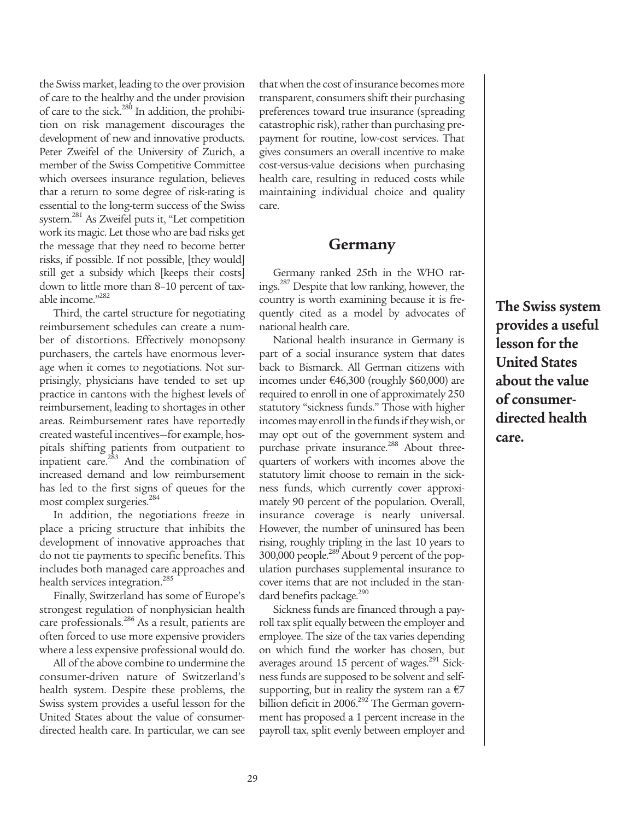the Swiss market, leading to the over provision of care to the healthy and the under provision of care to the sick.<sup>280</sup> In addition, the prohibition on risk management discourages the development of new and innovative products. Peter Zweifel of the University of Zurich, a member of the Swiss Competitive Committee which oversees insurance regulation, believes that a return to some degree of risk-rating is essential to the long-term success of the Swiss system.<sup>281</sup> As Zweifel puts it, "Let competition work its magic. Let those who are bad risks get the message that they need to become better risks, if possible. If not possible, [they would] still get a subsidy which [keeps their costs] down to little more than 8–10 percent of taxable income."282

Third, the cartel structure for negotiating reimbursement schedules can create a number of distortions. Effectively monopsony purchasers, the cartels have enormous leverage when it comes to negotiations. Not surprisingly, physicians have tended to set up practice in cantons with the highest levels of reimbursement, leading to shortages in other areas. Reimbursement rates have reportedly created wasteful incentives—for example, hospitals shifting patients from outpatient to inpatient care.283 And the combination of increased demand and low reimbursement has led to the first signs of queues for the most complex surgeries.<sup>284</sup>

In addition, the negotiations freeze in place a pricing structure that inhibits the development of innovative approaches that do not tie payments to specific benefits. This includes both managed care approaches and health services integration.<sup>285</sup>

Finally, Switzerland has some of Europe's strongest regulation of nonphysician health care professionals.286 As a result, patients are often forced to use more expensive providers where a less expensive professional would do.

All of the above combine to undermine the consumer-driven nature of Switzerland's health system. Despite these problems, the Swiss system provides a useful lesson for the United States about the value of consumerdirected health care. In particular, we can see

that when the cost of insurance becomes more transparent, consumers shift their purchasing preferences toward true insurance (spreading catastrophic risk), rather than purchasing prepayment for routine, low-cost services. That gives consumers an overall incentive to make cost-versus-value decisions when purchasing health care, resulting in reduced costs while maintaining individual choice and quality care.

#### **Germany**

Germany ranked 25th in the WHO ratings.287 Despite that low ranking, however, the country is worth examining because it is frequently cited as a model by advocates of national health care.

National health insurance in Germany is part of a social insurance system that dates back to Bismarck. All German citizens with incomes under €46,300 (roughly \$60,000) are required to enroll in one of approximately 250 statutory "sickness funds." Those with higher incomes may enroll in the funds if they wish, or may opt out of the government system and purchase private insurance.<sup>288</sup> About threequarters of workers with incomes above the statutory limit choose to remain in the sickness funds, which currently cover approximately 90 percent of the population. Overall, insurance coverage is nearly universal. However, the number of uninsured has been rising, roughly tripling in the last 10 years to 300,000 people.<sup>289</sup> About 9 percent of the population purchases supplemental insurance to cover items that are not included in the standard benefits package.<sup>290</sup>

Sickness funds are financed through a payroll tax split equally between the employer and employee. The size of the tax varies depending on which fund the worker has chosen, but averages around 15 percent of wages. $291$  Sickness funds are supposed to be solvent and selfsupporting, but in reality the system ran a  $E$ 7 billion deficit in 2006.<sup>292</sup> The German government has proposed a 1 percent increase in the payroll tax, split evenly between employer and

**The Swiss system provides a useful lesson for the United States about the value of consumerdirected health care.**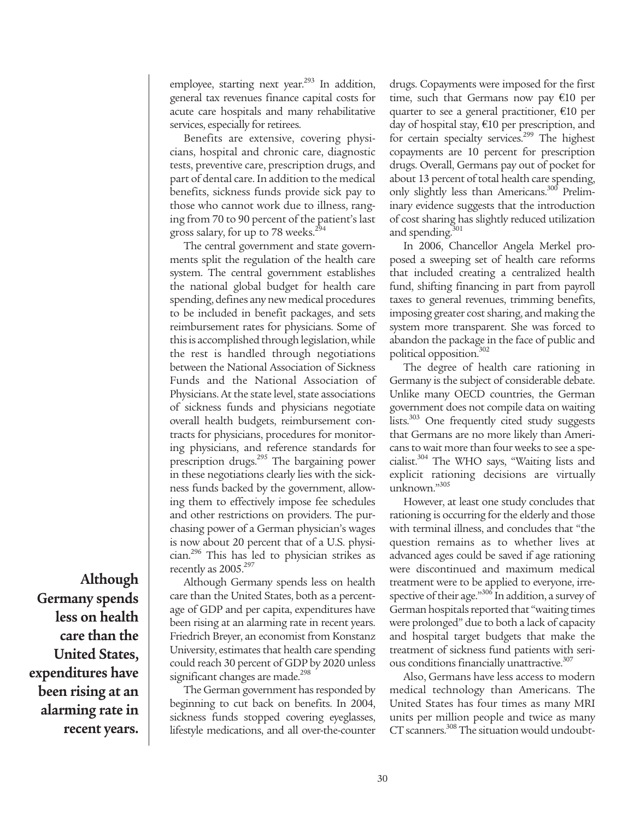employee, starting next year.<sup>293</sup> In addition, general tax revenues finance capital costs for acute care hospitals and many rehabilitative services, especially for retirees.

Benefits are extensive, covering physicians, hospital and chronic care, diagnostic tests, preventive care, prescription drugs, and part of dental care. In addition to the medical benefits, sickness funds provide sick pay to those who cannot work due to illness, ranging from 70 to 90 percent of the patient's last gross salary, for up to 78 weeks.<sup>294</sup>

The central government and state governments split the regulation of the health care system. The central government establishes the national global budget for health care spending, defines any new medical procedures to be included in benefit packages, and sets reimbursement rates for physicians. Some of this is accomplished through legislation, while the rest is handled through negotiations between the National Association of Sickness Funds and the National Association of Physicians. At the state level, state associations of sickness funds and physicians negotiate overall health budgets, reimbursement contracts for physicians, procedures for monitoring physicians, and reference standards for prescription drugs.<sup>295</sup> The bargaining power in these negotiations clearly lies with the sickness funds backed by the government, allowing them to effectively impose fee schedules and other restrictions on providers. The purchasing power of a German physician's wages is now about 20 percent that of a U.S. physician.296 This has led to physician strikes as recently as 2005.<sup>297</sup>

Although Germany spends less on health care than the United States, both as a percentage of GDP and per capita, expenditures have been rising at an alarming rate in recent years. Friedrich Breyer, an economist from Konstanz University, estimates that health care spending could reach 30 percent of GDP by 2020 unless significant changes are made.<sup>298</sup>

The German government has responded by beginning to cut back on benefits. In 2004, sickness funds stopped covering eyeglasses, lifestyle medications, and all over-the-counter

drugs. Copayments were imposed for the first time, such that Germans now pay  $\epsilon$ 10 per quarter to see a general practitioner, €10 per day of hospital stay, €10 per prescription, and for certain specialty services.<sup>299</sup> The highest copayments are 10 percent for prescription drugs. Overall, Germans pay out of pocket for about 13 percent of total health care spending, only slightly less than Americans.<sup>300</sup> Preliminary evidence suggests that the introduction of cost sharing has slightly reduced utilization and spending.<sup>301</sup>

In 2006, Chancellor Angela Merkel proposed a sweeping set of health care reforms that included creating a centralized health fund, shifting financing in part from payroll taxes to general revenues, trimming benefits, imposing greater cost sharing, and making the system more transparent. She was forced to abandon the package in the face of public and political opposition.<sup>302</sup>

The degree of health care rationing in Germany is the subject of considerable debate. Unlike many OECD countries, the German government does not compile data on waiting lists.<sup>303</sup> One frequently cited study suggests that Germans are no more likely than Americans to wait more than four weeks to see a specialist.<sup>304</sup> The WHO says, "Waiting lists and explicit rationing decisions are virtually unknown."305

However, at least one study concludes that rationing is occurring for the elderly and those with terminal illness, and concludes that "the question remains as to whether lives at advanced ages could be saved if age rationing were discontinued and maximum medical treatment were to be applied to everyone, irrespective of their age."<sup>306</sup> In addition, a survey of German hospitals reported that "waiting times were prolonged" due to both a lack of capacity and hospital target budgets that make the treatment of sickness fund patients with serious conditions financially unattractive.<sup>307</sup>

Also, Germans have less access to modern medical technology than Americans. The United States has four times as many MRI units per million people and twice as many CT scanners.<sup>308</sup> The situation would undoubt-

**Although Germany spends less on health care than the United States, expenditures have been rising at an alarming rate in recent years.**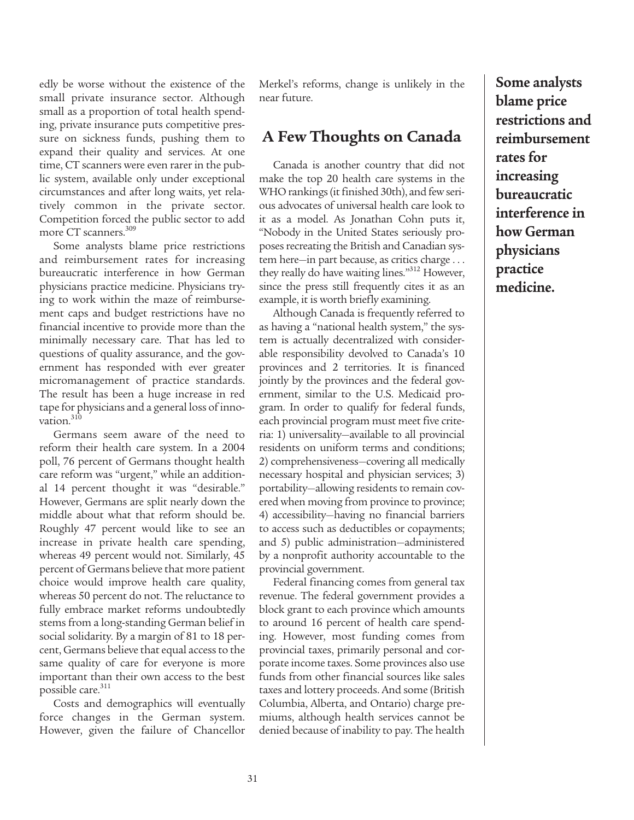edly be worse without the existence of the small private insurance sector. Although small as a proportion of total health spending, private insurance puts competitive pressure on sickness funds, pushing them to expand their quality and services. At one time, CT scanners were even rarer in the public system, available only under exceptional circumstances and after long waits, yet relatively common in the private sector. Competition forced the public sector to add more CT scanners.<sup>309</sup>

Some analysts blame price restrictions and reimbursement rates for increasing bureaucratic interference in how German physicians practice medicine. Physicians trying to work within the maze of reimbursement caps and budget restrictions have no financial incentive to provide more than the minimally necessary care. That has led to questions of quality assurance, and the government has responded with ever greater micromanagement of practice standards. The result has been a huge increase in red tape for physicians and a general loss of innovation.<sup>310</sup>

Germans seem aware of the need to reform their health care system. In a 2004 poll, 76 percent of Germans thought health care reform was "urgent," while an additional 14 percent thought it was "desirable." However, Germans are split nearly down the middle about what that reform should be. Roughly 47 percent would like to see an increase in private health care spending, whereas 49 percent would not. Similarly, 45 percent of Germans believe that more patient choice would improve health care quality, whereas 50 percent do not. The reluctance to fully embrace market reforms undoubtedly stems from a long-standing German belief in social solidarity. By a margin of 81 to 18 percent, Germans believe that equal access to the same quality of care for everyone is more important than their own access to the best possible care.<sup>311</sup>

Costs and demographics will eventually force changes in the German system. However, given the failure of Chancellor

Merkel's reforms, change is unlikely in the near future.

### **A Few Thoughts on Canada**

Canada is another country that did not make the top 20 health care systems in the WHO rankings (it finished 30th), and few serious advocates of universal health care look to it as a model. As Jonathan Cohn puts it, "Nobody in the United States seriously proposes recreating the British and Canadian system here—in part because, as critics charge . . . they really do have waiting lines."<sup>312</sup> However, since the press still frequently cites it as an example, it is worth briefly examining.

Although Canada is frequently referred to as having a "national health system," the system is actually decentralized with considerable responsibility devolved to Canada's 10 provinces and 2 territories. It is financed jointly by the provinces and the federal government, similar to the U.S. Medicaid program. In order to qualify for federal funds, each provincial program must meet five criteria: 1) universality—available to all provincial residents on uniform terms and conditions; 2) comprehensiveness—covering all medically necessary hospital and physician services; 3) portability—allowing residents to remain covered when moving from province to province; 4) accessibility—having no financial barriers to access such as deductibles or copayments; and 5) public administration—administered by a nonprofit authority accountable to the provincial government.

Federal financing comes from general tax revenue. The federal government provides a block grant to each province which amounts to around 16 percent of health care spending. However, most funding comes from provincial taxes, primarily personal and corporate income taxes. Some provinces also use funds from other financial sources like sales taxes and lottery proceeds. And some (British Columbia, Alberta, and Ontario) charge premiums, although health services cannot be denied because of inability to pay. The health

**Some analysts blame price restrictions and reimbursement rates for increasing bureaucratic interference in how German physicians practice medicine.**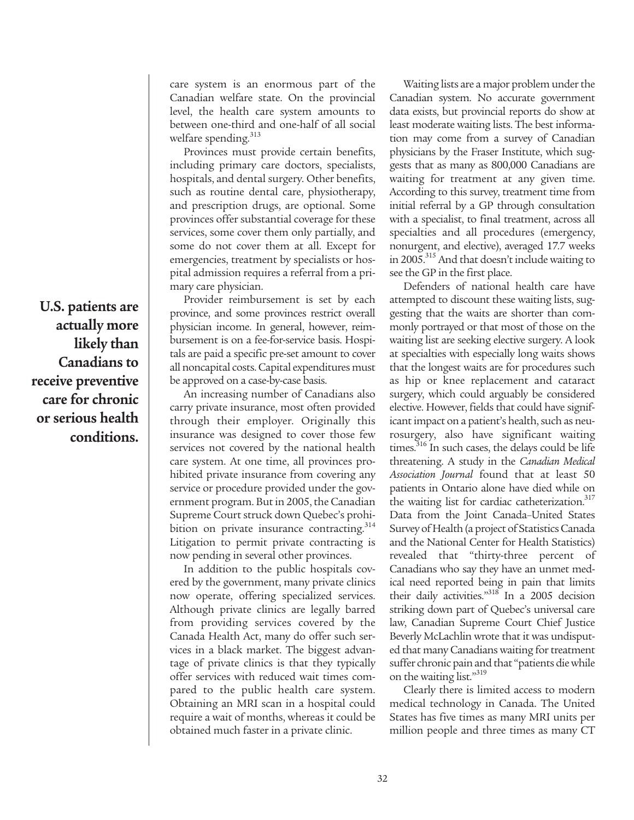**U.S. patients are actually more likely than Canadians to receive preventive**

**care for chronic or serious health**

**conditions.**

care system is an enormous part of the Canadian welfare state. On the provincial level, the health care system amounts to between one-third and one-half of all social welfare spending. $313$ 

Provinces must provide certain benefits, including primary care doctors, specialists, hospitals, and dental surgery. Other benefits, such as routine dental care, physiotherapy, and prescription drugs, are optional. Some provinces offer substantial coverage for these services, some cover them only partially, and some do not cover them at all. Except for emergencies, treatment by specialists or hospital admission requires a referral from a primary care physician.

Provider reimbursement is set by each province, and some provinces restrict overall physician income. In general, however, reimbursement is on a fee-for-service basis. Hospitals are paid a specific pre-set amount to cover all noncapital costs. Capital expenditures must be approved on a case-by-case basis.

An increasing number of Canadians also carry private insurance, most often provided through their employer. Originally this insurance was designed to cover those few services not covered by the national health care system. At one time, all provinces prohibited private insurance from covering any service or procedure provided under the government program. But in 2005, the Canadian Supreme Court struck down Quebec's prohibition on private insurance contracting.<sup>314</sup> Litigation to permit private contracting is now pending in several other provinces.

In addition to the public hospitals covered by the government, many private clinics now operate, offering specialized services. Although private clinics are legally barred from providing services covered by the Canada Health Act, many do offer such services in a black market. The biggest advantage of private clinics is that they typically offer services with reduced wait times compared to the public health care system. Obtaining an MRI scan in a hospital could require a wait of months, whereas it could be obtained much faster in a private clinic.

Waiting lists are a major problem under the Canadian system. No accurate government data exists, but provincial reports do show at least moderate waiting lists. The best information may come from a survey of Canadian physicians by the Fraser Institute, which suggests that as many as 800,000 Canadians are waiting for treatment at any given time. According to this survey, treatment time from initial referral by a GP through consultation with a specialist, to final treatment, across all specialties and all procedures (emergency, nonurgent, and elective), averaged 17.7 weeks in 2005.<sup>315</sup> And that doesn't include waiting to see the GP in the first place.

Defenders of national health care have attempted to discount these waiting lists, suggesting that the waits are shorter than commonly portrayed or that most of those on the waiting list are seeking elective surgery. A look at specialties with especially long waits shows that the longest waits are for procedures such as hip or knee replacement and cataract surgery, which could arguably be considered elective. However, fields that could have significant impact on a patient's health, such as neurosurgery, also have significant waiting times.<sup>316</sup> In such cases, the delays could be life threatening. A study in the *Canadian Medical Association Journal* found that at least 50 patients in Ontario alone have died while on the waiting list for cardiac catheterization.<sup>317</sup> Data from the Joint Canada–United States Survey of Health (a project of Statistics Canada and the National Center for Health Statistics) revealed that "thirty-three percent of Canadians who say they have an unmet medical need reported being in pain that limits their daily activities."318 In a 2005 decision striking down part of Quebec's universal care law, Canadian Supreme Court Chief Justice Beverly McLachlin wrote that it was undisputed that many Canadians waiting for treatment suffer chronic pain and that "patients die while on the waiting list."319

Clearly there is limited access to modern medical technology in Canada. The United States has five times as many MRI units per million people and three times as many CT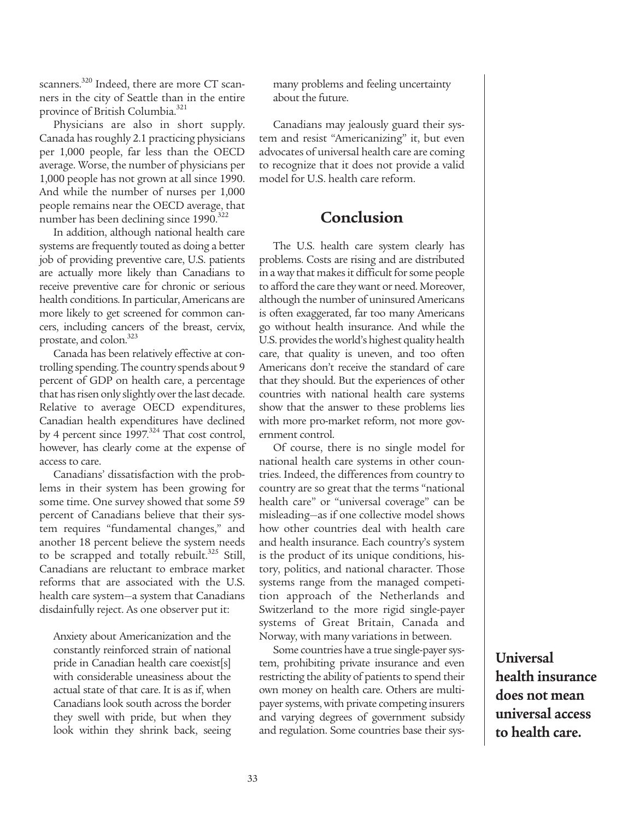scanners. $^{320}$  Indeed, there are more CT scanners in the city of Seattle than in the entire province of British Columbia.<sup>321</sup>

Physicians are also in short supply. Canada has roughly 2.1 practicing physicians per 1,000 people, far less than the OECD average. Worse, the number of physicians per 1,000 people has not grown at all since 1990. And while the number of nurses per 1,000 people remains near the OECD average, that number has been declining since  $1990.^{322}$ 

In addition, although national health care systems are frequently touted as doing a better job of providing preventive care, U.S. patients are actually more likely than Canadians to receive preventive care for chronic or serious health conditions. In particular, Americans are more likely to get screened for common cancers, including cancers of the breast, cervix, prostate, and colon.<sup>323</sup>

Canada has been relatively effective at controlling spending. The country spends about 9 percent of GDP on health care, a percentage that has risen only slightly over the last decade. Relative to average OECD expenditures, Canadian health expenditures have declined by 4 percent since  $1997^{324}$  That cost control, however, has clearly come at the expense of access to care.

Canadians' dissatisfaction with the problems in their system has been growing for some time. One survey showed that some 59 percent of Canadians believe that their system requires "fundamental changes," and another 18 percent believe the system needs to be scrapped and totally rebuilt.<sup>325</sup> Still, Canadians are reluctant to embrace market reforms that are associated with the U.S. health care system—a system that Canadians disdainfully reject. As one observer put it:

Anxiety about Americanization and the constantly reinforced strain of national pride in Canadian health care coexist[s] with considerable uneasiness about the actual state of that care. It is as if, when Canadians look south across the border they swell with pride, but when they look within they shrink back, seeing many problems and feeling uncertainty about the future.

Canadians may jealously guard their system and resist "Americanizing" it, but even advocates of universal health care are coming to recognize that it does not provide a valid model for U.S. health care reform.

#### **Conclusion**

The U.S. health care system clearly has problems. Costs are rising and are distributed in a way that makes it difficult for some people to afford the care they want or need. Moreover, although the number of uninsured Americans is often exaggerated, far too many Americans go without health insurance. And while the U.S. provides the world's highest quality health care, that quality is uneven, and too often Americans don't receive the standard of care that they should. But the experiences of other countries with national health care systems show that the answer to these problems lies with more pro-market reform, not more government control.

Of course, there is no single model for national health care systems in other countries. Indeed, the differences from country to country are so great that the terms "national health care" or "universal coverage" can be misleading—as if one collective model shows how other countries deal with health care and health insurance. Each country's system is the product of its unique conditions, history, politics, and national character. Those systems range from the managed competition approach of the Netherlands and Switzerland to the more rigid single-payer systems of Great Britain, Canada and Norway, with many variations in between.

Some countries have a true single-payer system, prohibiting private insurance and even restricting the ability of patients to spend their own money on health care. Others are multipayer systems, with private competing insurers and varying degrees of government subsidy and regulation. Some countries base their sys-

**Universal health insurance does not mean universal access to health care.**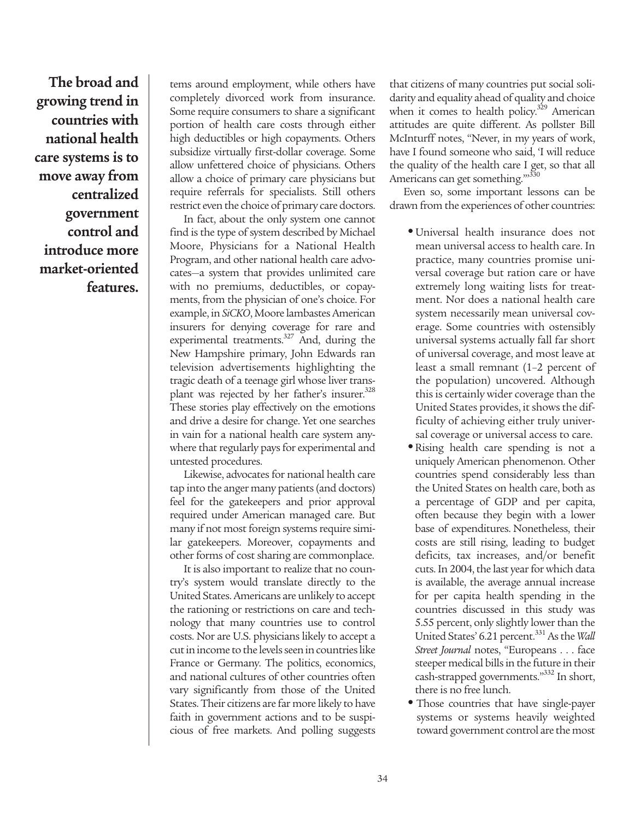**The broad and growing trend in countries with national health care systems is to move away from centralized government control and introduce more market-oriented features.**

tems around employment, while others have completely divorced work from insurance. Some require consumers to share a significant portion of health care costs through either high deductibles or high copayments. Others subsidize virtually first-dollar coverage. Some allow unfettered choice of physicians. Others allow a choice of primary care physicians but require referrals for specialists. Still others restrict even the choice of primary care doctors.

In fact, about the only system one cannot find is the type of system described by Michael Moore, Physicians for a National Health Program, and other national health care advocates—a system that provides unlimited care with no premiums, deductibles, or copayments, from the physician of one's choice. For example, in *SiCKO*, Moore lambastes American insurers for denying coverage for rare and experimental treatments.<sup>327</sup> And, during the New Hampshire primary, John Edwards ran television advertisements highlighting the tragic death of a teenage girl whose liver transplant was rejected by her father's insurer.<sup>328</sup> These stories play effectively on the emotions and drive a desire for change. Yet one searches in vain for a national health care system anywhere that regularly pays for experimental and untested procedures.

Likewise, advocates for national health care tap into the anger many patients (and doctors) feel for the gatekeepers and prior approval required under American managed care. But many if not most foreign systems require similar gatekeepers. Moreover, copayments and other forms of cost sharing are commonplace.

It is also important to realize that no country's system would translate directly to the United States. Americans are unlikely to accept the rationing or restrictions on care and technology that many countries use to control costs. Nor are U.S. physicians likely to accept a cut in income to the levels seen in countries like France or Germany. The politics, economics, and national cultures of other countries often vary significantly from those of the United States. Their citizens are far more likely to have faith in government actions and to be suspicious of free markets. And polling suggests

that citizens of many countries put social solidarity and equality ahead of quality and choice when it comes to health policy.<sup>329</sup> American attitudes are quite different. As pollster Bill McInturff notes, "Never, in my years of work, have I found someone who said, 'I will reduce the quality of the health care I get, so that all Americans can get something."330

Even so, some important lessons can be drawn from the experiences of other countries:

- **•** Universal health insurance does not mean universal access to health care. In practice, many countries promise universal coverage but ration care or have extremely long waiting lists for treatment. Nor does a national health care system necessarily mean universal coverage. Some countries with ostensibly universal systems actually fall far short of universal coverage, and most leave at least a small remnant (1–2 percent of the population) uncovered. Although this is certainly wider coverage than the United States provides, it shows the difficulty of achieving either truly universal coverage or universal access to care.
- **•** Rising health care spending is not a uniquely American phenomenon. Other countries spend considerably less than the United States on health care, both as a percentage of GDP and per capita, often because they begin with a lower base of expenditures. Nonetheless, their costs are still rising, leading to budget deficits, tax increases, and/or benefit cuts. In 2004, the last year for which data is available, the average annual increase for per capita health spending in the countries discussed in this study was 5.55 percent, only slightly lower than the United States' 6.21 percent.<sup>331</sup> As the *Wall Street Journal* notes, "Europeans . . . face steeper medical bills in the future in their cash-strapped governments."332 In short, there is no free lunch.
- Those countries that have single-payer systems or systems heavily weighted toward government control are the most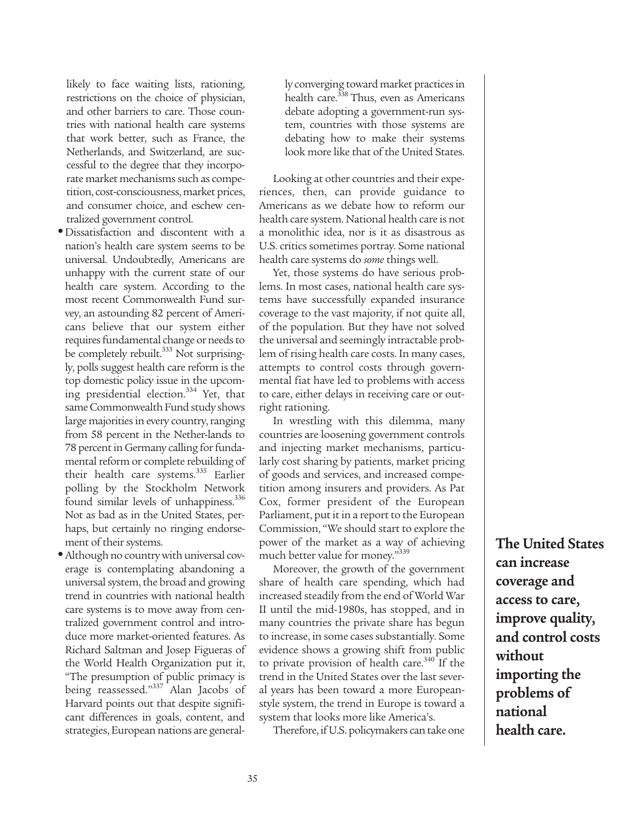likely to face waiting lists, rationing, restrictions on the choice of physician, and other barriers to care. Those countries with national health care systems that work better, such as France, the Netherlands, and Switzerland, are successful to the degree that they incorporate market mechanisms such as competition, cost-consciousness, market prices, and consumer choice, and eschew centralized government control.

- **•** Dissatisfaction and discontent with a nation's health care system seems to be universal. Undoubtedly, Americans are unhappy with the current state of our health care system. According to the most recent Commonwealth Fund survey, an astounding 82 percent of Americans believe that our system either requires fundamental change or needs to be completely rebuilt.<sup>333</sup> Not surprisingly, polls suggest health care reform is the top domestic policy issue in the upcoming presidential election.<sup>334</sup> Yet, that same Commonwealth Fund study shows large majorities in every country, ranging from 58 percent in the Nether-lands to 78 percent in Germany calling for fundamental reform or complete rebuilding of their health care systems.<sup>335</sup> Earlier polling by the Stockholm Network found similar levels of unhappiness.<sup>336</sup> Not as bad as in the United States, perhaps, but certainly no ringing endorsement of their systems.
- **•** Although no country with universal coverage is contemplating abandoning a universal system, the broad and growing trend in countries with national health care systems is to move away from centralized government control and introduce more market-oriented features. As Richard Saltman and Josep Figueras of the World Health Organization put it, "The presumption of public primacy is being reassessed."<sup>337</sup> Alan Jacobs of Harvard points out that despite significant differences in goals, content, and strategies, European nations are general-

ly converging toward market practices in health care.<sup>338</sup> Thus, even as Americans debate adopting a government-run system, countries with those systems are debating how to make their systems look more like that of the United States.

Looking at other countries and their experiences, then, can provide guidance to Americans as we debate how to reform our health care system. National health care is not a monolithic idea, nor is it as disastrous as U.S. critics sometimes portray. Some national health care systems do *some* things well.

Yet, those systems do have serious problems. In most cases, national health care systems have successfully expanded insurance coverage to the vast majority, if not quite all, of the population. But they have not solved the universal and seemingly intractable problem of rising health care costs. In many cases, attempts to control costs through governmental fiat have led to problems with access to care, either delays in receiving care or outright rationing.

In wrestling with this dilemma, many countries are loosening government controls and injecting market mechanisms, particularly cost sharing by patients, market pricing of goods and services, and increased competition among insurers and providers. As Pat Cox, former president of the European Parliament, put it in a report to the European Commission, "We should start to explore the power of the market as a way of achieving much better value for money."339

Moreover, the growth of the government share of health care spending, which had increased steadily from the end of World War II until the mid-1980s, has stopped, and in many countries the private share has begun to increase, in some cases substantially. Some evidence shows a growing shift from public to private provision of health care.<sup>340</sup> If the trend in the United States over the last several years has been toward a more Europeanstyle system, the trend in Europe is toward a system that looks more like America's.

Therefore, if U.S. policymakers can take one

**The United States can increase coverage and access to care, improve quality, and control costs without importing the problems of national health care.**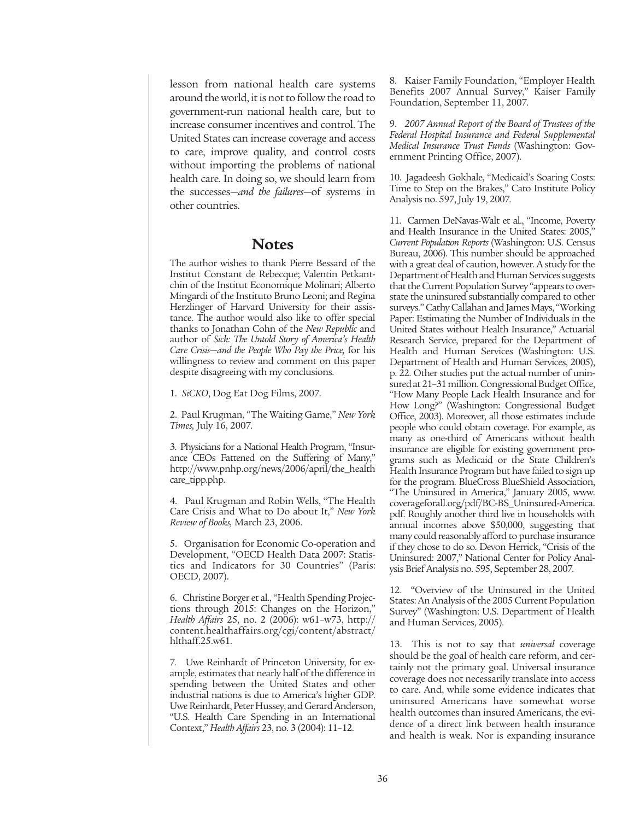lesson from national health care systems around the world, it is not to follow the road to government-run national health care, but to increase consumer incentives and control. The United States can increase coverage and access to care, improve quality, and control costs without importing the problems of national health care. In doing so, we should learn from the successes—*and the failures*—of systems in other countries.

#### **Notes**

The author wishes to thank Pierre Bessard of the Institut Constant de Rebecque; Valentin Petkantchin of the Institut Economique Molinari; Alberto Mingardi of the Instituto Bruno Leoni; and Regina Herzlinger of Harvard University for their assistance. The author would also like to offer special thanks to Jonathan Cohn of the *New Republic* and author of *Sick: The Untold Story of America's Health Care Crisis—and the People Who Pay the Price,* for his willingness to review and comment on this paper despite disagreeing with my conclusions.

1. *SiCKO*, Dog Eat Dog Films, 2007.

2. Paul Krugman, "The Waiting Game," *New York Times,* July 16, 2007.

3. Physicians for a National Health Program, "Insurance CEOs Fattened on the Suffering of Many," http://www.pnhp.org/news/2006/april/the\_health care\_tipp.php.

4. Paul Krugman and Robin Wells, "The Health Care Crisis and What to Do about It," *New York Review of Books,* March 23, 2006.

5. Organisation for Economic Co-operation and Development, "OECD Health Data 2007: Statistics and Indicators for 30 Countries" (Paris: OECD, 2007).

6. Christine Borger et al., "Health Spending Projections through 2015: Changes on the Horizon," *Health Affairs* 25, no. 2 (2006): w61–w73, http:// content.healthaffairs.org/cgi/content/abstract/ hlthaff.25.w61.

7. Uwe Reinhardt of Princeton University, for example, estimates that nearly half of the difference in spending between the United States and other industrial nations is due to America's higher GDP. Uwe Reinhardt, Peter Hussey, and Gerard Anderson, "U.S. Health Care Spending in an International Context," *Health Affairs* 23, no. 3 (2004): 11–12.

8. Kaiser Family Foundation, "Employer Health Benefits 2007 Annual Survey," Kaiser Family Foundation, September 11, 2007.

9. *2007 Annual Report of the Board of Trustees of the Federal Hospital Insurance and Federal Supplemental Medical Insurance Trust Funds* (Washington: Government Printing Office, 2007).

10. Jagadeesh Gokhale, "Medicaid's Soaring Costs: Time to Step on the Brakes," Cato Institute Policy Analysis no. 597, July 19, 2007.

11. Carmen DeNavas-Walt et al., "Income, Poverty and Health Insurance in the United States: 2005," *Current Population Reports* (Washington: U.S. Census Bureau, 2006). This number should be approached with a great deal of caution, however. A study for the Department of Health and Human Services suggests that the Current Population Survey "appears to overstate the uninsured substantially compared to other surveys." Cathy Callahan and James Mays, "Working Paper: Estimating the Number of Individuals in the United States without Health Insurance," Actuarial Research Service, prepared for the Department of Health and Human Services (Washington: U.S. Department of Health and Human Services, 2005), p. 22. Other studies put the actual number of uninsured at 21–31 million. Congressional Budget Office, "How Many People Lack Health Insurance and for How Long?" (Washington: Congressional Budget Office, 2003). Moreover, all those estimates include people who could obtain coverage. For example, as many as one-third of Americans without health insurance are eligible for existing government programs such as Medicaid or the State Children's Health Insurance Program but have failed to sign up for the program. BlueCross BlueShield Association, "The Uninsured in America," January 2005, www. coverageforall.org/pdf/BC-BS\_Uninsured-America. pdf. Roughly another third live in households with annual incomes above \$50,000, suggesting that many could reasonably afford to purchase insurance if they chose to do so. Devon Herrick, "Crisis of the Uninsured: 2007," National Center for Policy Analysis Brief Analysis no. 595, September 28, 2007.

12. "Overview of the Uninsured in the United States: An Analysis of the 2005 Current Population Survey" (Washington: U.S. Department of Health and Human Services, 2005).

13. This is not to say that *universal* coverage should be the goal of health care reform, and certainly not the primary goal. Universal insurance coverage does not necessarily translate into access to care. And, while some evidence indicates that uninsured Americans have somewhat worse health outcomes than insured Americans, the evidence of a direct link between health insurance and health is weak. Nor is expanding insurance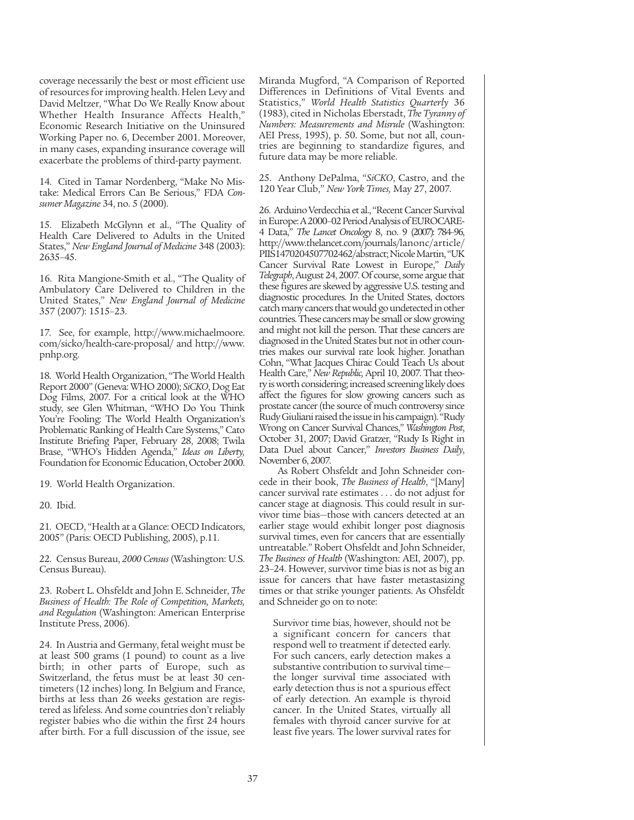coverage necessarily the best or most efficient use of resources for improving health. Helen Levy and David Meltzer, "What Do We Really Know about Whether Health Insurance Affects Health," Economic Research Initiative on the Uninsured Working Paper no. 6, December 2001. Moreover, in many cases, expanding insurance coverage will exacerbate the problems of third-party payment.

14. Cited in Tamar Nordenberg, "Make No Mistake: Medical Errors Can Be Serious," FDA *Consumer Magazine* 34, no. 5 (2000).

15. Elizabeth McGlynn et al., "The Quality of Health Care Delivered to Adults in the United States," *New England Journal of Medicine* 348 (2003): 2635–45.

16. Rita Mangione-Smith et al., "The Quality of Ambulatory Care Delivered to Children in the United States," *New England Journal of Medicine* 357 (2007): 1515–23.

17. See, for example, http://www.michaelmoore. com/sicko/health-care-proposal/ and http://www. pnhp.org.

18. World Health Organization, "The World Health Report 2000" (Geneva: WHO 2000); *SiCKO*, Dog Eat Dog Films, 2007. For a critical look at the WHO study, see Glen Whitman, "WHO Do You Think You're Fooling: The World Health Organization's Problematic Ranking of Health Care Systems," Cato Institute Briefing Paper, February 28, 2008; Twila Brase, "WHO's Hidden Agenda," *Ideas on Liberty,* Foundation for Economic Education, October 2000.

19. World Health Organization.

20. Ibid.

21. OECD, "Health at a Glance: OECD Indicators, 2005" (Paris: OECD Publishing, 2005), p.11.

22. Census Bureau, *2000 Census* (Washington: U.S. Census Bureau).

23. Robert L. Ohsfeldt and John E. Schneider, *The Business of Health: The Role of Competition, Markets, and Regulation* (Washington: American Enterprise Institute Press, 2006).

24. In Austria and Germany, fetal weight must be at least 500 grams (1 pound) to count as a live birth; in other parts of Europe, such as Switzerland, the fetus must be at least 30 centimeters (12 inches) long. In Belgium and France, births at less than 26 weeks gestation are registered as lifeless. And some countries don't reliably register babies who die within the first 24 hours after birth. For a full discussion of the issue, see Miranda Mugford, "A Comparison of Reported Differences in Definitions of Vital Events and Statistics," *World Health Statistics Quarterly* 36 (1983), cited in Nicholas Eberstadt, *The Tyranny of Numbers: Measurements and Misrule* (Washington: AEI Press, 1995), p. 50. Some, but not all, countries are beginning to standardize figures, and future data may be more reliable.

25. Anthony DePalma, "*SiCKO*, Castro, and the 120 Year Club," *New York Times,* May 27, 2007.

26. Arduino Verdecchia et al., "Recent Cancer Survival in Europe: A 2000–02 Period Analysis of EUROCARE-4 Data," *The Lancet Oncology* 8, no. 9 (2007): 784–96, http://www.thelancet.com/journals/lanonc/article/ PIIS1470204507702462/abstract; Nicole Martin, "UK Cancer Survival Rate Lowest in Europe," *Daily Telegraph*, August 24, 2007. Of course, some argue that these figures are skewed by aggressive U.S. testing and diagnostic procedures. In the United States, doctors catch many cancers that would go undetected in other countries. These cancers may be small or slow growing and might not kill the person. That these cancers are diagnosed in the United States but not in other countries makes our survival rate look higher. Jonathan Cohn, "What Jacques Chirac Could Teach Us about Health Care," *New Republic,* April 10, 2007. That theory is worth considering; increased screening likely does affect the figures for slow growing cancers such as prostate cancer (the source of much controversy since Rudy Giuliani raised the issue in his campaign). "Rudy Wrong on Cancer Survival Chances," *Washington Post*, October 31, 2007; David Gratzer, "Rudy Is Right in Data Duel about Cancer," *Investors Business Daily*, November 6, 2007.

As Robert Ohsfeldt and John Schneider concede in their book, *The Business of Health*, "[Many] cancer survival rate estimates . . . do not adjust for cancer stage at diagnosis. This could result in survivor time bias—those with cancers detected at an earlier stage would exhibit longer post diagnosis survival times, even for cancers that are essentially untreatable." Robert Ohsfeldt and John Schneider, *The Business of Health* (Washington: AEI, 2007), pp. 23–24. However, survivor time bias is not as big an issue for cancers that have faster metastasizing times or that strike younger patients. As Ohsfeldt and Schneider go on to note:

Survivor time bias, however, should not be a significant concern for cancers that respond well to treatment if detected early. For such cancers, early detection makes a substantive contribution to survival time the longer survival time associated with early detection thus is not a spurious effect of early detection. An example is thyroid cancer. In the United States, virtually all females with thyroid cancer survive for at least five years. The lower survival rates for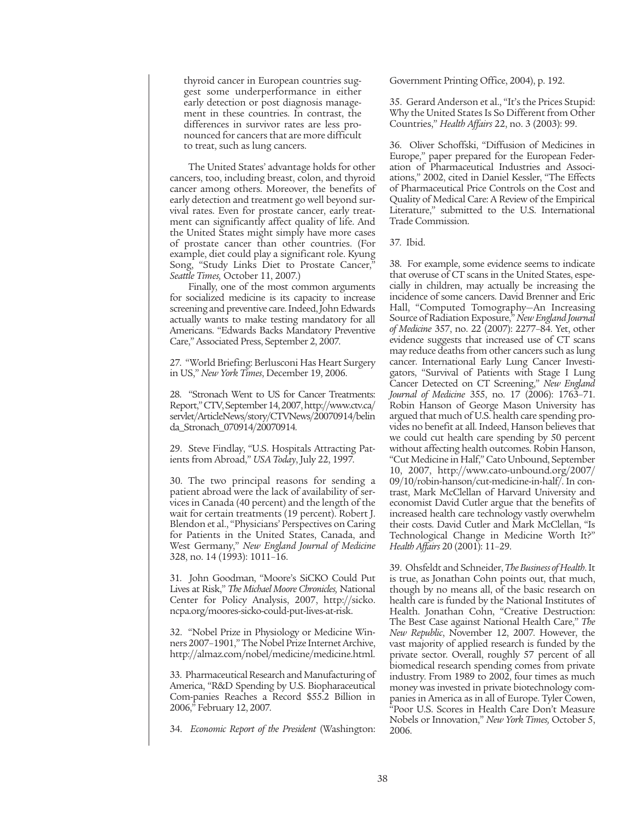thyroid cancer in European countries suggest some underperformance in either early detection or post diagnosis management in these countries. In contrast, the differences in survivor rates are less pronounced for cancers that are more difficult to treat, such as lung cancers.

The United States' advantage holds for other cancers, too, including breast, colon, and thyroid cancer among others. Moreover, the benefits of early detection and treatment go well beyond survival rates. Even for prostate cancer, early treatment can significantly affect quality of life. And the United States might simply have more cases of prostate cancer than other countries. (For example, diet could play a significant role. Kyung Song, "Study Links Diet to Prostate Cancer," *Seattle Times,* October 11, 2007.)

Finally, one of the most common arguments for socialized medicine is its capacity to increase screening and preventive care. Indeed, John Edwards actually wants to make testing mandatory for all Americans. "Edwards Backs Mandatory Preventive Care," Associated Press, September 2, 2007.

27. "World Briefing: Berlusconi Has Heart Surgery in US," *New York Times*, December 19, 2006.

28. "Stronach Went to US for Cancer Treatments: Report," CTV, September 14, 2007, http://www.ctv.ca/ servlet/ArticleNews/story/CTVNews/20070914/belin da\_Stronach\_070914/20070914.

29. Steve Findlay, "U.S. Hospitals Attracting Patients from Abroad," *USA Today*, July 22, 1997.

30. The two principal reasons for sending a patient abroad were the lack of availability of services in Canada (40 percent) and the length of the wait for certain treatments (19 percent). Robert J. Blendon et al., "Physicians' Perspectives on Caring for Patients in the United States, Canada, and West Germany," *New England Journal of Medicine* 328, no. 14 (1993): 1011–16.

31. John Goodman, "Moore's SiCKO Could Put Lives at Risk," *The Michael Moore Chronicles,* National Center for Policy Analysis, 2007, http://sicko. ncpa.org/moores-sicko-could-put-lives-at-risk.

32. "Nobel Prize in Physiology or Medicine Winners 2007–1901," The Nobel Prize Internet Archive, http://almaz.com/nobel/medicine/medicine.html.

33. Pharmaceutical Research and Manufacturing of America, "R&D Spending by U.S. Biopharaceutical Com-panies Reaches a Record \$55.2 Billion in 2006," February 12, 2007.

34. *Economic Report of the President* (Washington:

Government Printing Office, 2004), p. 192.

35. Gerard Anderson et al., "It's the Prices Stupid: Why the United States Is So Different from Other Countries," *Health Affairs* 22, no. 3 (2003): 99.

36. Oliver Schoffski, "Diffusion of Medicines in Europe," paper prepared for the European Federation of Pharmaceutical Industries and Associations," 2002, cited in Daniel Kessler, "The Effects of Pharmaceutical Price Controls on the Cost and Quality of Medical Care: A Review of the Empirical Literature," submitted to the U.S. International Trade Commission.

#### 37. Ibid.

38. For example, some evidence seems to indicate that overuse of CT scans in the United States, especially in children, may actually be increasing the incidence of some cancers. David Brenner and Eric Hall, "Computed Tomography—An Increasing Source of Radiation Exposure," *New England Journal of Medicine* 357, no. 22 (2007): 2277–84. Yet, other evidence suggests that increased use of CT scans may reduce deaths from other cancers such as lung cancer. International Early Lung Cancer Investigators, "Survival of Patients with Stage I Lung Cancer Detected on CT Screening," *New England Journal of Medicine* 355, no. 17 (2006): 1763–71. Robin Hanson of George Mason University has argued that much of U.S. health care spending provides no benefit at all. Indeed, Hanson believes that we could cut health care spending by 50 percent without affecting health outcomes. Robin Hanson, "Cut Medicine in Half," Cato Unbound, September 10, 2007, http://www.cato-unbound.org/2007/ 09/10/robin-hanson/cut-medicine-in-half/. In contrast, Mark McClellan of Harvard University and economist David Cutler argue that the benefits of increased health care technology vastly overwhelm their costs. David Cutler and Mark McClellan, "Is Technological Change in Medicine Worth It?" *Health Affairs* 20 (2001): 11–29.

39. Ohsfeldt and Schneider, *The Business of Health*. It is true, as Jonathan Cohn points out, that much, though by no means all, of the basic research on health care is funded by the National Institutes of Health. Jonathan Cohn, "Creative Destruction: The Best Case against National Health Care," *The New Republic*, November 12, 2007. However, the vast majority of applied research is funded by the private sector. Overall, roughly 57 percent of all biomedical research spending comes from private industry. From 1989 to 2002, four times as much money was invested in private biotechnology companies in America as in all of Europe. Tyler Cowen, "Poor U.S. Scores in Health Care Don't Measure Nobels or Innovation," *New York Times,* October 5, 2006.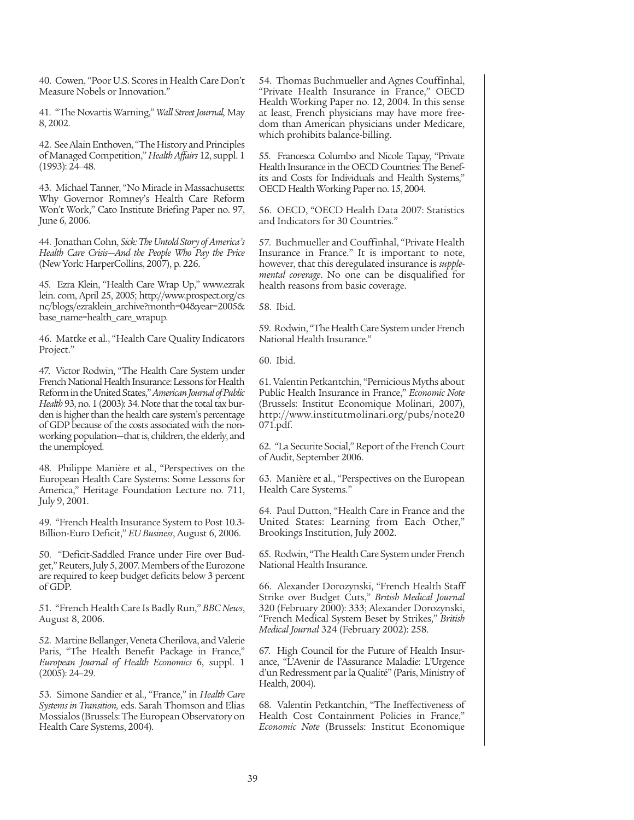40. Cowen, "Poor U.S. Scores in Health Care Don't Measure Nobels or Innovation."

41. "The Novartis Warning," *Wall Street Journal,* May 8, 2002.

42. See Alain Enthoven, "The History and Principles of Managed Competition," *Health Affairs* 12, suppl. 1 (1993): 24–48.

43. Michael Tanner, "No Miracle in Massachusetts: Why Governor Romney's Health Care Reform Won't Work," Cato Institute Briefing Paper no. 97, June 6, 2006.

44. Jonathan Cohn, *Sick: The Untold Story of America's Health Care Crisis—And the People Who Pay the Price* (New York: HarperCollins, 2007), p. 226.

45. Ezra Klein, "Health Care Wrap Up," www.ezrak lein. com, April 25, 2005; http://www.prospect.org/cs nc/blogs/ezraklein\_archive?month=04&year=2005& base\_name=health\_care\_wrapup.

46. Mattke et al., "Health Care Quality Indicators Project."

47. Victor Rodwin, "The Health Care System under French National Health Insurance: Lessons for Health Reform in the United States," *American Journal of Public Health* 93, no. 1 (2003): 34. Note that the total tax burden is higher than the health care system's percentage of GDP because of the costs associated with the nonworking population—that is, children, the elderly, and the unemployed.

48. Philippe Manière et al., "Perspectives on the European Health Care Systems: Some Lessons for America," Heritage Foundation Lecture no. 711, July 9, 2001.

49. "French Health Insurance System to Post 10.3- Billion-Euro Deficit," *EU Business*, August 6, 2006.

50. "Deficit-Saddled France under Fire over Budget," Reuters, July 5, 2007. Members of the Eurozone are required to keep budget deficits below 3 percent of GDP.

51. "French Health Care Is Badly Run," *BBC News*, August 8, 2006.

52. Martine Bellanger, Veneta Cherilova, and Valerie Paris, "The Health Benefit Package in France," *European Journal of Health Economics* 6, suppl. 1 (2005): 24–29.

53. Simone Sandier et al., "France," in *Health Care Systems in Transition,* eds. Sarah Thomson and Elias Mossialos (Brussels: The European Observatory on Health Care Systems, 2004).

54. Thomas Buchmueller and Agnes Couffinhal, "Private Health Insurance in France," OECD Health Working Paper no. 12, 2004. In this sense at least, French physicians may have more freedom than American physicians under Medicare, which prohibits balance-billing.

55. Francesca Columbo and Nicole Tapay, "Private Health Insurance in the OECD Countries: The Benefits and Costs for Individuals and Health Systems," OECD Health Working Paper no. 15, 2004.

56. OECD, "OECD Health Data 2007: Statistics and Indicators for 30 Countries."

57. Buchmueller and Couffinhal, "Private Health Insurance in France." It is important to note, however, that this deregulated insurance is *supplemental coverage*. No one can be disqualified for health reasons from basic coverage.

58. Ibid.

59. Rodwin, "The Health Care System under French National Health Insurance."

60. Ibid.

61. Valentin Petkantchin, "Pernicious Myths about Public Health Insurance in France," *Economic Note* (Brussels: Institut Economique Molinari, 2007), http://www.institutmolinari.org/pubs/note20 071.pdf.

62. "La Securite Social," Report of the French Court of Audit, September 2006.

63. Manière et al., "Perspectives on the European Health Care Systems."

64. Paul Dutton, "Health Care in France and the United States: Learning from Each Other," Brookings Institution, July 2002.

65. Rodwin, "The Health Care System under French National Health Insurance.

66. Alexander Dorozynski, "French Health Staff Strike over Budget Cuts," *British Medical Journal* 320 (February 2000): 333; Alexander Dorozynski, "French Medical System Beset by Strikes," *British Medical Journal* 324 (February 2002): 258.

67. High Council for the Future of Health Insurance, "L'Avenir de l'Assurance Maladie: L'Urgence d'un Redressment par la Qualité" (Paris, Ministry of Health, 2004).

68. Valentin Petkantchin, "The Ineffectiveness of Health Cost Containment Policies in France," *Economic Note* (Brussels: Institut Economique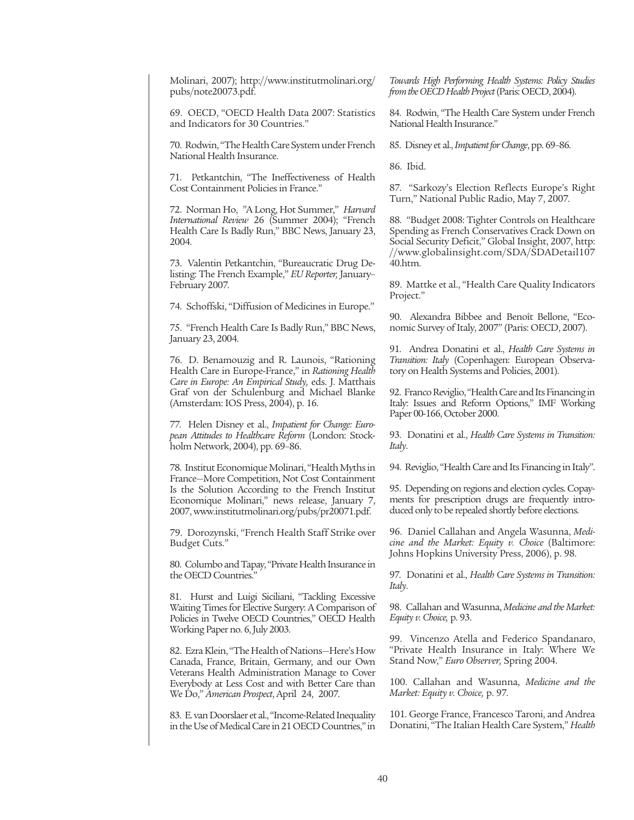Molinari, 2007); http://www.institutmolinari.org/ pubs/note20073.pdf.

69. OECD, "OECD Health Data 2007: Statistics and Indicators for 30 Countries."

70. Rodwin, "The Health Care System under French National Health Insurance.

71. Petkantchin, "The Ineffectiveness of Health Cost Containment Policies in France."

72. Norman Ho, "A Long, Hot Summer," *Harvard International Review* 26 (Summer 2004); "French Health Care Is Badly Run," BBC News, January 23, 2004.

73. Valentin Petkantchin, "Bureaucratic Drug Delisting: The French Example," *EU Reporter,* January– February 2007.

74. Schoffski, "Diffusion of Medicines in Europe."

75. "French Health Care Is Badly Run," BBC News, January 23, 2004.

76. D. Benamouzig and R. Launois, "Rationing Health Care in Europe-France," in *Rationing Health Care in Europe: An Empirical Study,* eds. J. Matthais Graf von der Schulenburg and Michael Blanke (Amsterdam: IOS Press, 2004), p. 16.

77. Helen Disney et al., *Impatient for Change: European Attitudes to Healthcare Reform* (London: Stockholm Network, 2004), pp. 69–86.

78. Institut Economique Molinari, "Health Myths in France—More Competition, Not Cost Containment Is the Solution According to the French Institut Economique Molinari," news release, January 7, 2007, www.institutmolinari.org/pubs/pr20071.pdf.

79. Dorozynski, "French Health Staff Strike over Budget Cuts."

80. Columbo and Tapay, "Private Health Insurance in the OECD Countries."

81. Hurst and Luigi Siciliani, "Tackling Excessive Waiting Times for Elective Surgery: A Comparison of Policies in Twelve OECD Countries," OECD Health Working Paper no. 6, July 2003.

82. Ezra Klein, "The Health of Nations—Here's How Canada, France, Britain, Germany, and our Own Veterans Health Administration Manage to Cover Everybody at Less Cost and with Better Care than We Do," *American Prospect*, April 24, 2007.

83. E. van Doorslaer et al., "Income-Related Inequality in the Use of Medical Care in 21 OECD Countries," in

*Towards High Performing Health Systems: Policy Studies from the OECD Health Project*(Paris: OECD, 2004).

84. Rodwin, "The Health Care System under French National Health Insurance."

85. Disney et al., *Impatient for Change*, pp. 69–86.

86. Ibid.

87. "Sarkozy's Election Reflects Europe's Right Turn," National Public Radio, May 7, 2007.

88. "Budget 2008: Tighter Controls on Healthcare Spending as French Conservatives Crack Down on Social Security Deficit," Global Insight, 2007, http: //www.globalinsight.com/SDA/SDADetail107  $40 \, \text{hrm}$ 

89. Mattke et al., "Health Care Quality Indicators Project."

90. Alexandra Bibbee and Benoît Bellone, "Economic Survey of Italy, 2007" (Paris: OECD, 2007).

91. Andrea Donatini et al., *Health Care Systems in Transition: Italy* (Copenhagen: European Observatory on Health Systems and Policies, 2001).

92. Franco Reviglio, "Health Care and Its Financing in Italy: Issues and Reform Options," IMF Working Paper 00-166, October 2000.

93. Donatini et al., *Health Care Systems in Transition: Italy*.

94. Reviglio, "Health Care and Its Financing in Italy".

95. Depending on regions and election cycles. Copayments for prescription drugs are frequently introduced only to be repealed shortly before elections.

96. Daniel Callahan and Angela Wasunna, *Medicine and the Market: Equity v. Choice* (Baltimore: Johns Hopkins University Press, 2006), p. 98.

97. Donatini et al., *Health Care Systems in Transition: Italy*.

98. Callahan and Wasunna, *Medicine and the Market: Equity v. Choice,* p. 93.

99. Vincenzo Atella and Federico Spandanaro, "Private Health Insurance in Italy: Where We Stand Now," *Euro Observer,* Spring 2004.

100. Callahan and Wasunna, *Medicine and the Market: Equity v. Choice,* p. 97.

101. George France, Francesco Taroni, and Andrea Donatini, "The Italian Health Care System," *Health*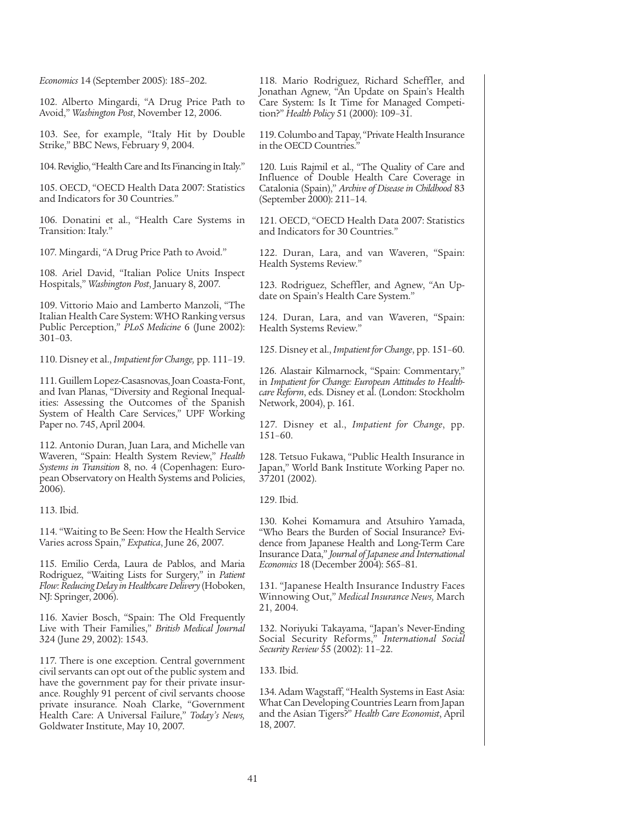*Economics* 14 (September 2005): 185–202.

102. Alberto Mingardi, "A Drug Price Path to Avoid," *Washington Post*, November 12, 2006.

103. See, for example, "Italy Hit by Double Strike," BBC News, February 9, 2004.

104. Reviglio, "Health Care and Its Financing in Italy."

105. OECD, "OECD Health Data 2007: Statistics and Indicators for 30 Countries."

106. Donatini et al., "Health Care Systems in Transition: Italy."

107. Mingardi, "A Drug Price Path to Avoid."

108. Ariel David, "Italian Police Units Inspect Hospitals," *Washington Post*, January 8, 2007.

109. Vittorio Maio and Lamberto Manzoli, "The Italian Health Care System: WHO Ranking versus Public Perception," *PLoS Medicine* 6 (June 2002): 301–03.

110. Disney et al., *Impatient for Change,* pp. 111–19.

111. Guillem Lopez-Casasnovas, Joan Coasta-Font, and Ivan Planas, "Diversity and Regional Inequalities: Assessing the Outcomes of the Spanish System of Health Care Services," UPF Working Paper no. 745, April 2004.

112. Antonio Duran, Juan Lara, and Michelle van Waveren, "Spain: Health System Review," *Health Systems in Transition* 8, no. 4 (Copenhagen: European Observatory on Health Systems and Policies, 2006).

113. Ibid.

114. "Waiting to Be Seen: How the Health Service Varies across Spain," *Expatica*, June 26, 2007.

115. Emilio Cerda, Laura de Pablos, and Maria Rodriguez, "Waiting Lists for Surgery," in *Patient Flow: Reducing Delay in Healthcare Delivery* (Hoboken, NJ: Springer, 2006).

116. Xavier Bosch, "Spain: The Old Frequently Live with Their Families," *British Medical Journal* 324 (June 29, 2002): 1543.

117. There is one exception. Central government civil servants can opt out of the public system and have the government pay for their private insurance. Roughly 91 percent of civil servants choose private insurance. Noah Clarke, "Government Health Care: A Universal Failure," *Today's News,* Goldwater Institute, May 10, 2007.

118. Mario Rodriguez, Richard Scheffler, and Jonathan Agnew, "An Update on Spain's Health Care System: Is It Time for Managed Competition?" *Health Policy* 51 (2000): 109–31.

119. Columbo and Tapay, "Private Health Insurance in the OECD Countries."

120. Luis Rajmil et al., "The Quality of Care and Influence of Double Health Care Coverage in Catalonia (Spain)," *Archive of Disease in Childhood* 83 (September 2000): 211–14.

121. OECD, "OECD Health Data 2007: Statistics and Indicators for 30 Countries."

122. Duran, Lara, and van Waveren, "Spain: Health Systems Review."

123. Rodriguez, Scheffler, and Agnew, "An Update on Spain's Health Care System."

124. Duran, Lara, and van Waveren, "Spain: Health Systems Review."

125. Disney et al., *Impatient for Change*, pp. 151–60.

126. Alastair Kilmarnock, "Spain: Commentary," in *Impatient for Change: European Attitudes to Healthcare Reform*, eds. Disney et al. (London: Stockholm Network, 2004), p. 161.

127. Disney et al., *Impatient for Change*, pp. 151–60.

128. Tetsuo Fukawa, "Public Health Insurance in Japan," World Bank Institute Working Paper no. 37201 (2002).

129. Ibid.

130. Kohei Komamura and Atsuhiro Yamada, "Who Bears the Burden of Social Insurance? Evidence from Japanese Health and Long-Term Care Insurance Data," *Journal of Japanese and International Economics* 18 (December 2004): 565–81.

131. "Japanese Health Insurance Industry Faces Winnowing Out," *Medical Insurance News,* March 21, 2004.

132. Noriyuki Takayama, "Japan's Never-Ending Social Security Reforms," *International Social Security Review* 55 (2002): 11–22.

133. Ibid.

134. Adam Wagstaff, "Health Systems in East Asia: What Can Developing Countries Learn from Japan and the Asian Tigers?" *Health Care Economist*, April 18, 2007.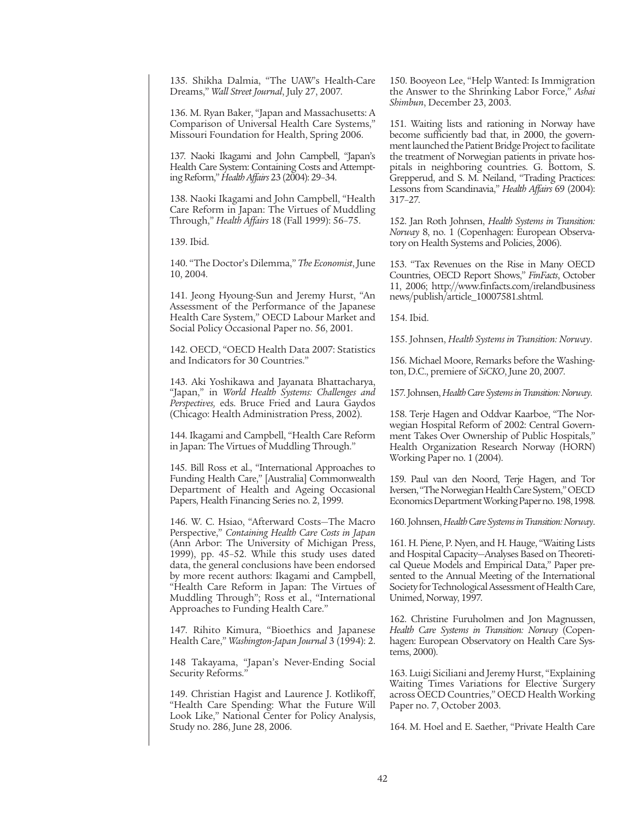135. Shikha Dalmia, "The UAW's Health-Care Dreams," *Wall Street Journal*, July 27, 2007.

136. M. Ryan Baker, "Japan and Massachusetts: A Comparison of Universal Health Care Systems," Missouri Foundation for Health, Spring 2006.

137. Naoki Ikagami and John Campbell, "Japan's Health Care System: Containing Costs and Attempting Reform," *Health Affairs* 23 (2004): 29–34.

138. Naoki Ikagami and John Campbell, "Health Care Reform in Japan: The Virtues of Muddling Through," *Health Affairs* 18 (Fall 1999): 56–75.

139. Ibid.

140. "The Doctor's Dilemma," *The Economist*, June 10, 2004.

141. Jeong Hyoung-Sun and Jeremy Hurst, "An Assessment of the Performance of the Japanese Health Care System," OECD Labour Market and Social Policy Occasional Paper no. 56, 2001.

142. OECD, "OECD Health Data 2007: Statistics and Indicators for 30 Countries."

143. Aki Yoshikawa and Jayanata Bhattacharya, "Japan," in *World Health Systems: Challenges and Perspectives,* eds. Bruce Fried and Laura Gaydos (Chicago: Health Administration Press, 2002).

144. Ikagami and Campbell, "Health Care Reform in Japan: The Virtues of Muddling Through."

145. Bill Ross et al., "International Approaches to Funding Health Care," [Australia] Commonwealth Department of Health and Ageing Occasional Papers, Health Financing Series no. 2, 1999.

146. W. C. Hsiao, "Afterward Costs—The Macro Perspective," *Containing Health Care Costs in Japan* (Ann Arbor: The University of Michigan Press, 1999), pp. 45–52. While this study uses dated data, the general conclusions have been endorsed by more recent authors: Ikagami and Campbell, "Health Care Reform in Japan: The Virtues of Muddling Through"; Ross et al., "International Approaches to Funding Health Care."

147. Rihito Kimura, "Bioethics and Japanese Health Care," *Washington-Japan Journal* 3 (1994): 2.

148 Takayama, "Japan's Never-Ending Social Security Reforms."

149. Christian Hagist and Laurence J. Kotlikoff, "Health Care Spending: What the Future Will Look Like," National Center for Policy Analysis, Study no. 286, June 28, 2006.

150. Booyeon Lee, "Help Wanted: Is Immigration the Answer to the Shrinking Labor Force," *Ashai Shimbun*, December 23, 2003.

151. Waiting lists and rationing in Norway have become sufficiently bad that, in 2000, the government launched the Patient Bridge Project to facilitate the treatment of Norwegian patients in private hospitals in neighboring countries. G. Bottom, S. Grepperud, and S. M. Neiland, "Trading Practices: Lessons from Scandinavia," *Health Affairs* 69 (2004): 317–27.

152. Jan Roth Johnsen, *Health Systems in Transition: Norway* 8, no. 1 (Copenhagen: European Observatory on Health Systems and Policies, 2006).

153. "Tax Revenues on the Rise in Many OECD Countries, OECD Report Shows," *FinFacts*, October 11, 2006; http://www.finfacts.com/irelandbusiness news/publish/article\_10007581.shtml.

154. Ibid.

155. Johnsen, *Health Systems in Transition: Norway*.

156. Michael Moore, Remarks before the Washington, D.C., premiere of *SiCKO*, June 20, 2007.

157. Johnsen, *Health Care Systems in Transition: Norway*.

158. Terje Hagen and Oddvar Kaarboe, "The Norwegian Hospital Reform of 2002: Central Government Takes Over Ownership of Public Hospitals," Health Organization Research Norway (HORN) Working Paper no. 1 (2004).

159. Paul van den Noord, Terje Hagen, and Tor Iversen, "The Norwegian Health Care System," OECD Economics Department Working Paper no. 198, 1998.

160. Johnsen, *Health Care Systems in Transition: Norway*.

161. H. Piene, P. Nyen, and H. Hauge, "Waiting Lists and Hospital Capacity—Analyses Based on Theoretical Queue Models and Empirical Data," Paper presented to the Annual Meeting of the International Society for Technological Assessment of Health Care, Unimed, Norway, 1997.

162. Christine Furuholmen and Jon Magnussen, *Health Care Systems in Transition: Norway* (Copenhagen: European Observatory on Health Care Systems, 2000).

163. Luigi Siciliani and Jeremy Hurst, "Explaining Waiting Times Variations for Elective Surgery across OECD Countries," OECD Health Working Paper no. 7, October 2003.

164. M. Hoel and E. Saether, "Private Health Care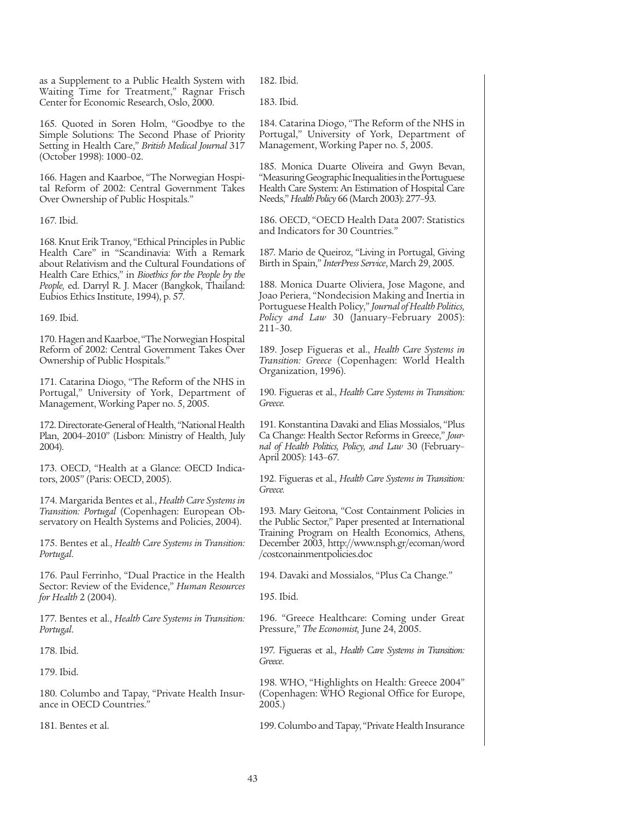as a Supplement to a Public Health System with Waiting Time for Treatment," Ragnar Frisch Center for Economic Research, Oslo, 2000.

165. Quoted in Soren Holm, "Goodbye to the Simple Solutions: The Second Phase of Priority Setting in Health Care," *British Medical Journal* 317 (October 1998): 1000–02.

166. Hagen and Kaarboe, "The Norwegian Hospital Reform of 2002: Central Government Takes Over Ownership of Public Hospitals."

167. Ibid.

168. Knut Erik Tranoy, "Ethical Principles in Public Health Care" in "Scandinavia: With a Remark about Relativism and the Cultural Foundations of Health Care Ethics," in *Bioethics for the People by the People,* ed. Darryl R. J. Macer (Bangkok, Thailand: Eubios Ethics Institute, 1994), p. 57.

169. Ibid.

170. Hagen and Kaarboe, "The Norwegian Hospital Reform of 2002: Central Government Takes Over Ownership of Public Hospitals."

171. Catarina Diogo, "The Reform of the NHS in Portugal," University of York, Department of Management, Working Paper no. 5, 2005.

172. Directorate-General of Health, "National Health Plan, 2004–2010" (Lisbon: Ministry of Health, July 2004).

173. OECD, "Health at a Glance: OECD Indicators, 2005" (Paris: OECD, 2005).

174. Margarida Bentes et al., *Health Care Systems in Transition: Portugal* (Copenhagen: European Observatory on Health Systems and Policies, 2004).

175. Bentes et al., *Health Care Systems in Transition: Portugal*.

176. Paul Ferrinho, "Dual Practice in the Health Sector: Review of the Evidence," *Human Resources for Health* 2 (2004).

177. Bentes et al., *Health Care Systems in Transition: Portugal*.

178. Ibid.

179. Ibid.

180. Columbo and Tapay, "Private Health Insurance in OECD Countries."

181. Bentes et al.

182. Ibid.

183. Ibid.

184. Catarina Diogo, "The Reform of the NHS in Portugal," University of York, Department of Management, Working Paper no. 5, 2005.

185. Monica Duarte Oliveira and Gwyn Bevan, "Measuring Geographic Inequalities in the Portuguese Health Care System: An Estimation of Hospital Care Needs," *Health Policy* 66 (March 2003): 277–93.

186. OECD, "OECD Health Data 2007: Statistics and Indicators for 30 Countries."

187. Mario de Queiroz, "Living in Portugal, Giving Birth in Spain," *InterPress Service*, March 29, 2005.

188. Monica Duarte Oliviera, Jose Magone, and Joao Periera, "Nondecision Making and Inertia in Portuguese Health Policy," *Journal of Health Politics, Policy and Law* 30 (January–February 2005): 211–30.

189. Josep Figueras et al., *Health Care Systems in Transition: Greece* (Copenhagen: World Health Organization, 1996).

190. Figueras et al., *Health Care Systems in Transition: Greece.*

191. Konstantina Davaki and Elias Mossialos, "Plus Ca Change: Health Sector Reforms in Greece," *Journal of Health Politics, Policy, and Law* 30 (February– April 2005): 143–67.

192. Figueras et al., *Health Care Systems in Transition: Greece.*

193. Mary Geitona, "Cost Containment Policies in the Public Sector," Paper presented at International Training Program on Health Economics, Athens, December 2003, http://www.nsph.gr/ecoman/word /costconainmentpolicies.doc

194. Davaki and Mossialos, "Plus Ca Change."

195. Ibid.

196. "Greece Healthcare: Coming under Great Pressure," *The Economist,* June 24, 2005.

197. Figueras et al., *Health Care Systems in Transition: Greece*.

198. WHO, "Highlights on Health: Greece 2004" (Copenhagen: WHO Regional Office for Europe, 2005.)

199. Columbo and Tapay, "Private Health Insurance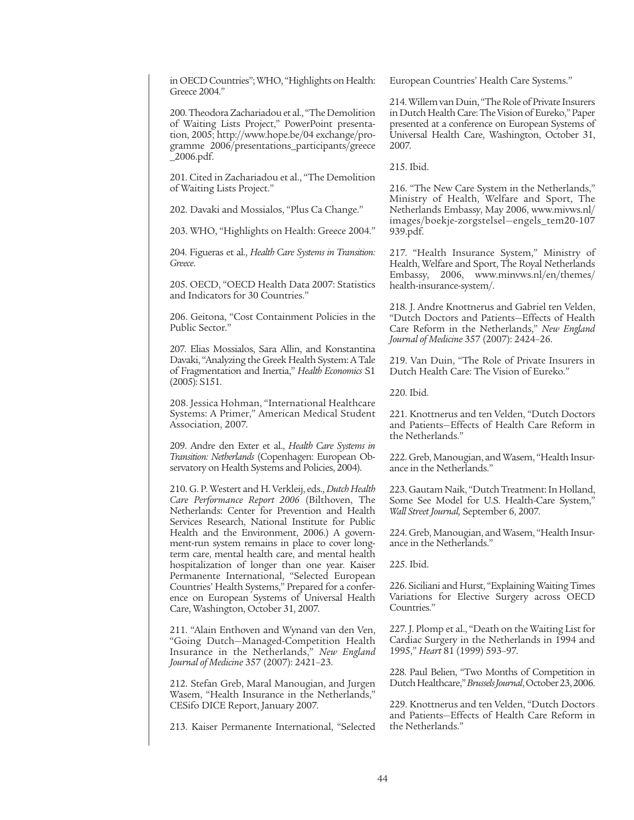in OECD Countries"; WHO, "Highlights on Health: Greece 2004."

200. Theodora Zachariadou et al., "The Demolition of Waiting Lists Project," PowerPoint presentation, 2005; http://www.hope.be/04 exchange/programme 2006/presentations\_participants/greece \_2006.pdf.

201. Cited in Zachariadou et al., "The Demolition of Waiting Lists Project."

202. Davaki and Mossialos, "Plus Ca Change."

203. WHO, "Highlights on Health: Greece 2004."

204. Figueras et al., *Health Care Systems in Transition: Greece*.

205. OECD, "OECD Health Data 2007: Statistics and Indicators for 30 Countries."

206. Geitona, "Cost Containment Policies in the Public Sector."

207. Elias Mossialos, Sara Allin, and Konstantina Davaki, "Analyzing the Greek Health System: A Tale of Fragmentation and Inertia," *Health Economics* S1 (2005): S151.

208. Jessica Hohman, "International Healthcare Systems: A Primer," American Medical Student Association, 2007.

209. Andre den Exter et al., *Health Care Systems in Transition: Netherlands* (Copenhagen: European Observatory on Health Systems and Policies, 2004).

210. G. P. Westert and H. Verkleij, eds., *Dutch Health Care Performance Report 2006* (Bilthoven, The Netherlands: Center for Prevention and Health Services Research, National Institute for Public Health and the Environment, 2006.) A government-run system remains in place to cover longterm care, mental health care, and mental health hospitalization of longer than one year. Kaiser Permanente International, "Selected European Countries' Health Systems," Prepared for a conference on European Systems of Universal Health Care, Washington, October 31, 2007.

211. "Alain Enthoven and Wynand van den Ven, "Going Dutch—Managed-Competition Health Insurance in the Netherlands," *New England Journal of Medicine* 357 (2007): 2421–23.

212. Stefan Greb, Maral Manougian, and Jurgen Wasem, "Health Insurance in the Netherlands," CESifo DICE Report, January 2007.

213. Kaiser Permanente International, "Selected

European Countries' Health Care Systems."

214. Willem van Duin, "The Role of Private Insurers in Dutch Health Care: The Vision of Eureko," Paper presented at a conference on European Systems of Universal Health Care, Washington, October 31, 2007.

215. Ibid.

216. "The New Care System in the Netherlands," Ministry of Health, Welfare and Sport, The Netherlands Embassy, May 2006, www.mivws.nl/ images/boekje-zorgstelsel—engels\_tem20-107 939.pdf.

217. "Health Insurance System," Ministry of Health, Welfare and Sport, The Royal Netherlands Embassy, 2006, www.minvws.nl/en/themes/ health-insurance-system/.

218. J. Andre Knottnerus and Gabriel ten Velden, "Dutch Doctors and Patients—Effects of Health Care Reform in the Netherlands," *New England Journal of Medicine* 357 (2007): 2424–26.

219. Van Duin, "The Role of Private Insurers in Dutch Health Care: The Vision of Eureko."

220. Ibid.

221. Knottnerus and ten Velden, "Dutch Doctors and Patients—Effects of Health Care Reform in the Netherlands."

222. Greb, Manougian, and Wasem, "Health Insurance in the Netherlands."

223. Gautam Naik, "Dutch Treatment: In Holland, Some See Model for U.S. Health-Care System," *Wall Street Journal,* September 6, 2007.

224. Greb, Manougian, and Wasem, "Health Insurance in the Netherlands."

225. Ibid.

226. Siciliani and Hurst, "Explaining Waiting Times Variations for Elective Surgery across OECD Countries."

227. J. Plomp et al., "Death on the Waiting List for Cardiac Surgery in the Netherlands in 1994 and 1995," *Heart* 81 (1999) 593–97.

228. Paul Belien, "Two Months of Competition in Dutch Healthcare," *Brussels Journal*, October 23, 2006.

229. Knottnerus and ten Velden, "Dutch Doctors and Patients—Effects of Health Care Reform in the Netherlands."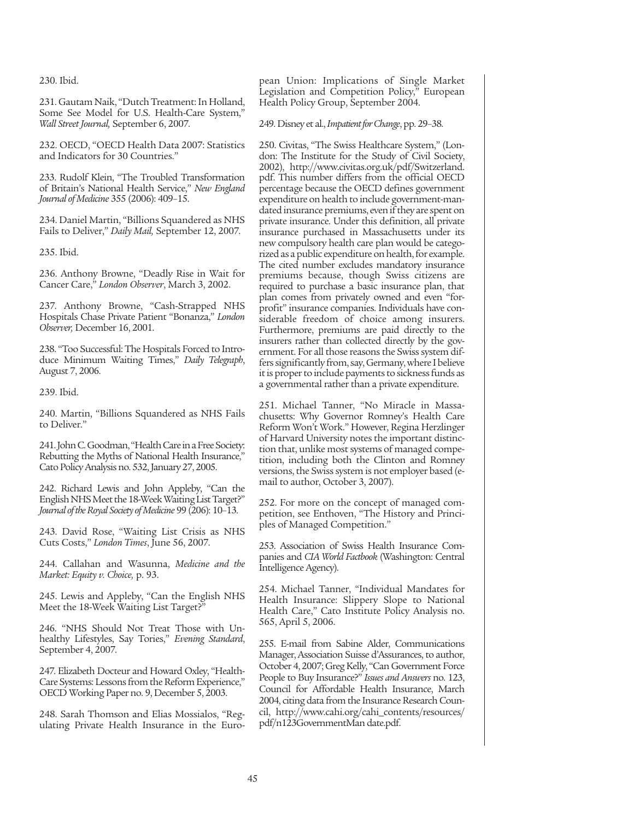230. Ibid.

231. Gautam Naik, "Dutch Treatment: In Holland, Some See Model for U.S. Health-Care System," *Wall Street Journal,* September 6, 2007.

232. OECD, "OECD Health Data 2007: Statistics and Indicators for 30 Countries."

233. Rudolf Klein, "The Troubled Transformation of Britain's National Health Service," *New England Journal of Medicine* 355 (2006): 409–15.

234. Daniel Martin, "Billions Squandered as NHS Fails to Deliver," *Daily Mail,* September 12, 2007.

235. Ibid.

236. Anthony Browne, "Deadly Rise in Wait for Cancer Care," *London Observer*, March 3, 2002.

237. Anthony Browne, "Cash-Strapped NHS Hospitals Chase Private Patient "Bonanza," *London Observer,* December 16, 2001.

238. "Too Successful: The Hospitals Forced to Introduce Minimum Waiting Times," *Daily Telegraph*, August 7, 2006.

239. Ibid.

240. Martin, "Billions Squandered as NHS Fails to Deliver."

241. John C. Goodman, "Health Care in a Free Society: Rebutting the Myths of National Health Insurance," Cato Policy Analysis no. 532, January 27, 2005.

242. Richard Lewis and John Appleby, "Can the English NHS Meet the 18-Week Waiting List Target?" *Journal of the Royal Society of Medicine* 99 (206): 10–13.

243. David Rose, "Waiting List Crisis as NHS Cuts Costs," *London Times*, June 56, 2007.

244. Callahan and Wasunna, *Medicine and the Market: Equity v. Choice,* p. 93.

245. Lewis and Appleby, "Can the English NHS Meet the 18-Week Waiting List Target?"

246. "NHS Should Not Treat Those with Unhealthy Lifestyles, Say Tories," *Evening Standard*, September 4, 2007.

247. Elizabeth Docteur and Howard Oxley, "Health-Care Systems: Lessons from the Reform Experience," OECD Working Paper no. 9, December 5, 2003.

248. Sarah Thomson and Elias Mossialos, "Regulating Private Health Insurance in the Euro-

pean Union: Implications of Single Market Legislation and Competition Policy," European Health Policy Group, September 2004.

249. Disney et al., *Impatient for Change*, pp. 29–38.

250. Civitas, "The Swiss Healthcare System," (London: The Institute for the Study of Civil Society, 2002), http://www.civitas.org.uk/pdf/Switzerland. pdf. This number differs from the official OECD percentage because the OECD defines government expenditure on health to include government-mandated insurance premiums, even if they are spent on private insurance. Under this definition, all private insurance purchased in Massachusetts under its new compulsory health care plan would be categorized as a public expenditure on health, for example. The cited number excludes mandatory insurance premiums because, though Swiss citizens are required to purchase a basic insurance plan, that plan comes from privately owned and even "forprofit" insurance companies. Individuals have considerable freedom of choice among insurers. Furthermore, premiums are paid directly to the insurers rather than collected directly by the government. For all those reasons the Swiss system differs significantly from, say, Germany, where I believe it is proper to include payments to sickness funds as a governmental rather than a private expenditure.

251. Michael Tanner, "No Miracle in Massachusetts: Why Governor Romney's Health Care Reform Won't Work." However, Regina Herzlinger of Harvard University notes the important distinction that, unlike most systems of managed competition, including both the Clinton and Romney versions, the Swiss system is not employer based (email to author, October 3, 2007).

252. For more on the concept of managed competition, see Enthoven, "The History and Principles of Managed Competition."

253. Association of Swiss Health Insurance Companies and *CIA World Factbook* (Washington: Central Intelligence Agency).

254. Michael Tanner, "Individual Mandates for Health Insurance: Slippery Slope to National Health Care," Cato Institute Policy Analysis no. 565, April 5, 2006.

255. E-mail from Sabine Alder, Communications Manager, Association Suisse d'Assurances, to author, October 4, 2007; Greg Kelly, "Can Government Force People to Buy Insurance?" *Issues and Answers* no. 123, Council for Affordable Health Insurance, March 2004, citing data from the Insurance Research Council, http://www.cahi.org/cahi\_contents/resources/ pdf/n123GovernmentMan date.pdf.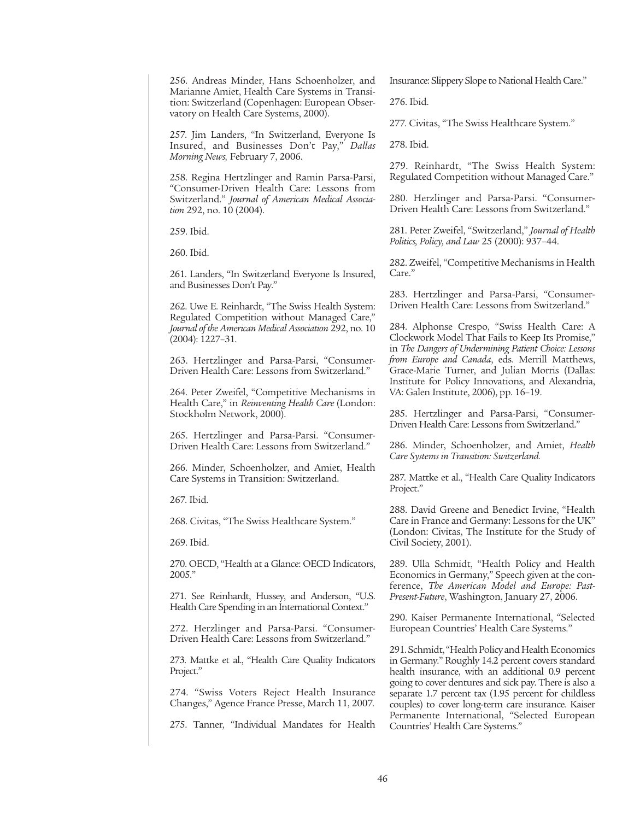256. Andreas Minder, Hans Schoenholzer, and Marianne Amiet, Health Care Systems in Transition: Switzerland (Copenhagen: European Observatory on Health Care Systems, 2000).

257. Jim Landers, "In Switzerland, Everyone Is Insured, and Businesses Don't Pay," *Dallas Morning News,* February 7, 2006.

258. Regina Hertzlinger and Ramin Parsa-Parsi, "Consumer-Driven Health Care: Lessons from Switzerland." *Journal of American Medical Association* 292, no. 10 (2004).

259. Ibid.

260. Ibid.

261. Landers, "In Switzerland Everyone Is Insured, and Businesses Don't Pay."

262. Uwe E. Reinhardt, "The Swiss Health System: Regulated Competition without Managed Care," *Journal of the American Medical Association* 292, no. 10 (2004): 1227–31.

263. Hertzlinger and Parsa-Parsi, "Consumer-Driven Health Care: Lessons from Switzerland."

264. Peter Zweifel, "Competitive Mechanisms in Health Care," in *Reinventing Health Care* (London: Stockholm Network, 2000).

265. Hertzlinger and Parsa-Parsi. "Consumer-Driven Health Care: Lessons from Switzerland."

266. Minder, Schoenholzer, and Amiet, Health Care Systems in Transition: Switzerland.

267. Ibid.

268. Civitas, "The Swiss Healthcare System."

269. Ibid.

270. OECD, "Health at a Glance: OECD Indicators, 2005."

271. See Reinhardt, Hussey, and Anderson, "U.S. Health Care Spending in an International Context."

272. Herzlinger and Parsa-Parsi. "Consumer-Driven Health Care: Lessons from Switzerland."

273. Mattke et al., "Health Care Quality Indicators Project."

274. "Swiss Voters Reject Health Insurance Changes," Agence France Presse, March 11, 2007.

275. Tanner, "Individual Mandates for Health

Insurance: Slippery Slope to National Health Care."

276. Ibid.

277. Civitas, "The Swiss Healthcare System."

278. Ibid.

279. Reinhardt, "The Swiss Health System: Regulated Competition without Managed Care."

280. Herzlinger and Parsa-Parsi. "Consumer-Driven Health Care: Lessons from Switzerland."

281. Peter Zweifel, "Switzerland," *Journal of Health Politics, Policy, and Law* 25 (2000): 937–44.

282. Zweifel, "Competitive Mechanisms in Health Care."

283. Hertzlinger and Parsa-Parsi, "Consumer-Driven Health Care: Lessons from Switzerland."

284. Alphonse Crespo, "Swiss Health Care: A Clockwork Model That Fails to Keep Its Promise," in *The Dangers of Undermining Patient Choice: Lessons from Europe and Canada*, eds. Merrill Matthews, Grace-Marie Turner, and Julian Morris (Dallas: Institute for Policy Innovations, and Alexandria, VA: Galen Institute, 2006), pp. 16–19.

285. Hertzlinger and Parsa-Parsi, "Consumer-Driven Health Care: Lessons from Switzerland."

286. Minder, Schoenholzer, and Amiet, *Health Care Systems in Transition: Switzerland.*

287. Mattke et al., "Health Care Quality Indicators Project."

288. David Greene and Benedict Irvine, "Health Care in France and Germany: Lessons for the UK" (London: Civitas, The Institute for the Study of Civil Society, 2001).

289. Ulla Schmidt, "Health Policy and Health Economics in Germany," Speech given at the conference, *The American Model and Europe: Past-Present-Future*, Washington, January 27, 2006.

290. Kaiser Permanente International, "Selected European Countries' Health Care Systems."

291. Schmidt, "Health Policy and Health Economics in Germany." Roughly 14.2 percent covers standard health insurance, with an additional 0.9 percent going to cover dentures and sick pay. There is also a separate 1.7 percent tax (1.95 percent for childless couples) to cover long-term care insurance. Kaiser Permanente International, "Selected European Countries' Health Care Systems."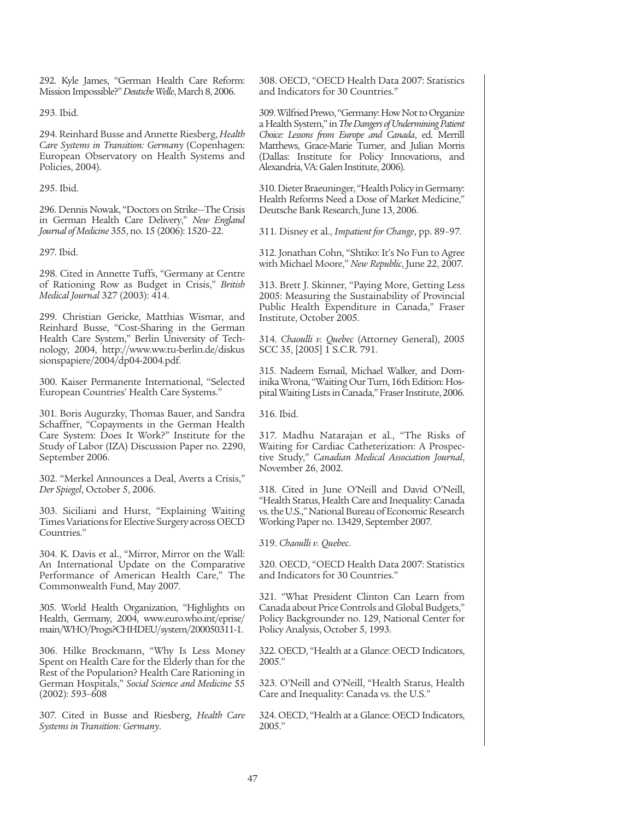292. Kyle James, "German Health Care Reform: Mission Impossible?" *Deutsche Welle*, March 8, 2006.

293. Ibid.

294. Reinhard Busse and Annette Riesberg, *Health Care Systems in Transition: Germany* (Copenhagen: European Observatory on Health Systems and Policies, 2004).

295. Ibid.

296. Dennis Nowak, "Doctors on Strike—The Crisis in German Health Care Delivery," *New England Journal of Medicine* 355, no. 15 (2006): 1520–22.

297. Ibid.

298. Cited in Annette Tuffs, "Germany at Centre of Rationing Row as Budget in Crisis," *British Medical Journal* 327 (2003): 414.

299. Christian Gericke, Matthias Wismar, and Reinhard Busse, "Cost-Sharing in the German Health Care System," Berlin University of Technology, 2004, http://www.ww.tu-berlin.de/diskus sionspapiere/2004/dp04-2004.pdf.

300. Kaiser Permanente International, "Selected European Countries' Health Care Systems."

301. Boris Augurzky, Thomas Bauer, and Sandra Schaffner, "Copayments in the German Health Care System: Does It Work?" Institute for the Study of Labor (IZA) Discussion Paper no. 2290, September 2006.

302. "Merkel Announces a Deal, Averts a Crisis," *Der Spiegel*, October 5, 2006.

303. Siciliani and Hurst, "Explaining Waiting Times Variations for Elective Surgery across OECD Countries."

304. K. Davis et al., "Mirror, Mirror on the Wall: An International Update on the Comparative Performance of American Health Care," The Commonwealth Fund, May 2007.

305. World Health Organization, "Highlights on Health, Germany, 2004, www.euro.who.int/eprise/ main/WHO/Progs?CHHDEU/system/200050311-1.

306. Hilke Brockmann, "Why Is Less Money Spent on Health Care for the Elderly than for the Rest of the Population? Health Care Rationing in German Hospitals," *Social Science and Medicine* 55 (2002): 593–608

307. Cited in Busse and Riesberg, *Health Care Systems in Transition: Germany*.

308. OECD, "OECD Health Data 2007: Statistics and Indicators for 30 Countries."

309. Wilfried Prewo, "Germany: How Not to Organize a Health System," in *The Dangers of Undermining Patient Choice: Lessons from Europe and Canada*, ed. Merrill Matthews, Grace-Marie Turner, and Julian Morris (Dallas: Institute for Policy Innovations, and Alexandria, VA: Galen Institute, 2006).

310. Dieter Braeuninger, "Health Policy in Germany: Health Reforms Need a Dose of Market Medicine," Deutsche Bank Research, June 13, 2006.

311. Disney et al., *Impatient for Change*, pp. 89–97.

312. Jonathan Cohn, "Shtiko: It's No Fun to Agree with Michael Moore," *New Republic*, June 22, 2007.

313. Brett J. Skinner, "Paying More, Getting Less 2005: Measuring the Sustainability of Provincial Public Health Expenditure in Canada," Fraser Institute, October 2005.

314. *Chaoulli v. Quebec* (Attorney General), 2005 SCC 35, [2005] 1 S.C.R. 791.

315. Nadeem Esmail, Michael Walker, and Dominika Wrona, "Waiting Our Turn, 16th Edition: Hospital Waiting Lists in Canada," Fraser Institute, 2006.

316. Ibid.

317. Madhu Natarajan et al., "The Risks of Waiting for Cardiac Catheterization: A Prospective Study," *Canadian Medical Association Journal*, November 26, 2002.

318. Cited in June O'Neill and David O'Neill, "Health Status, Health Care and Inequality: Canada vs. the U.S.," National Bureau of Economic Research Working Paper no. 13429, September 2007.

319. *Chaoulli v. Quebec*.

320. OECD, "OECD Health Data 2007: Statistics and Indicators for 30 Countries."

321. "What President Clinton Can Learn from Canada about Price Controls and Global Budgets," Policy Backgrounder no. 129, National Center for Policy Analysis, October 5, 1993.

322. OECD, "Health at a Glance: OECD Indicators, 2005."

323. O'Neill and O'Neill, "Health Status, Health Care and Inequality: Canada vs. the U.S."

324. OECD, "Health at a Glance: OECD Indicators, 2005."